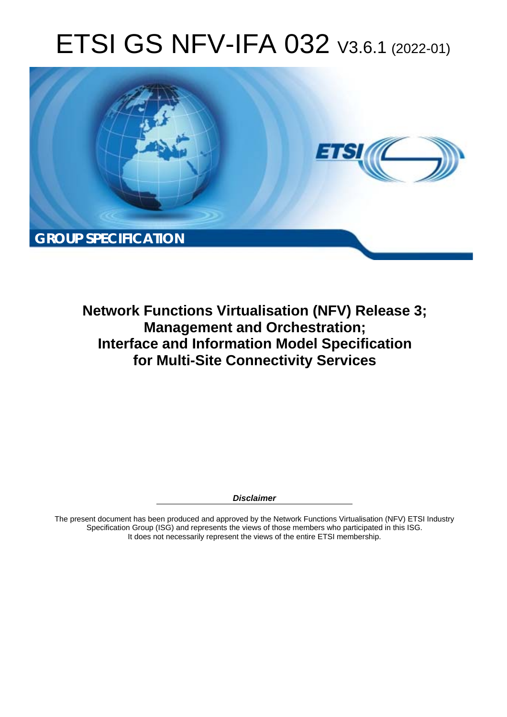# ETSI GS NFV-IFA 032 V3.6.1 (2022-01)



**Network Functions Virtualisation (NFV) Release 3; Management and Orchestration; Interface and Information Model Specification for Multi-Site Connectivity Services** 

*Disclaimer* 

The present document has been produced and approved by the Network Functions Virtualisation (NFV) ETSI Industry Specification Group (ISG) and represents the views of those members who participated in this ISG. It does not necessarily represent the views of the entire ETSI membership.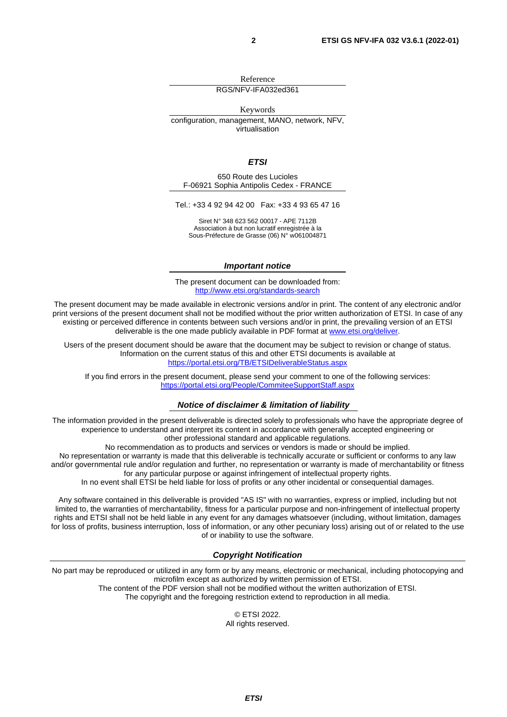Reference RGS/NFV-IFA032ed361

Keywords

configuration, management, MANO, network, NFV, virtualisation

*ETSI* 

650 Route des Lucioles F-06921 Sophia Antipolis Cedex - FRANCE

Tel.: +33 4 92 94 42 00 Fax: +33 4 93 65 47 16

Siret N° 348 623 562 00017 - APE 7112B Association à but non lucratif enregistrée à la Sous-Préfecture de Grasse (06) N° w061004871

#### *Important notice*

The present document can be downloaded from: <http://www.etsi.org/standards-search>

The present document may be made available in electronic versions and/or in print. The content of any electronic and/or print versions of the present document shall not be modified without the prior written authorization of ETSI. In case of any existing or perceived difference in contents between such versions and/or in print, the prevailing version of an ETSI deliverable is the one made publicly available in PDF format at [www.etsi.org/deliver.](http://www.etsi.org/deliver)

Users of the present document should be aware that the document may be subject to revision or change of status. Information on the current status of this and other ETSI documents is available at <https://portal.etsi.org/TB/ETSIDeliverableStatus.aspx>

If you find errors in the present document, please send your comment to one of the following services: <https://portal.etsi.org/People/CommiteeSupportStaff.aspx>

#### *Notice of disclaimer & limitation of liability*

The information provided in the present deliverable is directed solely to professionals who have the appropriate degree of experience to understand and interpret its content in accordance with generally accepted engineering or other professional standard and applicable regulations.

No recommendation as to products and services or vendors is made or should be implied.

No representation or warranty is made that this deliverable is technically accurate or sufficient or conforms to any law and/or governmental rule and/or regulation and further, no representation or warranty is made of merchantability or fitness for any particular purpose or against infringement of intellectual property rights.

In no event shall ETSI be held liable for loss of profits or any other incidental or consequential damages.

Any software contained in this deliverable is provided "AS IS" with no warranties, express or implied, including but not limited to, the warranties of merchantability, fitness for a particular purpose and non-infringement of intellectual property rights and ETSI shall not be held liable in any event for any damages whatsoever (including, without limitation, damages for loss of profits, business interruption, loss of information, or any other pecuniary loss) arising out of or related to the use of or inability to use the software.

#### *Copyright Notification*

No part may be reproduced or utilized in any form or by any means, electronic or mechanical, including photocopying and microfilm except as authorized by written permission of ETSI. The content of the PDF version shall not be modified without the written authorization of ETSI.

The copyright and the foregoing restriction extend to reproduction in all media.

© ETSI 2022. All rights reserved.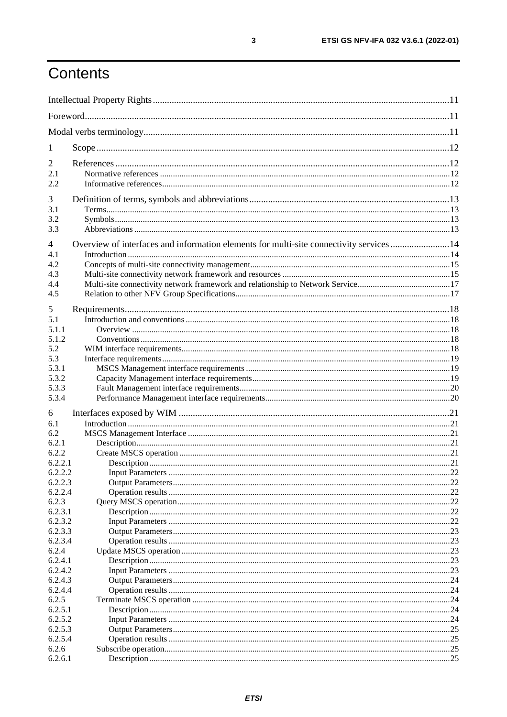# Contents

| 1                |                                                                                         |    |
|------------------|-----------------------------------------------------------------------------------------|----|
| 2                |                                                                                         |    |
| 2.1              |                                                                                         |    |
| 2.2              |                                                                                         |    |
|                  |                                                                                         |    |
| 3                |                                                                                         |    |
| 3.1              |                                                                                         |    |
| 3.2              |                                                                                         |    |
| 3.3              |                                                                                         |    |
| 4                | Overview of interfaces and information elements for multi-site connectivity services 14 |    |
| 4.1              |                                                                                         |    |
| 4.2              |                                                                                         |    |
| 4.3              |                                                                                         |    |
| 4.4              |                                                                                         |    |
| 4.5              |                                                                                         |    |
| 5                |                                                                                         |    |
| 5.1              |                                                                                         |    |
| 5.1.1            |                                                                                         |    |
| 5.1.2            |                                                                                         |    |
| 5.2              |                                                                                         |    |
| 5.3              |                                                                                         |    |
| 5.3.1            |                                                                                         |    |
| 5.3.2            |                                                                                         |    |
| 5.3.3            |                                                                                         |    |
| 5.3.4            |                                                                                         |    |
| 6                |                                                                                         |    |
| 6.1              |                                                                                         |    |
| 6.2              |                                                                                         |    |
| 6.2.1            |                                                                                         |    |
| 6.2.2            |                                                                                         |    |
| 6.2.2.1          |                                                                                         |    |
| 6.2.2.2          |                                                                                         |    |
| 6.2.2.3          |                                                                                         |    |
| 6.2.2.4          |                                                                                         |    |
| 6.2.3            |                                                                                         |    |
| 6.2.3.1          |                                                                                         |    |
| 6.2.3.2          |                                                                                         |    |
| 6.2.3.3          |                                                                                         |    |
| 6.2.3.4<br>6.2.4 |                                                                                         | 23 |
| 6.2.4.1          |                                                                                         | 23 |
| 6.2.4.2          |                                                                                         |    |
| 6.2.4.3          |                                                                                         |    |
| 6.2.4.4          |                                                                                         |    |
| 6.2.5            |                                                                                         |    |
| 6.2.5.1          |                                                                                         |    |
| 6.2.5.2          |                                                                                         |    |
| 6.2.5.3          |                                                                                         |    |
| 6.2.5.4          |                                                                                         |    |
| 6.2.6            |                                                                                         |    |
| 6.2.6.1          |                                                                                         |    |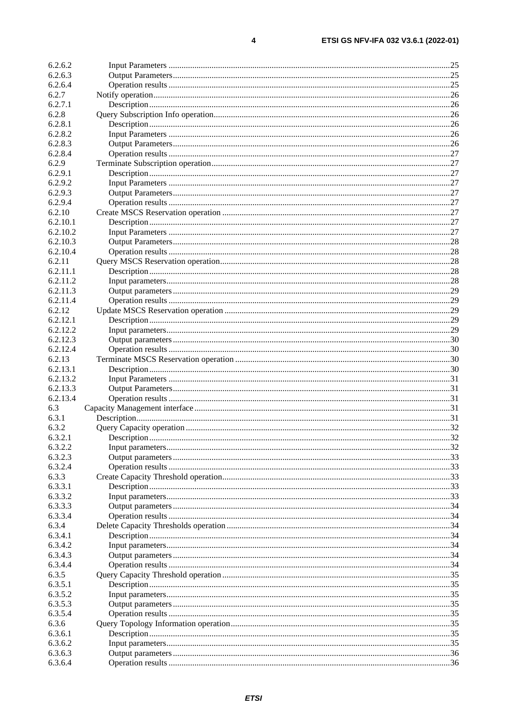$\overline{\mathbf{4}}$ 

| 6.2.6.2  |  |
|----------|--|
| 6.2.6.3  |  |
| 6.2.6.4  |  |
| 6.2.7    |  |
| 6.2.7.1  |  |
| 6.2.8    |  |
|          |  |
| 6.2.8.1  |  |
| 6.2.8.2  |  |
| 6.2.8.3  |  |
| 6.2.8.4  |  |
| 6.2.9    |  |
| 6.2.9.1  |  |
| 6.2.9.2  |  |
| 6.2.9.3  |  |
| 6.2.9.4  |  |
| 6.2.10   |  |
| 6.2.10.1 |  |
| 6.2.10.2 |  |
| 6.2.10.3 |  |
| 6.2.10.4 |  |
|          |  |
| 6.2.11   |  |
| 6.2.11.1 |  |
| 6.2.11.2 |  |
| 6.2.11.3 |  |
| 6.2.11.4 |  |
| 6.2.12   |  |
| 6.2.12.1 |  |
| 6.2.12.2 |  |
| 6.2.12.3 |  |
| 6.2.12.4 |  |
| 6.2.13   |  |
| 6.2.13.1 |  |
| 6.2.13.2 |  |
| 6.2.13.3 |  |
| 6.2.13.4 |  |
| 6.3      |  |
| 6.3.1    |  |
| 6.3.2    |  |
|          |  |
| 6.3.2.1  |  |
| 6.3.2.2  |  |
| 6.3.2.3  |  |
| 6.3.2.4  |  |
| 6.3.3    |  |
| 6.3.3.1  |  |
| 6.3.3.2  |  |
| 6.3.3.3  |  |
| 6.3.3.4  |  |
| 6.3.4    |  |
| 6.3.4.1  |  |
| 6.3.4.2  |  |
| 6.3.4.3  |  |
| 6.3.4.4  |  |
| 6.3.5    |  |
| 6.3.5.1  |  |
| 6.3.5.2  |  |
|          |  |
| 6.3.5.3  |  |
| 6.3.5.4  |  |
| 6.3.6    |  |
| 6.3.6.1  |  |
| 6.3.6.2  |  |
| 6.3.6.3  |  |
| 6.3.6.4  |  |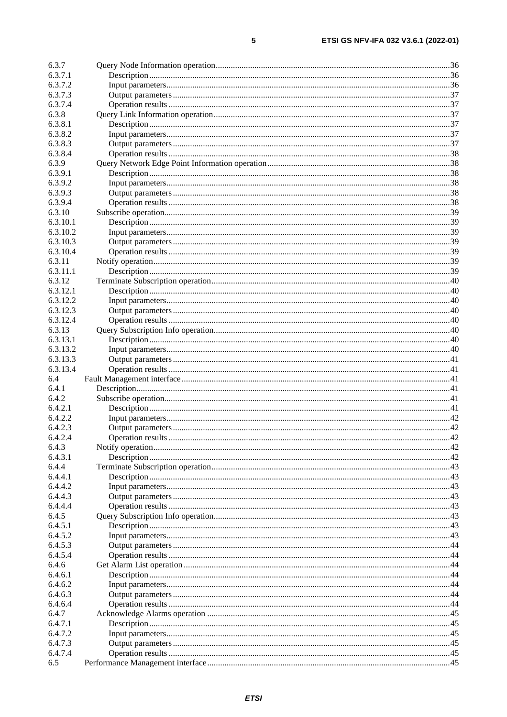| 6.3.7    |     |
|----------|-----|
| 6.3.7.1  |     |
| 6.3.7.2  |     |
| 6.3.7.3  |     |
|          |     |
| 6.3.7.4  |     |
| 6.3.8    |     |
| 6.3.8.1  |     |
| 6.3.8.2  |     |
| 6.3.8.3  |     |
| 6.3.8.4  |     |
| 6.3.9    |     |
| 6.3.9.1  |     |
| 6.3.9.2  |     |
| 6.3.9.3  |     |
| 6.3.9.4  |     |
| 6.3.10   |     |
| 6.3.10.1 |     |
| 6.3.10.2 |     |
| 6.3.10.3 |     |
| 6.3.10.4 |     |
| 6.3.11   |     |
| 6.3.11.1 |     |
| 6.3.12   |     |
| 6.3.12.1 |     |
| 6.3.12.2 |     |
|          |     |
| 6.3.12.3 |     |
| 6.3.12.4 |     |
| 6.3.13   |     |
| 6.3.13.1 |     |
| 6.3.13.2 |     |
| 6.3.13.3 |     |
| 6.3.13.4 |     |
| 6.4      |     |
| 6.4.1    |     |
| 6.4.2    |     |
| 6.4.2.1  |     |
| 6.4.2.2  |     |
| 6.4.2.3  |     |
| 6.4.2.4  | .42 |
| 6.4.3    |     |
| 6.4.3.1  |     |
| 6.4.4    |     |
| 6.4.4.1  |     |
| 6.4.4.2  |     |
| 6.4.4.3  |     |
| 6.4.4.4  |     |
| 6.4.5    |     |
| 6.4.5.1  |     |
| 6.4.5.2  |     |
| 6.4.5.3  |     |
| 6.4.5.4  |     |
| 6.4.6    |     |
| 6.4.6.1  |     |
| 6.4.6.2  |     |
| 6.4.6.3  |     |
| 6.4.6.4  |     |
| 6.4.7    |     |
|          |     |
| 6.4.7.1  |     |
| 6.4.7.2  |     |
| 6.4.7.3  |     |
| 6.4.7.4  |     |
| 6.5      |     |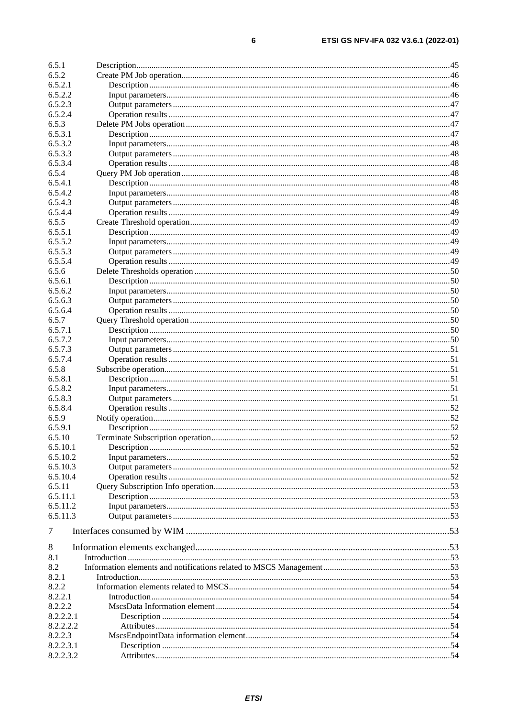| 6.5.1    |  |
|----------|--|
| 6.5.2    |  |
| 6.5.2.1  |  |
| 6.5.2.2  |  |
| 6.5.2.3  |  |
| 6.5.2.4  |  |
| 6.5.3    |  |
| 6.5.3.1  |  |
| 6.5.3.2  |  |
| 6.5.3.3  |  |
| 6.5.3.4  |  |
| 6.5.4    |  |
| 6.5.4.1  |  |
| 6.5.4.2  |  |
| 6.5.4.3  |  |
| 6.5.4.4  |  |
| 6.5.5    |  |
| 6.5.5.1  |  |
| 6.5.5.2  |  |
| 6.5.5.3  |  |
| 6.5.5.4  |  |
| 6.5.6    |  |
| 6.5.6.1  |  |
| 6.5.6.2  |  |
| 6.5.6.3  |  |
| 6.5.6.4  |  |
| 6.5.7    |  |
| 6.5.7.1  |  |
| 6.5.7.2  |  |
| 6.5.7.3  |  |
| 6.5.7.4  |  |
| 6.5.8    |  |
| 6.5.8.1  |  |
| 6.5.8.2  |  |
| 6.5.8.3  |  |
| 6.5.8.4  |  |
| 6.5.9    |  |
| 6.5.9.1  |  |
| 6.5.10   |  |
| 6.5.10.1 |  |
| 6.5.10.2 |  |
| 6.5.10.3 |  |
| 6.5.10.4 |  |
| 6.5.11   |  |
| 6.5.11.1 |  |
| 6.5.11.2 |  |
| 6.5.11.3 |  |
| $\tau$   |  |
| 8        |  |
| 8.1      |  |
| 8.2      |  |
| 8.2.1    |  |
| 8.2.2    |  |

 $6\phantom{1}6$ 

8.2.2.1

8.2.2.2

8.2.2.2.1

8.2.2.2.2

8.2.2.3.1

8.2.2.3.2

8.2.2.3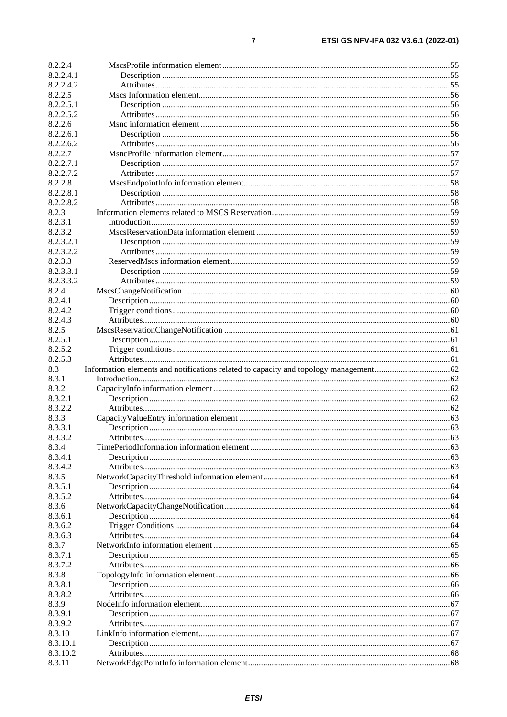| 8.2.2.4   |  |
|-----------|--|
| 8.2.2.4.1 |  |
| 8.2.2.4.2 |  |
| 8.2.2.5   |  |
| 8.2.2.5.1 |  |
| 8.2.2.5.2 |  |
| 8.2.2.6   |  |
| 8.2.2.6.1 |  |
| 8.2.2.6.2 |  |
| 8.2.2.7   |  |
| 8.2.2.7.1 |  |
| 8.2.2.7.2 |  |
| 8.2.2.8   |  |
| 8.2.2.8.1 |  |
| 8.2.2.8.2 |  |
| 8.2.3     |  |
| 8.2.3.1   |  |
| 8.2.3.2   |  |
| 8.2.3.2.1 |  |
| 8.2.3.2.2 |  |
| 8.2.3.3   |  |
| 8.2.3.3.1 |  |
| 8.2.3.3.2 |  |
| 8.2.4     |  |
| 8.2.4.1   |  |
| 8.2.4.2   |  |
| 8.2.4.3   |  |
| 8.2.5     |  |
| 8.2.5.1   |  |
| 8.2.5.2   |  |
| 8.2.5.3   |  |
| 8.3       |  |
| 8.3.1     |  |
| 8.3.2     |  |
| 8.3.2.1   |  |
| 8.3.2.2   |  |
| 8.3.3     |  |
| 8.3.3.1   |  |
| 8.3.3.2   |  |
| 8.3.4     |  |
| 8.3.4.1   |  |
| 8.3.4.2   |  |
| 8.3.5     |  |
| 8.3.5.1   |  |
| 8.3.5.2   |  |
| 8.3.6     |  |
| 8.3.6.1   |  |
| 8.3.6.2   |  |
| 8.3.6.3   |  |
| 8.3.7     |  |
| 8.3.7.1   |  |
| 8.3.7.2   |  |
| 8.3.8     |  |
| 8.3.8.1   |  |
| 8.3.8.2   |  |
| 8.3.9     |  |
| 8.3.9.1   |  |
| 8.3.9.2   |  |
| 8.3.10    |  |
| 8.3.10.1  |  |
| 8.3.10.2  |  |
| 8.3.11    |  |
|           |  |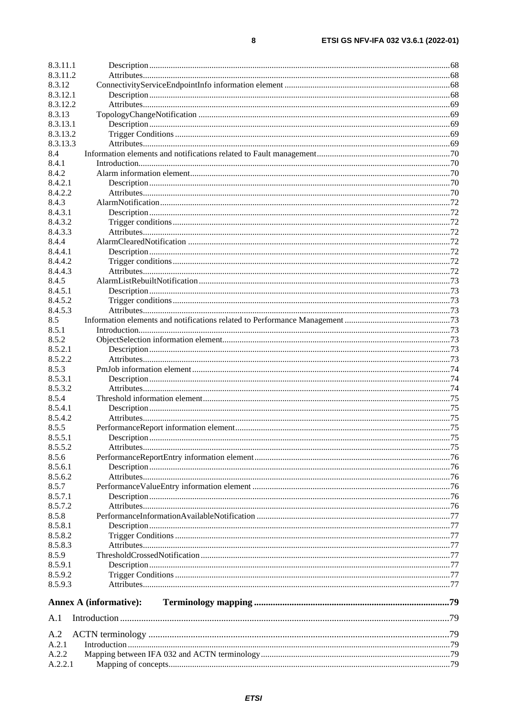| 8.3.11.1 |                               |  |
|----------|-------------------------------|--|
| 8.3.11.2 |                               |  |
| 8.3.12   |                               |  |
| 8.3.12.1 |                               |  |
| 8.3.12.2 |                               |  |
| 8.3.13   |                               |  |
| 8.3.13.1 |                               |  |
| 8.3.13.2 |                               |  |
| 8.3.13.3 |                               |  |
| 8.4      |                               |  |
| 8.4.1    |                               |  |
| 8.4.2    |                               |  |
| 8.4.2.1  |                               |  |
| 8.4.2.2  |                               |  |
| 8.4.3    |                               |  |
| 8.4.3.1  |                               |  |
| 8.4.3.2  |                               |  |
| 8.4.3.3  |                               |  |
| 8.4.4    |                               |  |
| 8.4.4.1  |                               |  |
| 8.4.4.2  |                               |  |
| 8.4.4.3  |                               |  |
| 8.4.5    |                               |  |
| 8.4.5.1  |                               |  |
| 8.4.5.2  |                               |  |
|          |                               |  |
| 8.4.5.3  |                               |  |
| 8.5      |                               |  |
| 8.5.1    |                               |  |
| 8.5.2    |                               |  |
| 8.5.2.1  |                               |  |
| 8.5.2.2  |                               |  |
| 8.5.3    |                               |  |
| 8.5.3.1  |                               |  |
| 8.5.3.2  |                               |  |
| 8.5.4    |                               |  |
| 8.5.4.1  |                               |  |
| 8.5.4.2  |                               |  |
| 8.5.5    |                               |  |
| 8.5.5.1  |                               |  |
| 8.5.5.2  |                               |  |
| 8.5.6    |                               |  |
| 8.5.6.1  |                               |  |
| 8.5.6.2  |                               |  |
| 8.5.7    |                               |  |
| 8.5.7.1  |                               |  |
| 8.5.7.2  |                               |  |
| 8.5.8    |                               |  |
| 8.5.8.1  |                               |  |
| 8.5.8.2  |                               |  |
| 8.5.8.3  |                               |  |
| 8.5.9    |                               |  |
| 8.5.9.1  |                               |  |
| 8.5.9.2  |                               |  |
| 8.5.9.3  |                               |  |
|          |                               |  |
|          | <b>Annex A (informative):</b> |  |
| A.1      |                               |  |
| A.2      |                               |  |
| A.2.1    |                               |  |
| A.2.2    |                               |  |
| A.2.2.1  |                               |  |
|          |                               |  |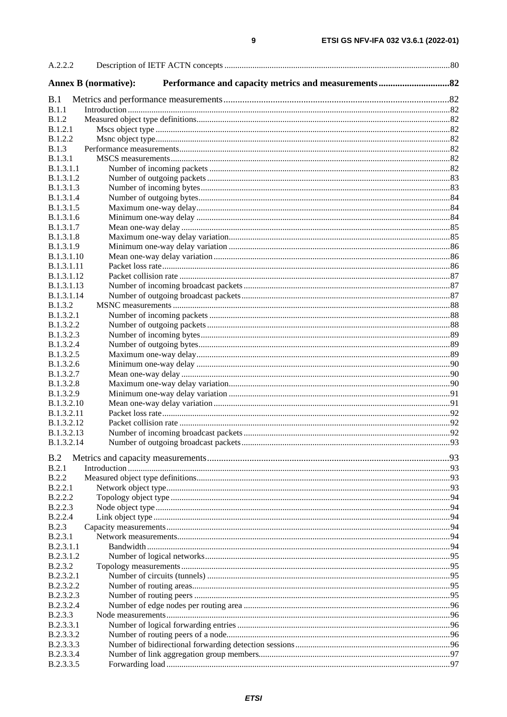| A.2.2.2                       |  |
|-------------------------------|--|
| <b>Annex B</b> (normative):   |  |
| B.1                           |  |
| B.1.1                         |  |
| B.1.2<br><b>B.1.2.1</b>       |  |
| <b>B.1.2.2</b>                |  |
| B.1.3                         |  |
| <b>B.1.3.1</b>                |  |
| <b>B.1.3.1.1</b>              |  |
| <b>B.1.3.1.2</b>              |  |
| <b>B.1.3.1.3</b>              |  |
| <b>B.1.3.1.4</b>              |  |
| B.1.3.1.5                     |  |
| B.1.3.1.6<br><b>B.1.3.1.7</b> |  |
| <b>B.1.3.1.8</b>              |  |
| B.1.3.1.9                     |  |
| <b>B.1.3.1.10</b>             |  |
| <b>B.1.3.1.11</b>             |  |
| <b>B.1.3.1.12</b>             |  |
| <b>B.1.3.1.13</b>             |  |
| B.1.3.1.14                    |  |
| <b>B.1.3.2</b>                |  |
| <b>B.1.3.2.1</b>              |  |
| B.1.3.2.2<br>B.1.3.2.3        |  |
| B.1.3.2.4                     |  |
| <b>B.1.3.2.5</b>              |  |
| B.1.3.2.6                     |  |
| B.1.3.2.7                     |  |
| B.1.3.2.8                     |  |
| B.1.3.2.9                     |  |
| <b>B.1.3.2.10</b>             |  |
| B.1.3.2.11                    |  |
| <b>B.1.3.2.12</b>             |  |
| B.1.3.2.13<br>B.1.3.2.14      |  |
|                               |  |
| B.2                           |  |
| B.2.1                         |  |
| B.2.2                         |  |
| B.2.2.1                       |  |
| B.2.2.2<br>B.2.2.3            |  |
| B.2.2.4                       |  |
| <b>B.2.3</b>                  |  |
| B.2.3.1                       |  |
| B.2.3.1.1                     |  |
| B.2.3.1.2                     |  |
| <b>B.2.3.2</b>                |  |
| B.2.3.2.1                     |  |
| B.2.3.2.2                     |  |
| B.2.3.2.3                     |  |
| B.2.3.2.4                     |  |
| <b>B.2.3.3</b><br>B.2.3.3.1   |  |
| B.2.3.3.2                     |  |
| B.2.3.3.3                     |  |
| B.2.3.3.4                     |  |
| B.2.3.3.5                     |  |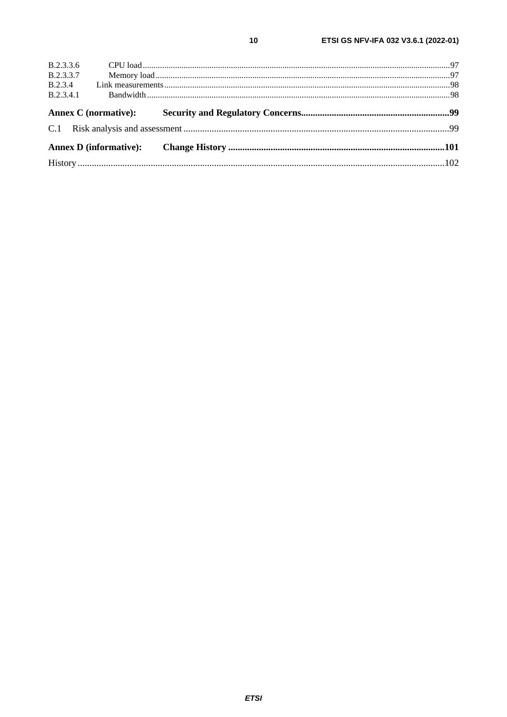| B.2.3.3.6        |  |  |
|------------------|--|--|
| <b>B.2.3.3.7</b> |  |  |
|                  |  |  |
| B.2.3.4.1        |  |  |
|                  |  |  |
|                  |  |  |
|                  |  |  |
|                  |  |  |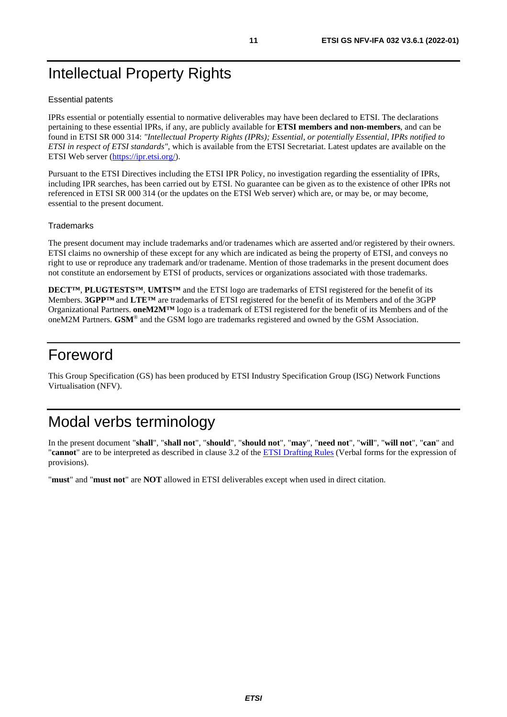# <span id="page-10-0"></span>Intellectual Property Rights

#### Essential patents

IPRs essential or potentially essential to normative deliverables may have been declared to ETSI. The declarations pertaining to these essential IPRs, if any, are publicly available for **ETSI members and non-members**, and can be found in ETSI SR 000 314: *"Intellectual Property Rights (IPRs); Essential, or potentially Essential, IPRs notified to ETSI in respect of ETSI standards"*, which is available from the ETSI Secretariat. Latest updates are available on the ETSI Web server ([https://ipr.etsi.org/\)](https://ipr.etsi.org/).

Pursuant to the ETSI Directives including the ETSI IPR Policy, no investigation regarding the essentiality of IPRs, including IPR searches, has been carried out by ETSI. No guarantee can be given as to the existence of other IPRs not referenced in ETSI SR 000 314 (or the updates on the ETSI Web server) which are, or may be, or may become, essential to the present document.

#### **Trademarks**

The present document may include trademarks and/or tradenames which are asserted and/or registered by their owners. ETSI claims no ownership of these except for any which are indicated as being the property of ETSI, and conveys no right to use or reproduce any trademark and/or tradename. Mention of those trademarks in the present document does not constitute an endorsement by ETSI of products, services or organizations associated with those trademarks.

**DECT™**, **PLUGTESTS™**, **UMTS™** and the ETSI logo are trademarks of ETSI registered for the benefit of its Members. **3GPP™** and **LTE™** are trademarks of ETSI registered for the benefit of its Members and of the 3GPP Organizational Partners. **oneM2M™** logo is a trademark of ETSI registered for the benefit of its Members and of the oneM2M Partners. **GSM**® and the GSM logo are trademarks registered and owned by the GSM Association.

# Foreword

This Group Specification (GS) has been produced by ETSI Industry Specification Group (ISG) Network Functions Virtualisation (NFV).

# Modal verbs terminology

In the present document "**shall**", "**shall not**", "**should**", "**should not**", "**may**", "**need not**", "**will**", "**will not**", "**can**" and "**cannot**" are to be interpreted as described in clause 3.2 of the [ETSI Drafting Rules](https://portal.etsi.org/Services/editHelp!/Howtostart/ETSIDraftingRules.aspx) (Verbal forms for the expression of provisions).

"**must**" and "**must not**" are **NOT** allowed in ETSI deliverables except when used in direct citation.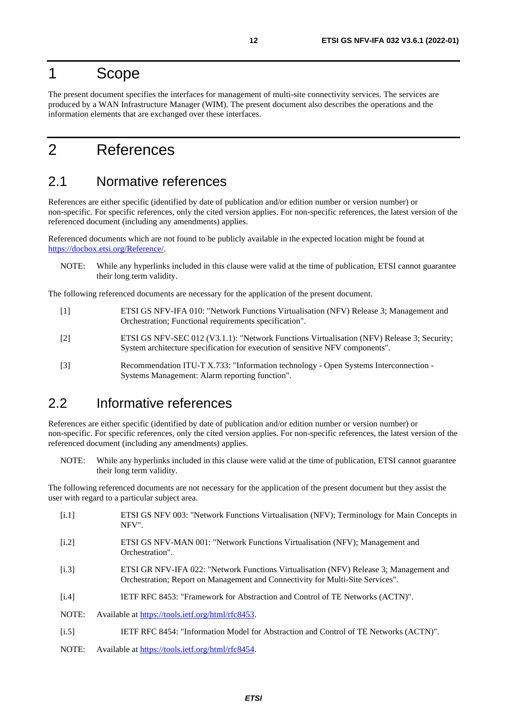# <span id="page-11-0"></span>1 Scope

The present document specifies the interfaces for management of multi-site connectivity services. The services are produced by a WAN Infrastructure Manager (WIM). The present document also describes the operations and the information elements that are exchanged over these interfaces.

# 2 References

# 2.1 Normative references

References are either specific (identified by date of publication and/or edition number or version number) or non-specific. For specific references, only the cited version applies. For non-specific references, the latest version of the referenced document (including any amendments) applies.

Referenced documents which are not found to be publicly available in the expected location might be found at <https://docbox.etsi.org/Reference/>.

NOTE: While any hyperlinks included in this clause were valid at the time of publication, ETSI cannot guarantee their long term validity.

The following referenced documents are necessary for the application of the present document.

- [1] ETSI GS NFV-IFA 010: "Network Functions Virtualisation (NFV) Release 3; Management and Orchestration; Functional requirements specification".
- [2] ETSI GS NFV-SEC 012 (V3.1.1): "Network Functions Virtualisation (NFV) Release 3; Security; System architecture specification for execution of sensitive NFV components".
- [3] Recommendation ITU-T X.733: "Information technology Open Systems Interconnection Systems Management: Alarm reporting function".

# 2.2 Informative references

References are either specific (identified by date of publication and/or edition number or version number) or non-specific. For specific references, only the cited version applies. For non-specific references, the latest version of the referenced document (including any amendments) applies.

NOTE: While any hyperlinks included in this clause were valid at the time of publication, ETSI cannot guarantee their long term validity.

The following referenced documents are not necessary for the application of the present document but they assist the user with regard to a particular subject area.

[i.1] ETSI GS NFV 003: "Network Functions Virtualisation (NFV); Terminology for Main Concepts in NFV". [i.2] ETSI GS NFV-MAN 001: "Network Functions Virtualisation (NFV); Management and Orchestration". [i.3] ETSI GR NFV-IFA 022: "Network Functions Virtualisation (NFV) Release 3; Management and Orchestration; Report on Management and Connectivity for Multi-Site Services". [i.4] IETF RFC 8453: "Framework for Abstraction and Control of TE Networks (ACTN)". NOTE: Available at<https://tools.ietf.org/html/rfc8453>. [i.5] IETF RFC 8454: "Information Model for Abstraction and Control of TE Networks (ACTN)". NOTE: Available at<https://tools.ietf.org/html/rfc8454>.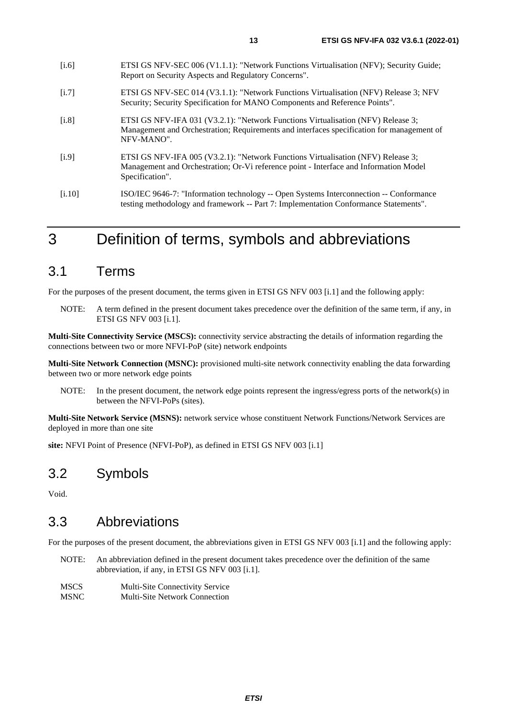- <span id="page-12-0"></span>[i.7] ETSI GS NFV-SEC 014 (V3.1.1): "Network Functions Virtualisation (NFV) Release 3; NFV Security; Security Specification for MANO Components and Reference Points".
- [i.8] ETSI GS NFV-IFA 031 (V3.2.1): "Network Functions Virtualisation (NFV) Release 3; Management and Orchestration; Requirements and interfaces specification for management of NFV-MANO".
- [i.9] ETSI GS NFV-IFA 005 (V3.2.1): "Network Functions Virtualisation (NFV) Release 3; Management and Orchestration; Or-Vi reference point - Interface and Information Model Specification".
- [i.10] ISO/IEC 9646-7: "Information technology -- Open Systems Interconnection -- Conformance testing methodology and framework -- Part 7: Implementation Conformance Statements".

# 3 Definition of terms, symbols and abbreviations

# 3.1 Terms

For the purposes of the present document, the terms given in ETSI GS NFV 003 [[i.1](#page-11-0)] and the following apply:

NOTE: A term defined in the present document takes precedence over the definition of the same term, if any, in ETSI GS NFV 003 [\[i.1\]](#page-11-0).

**Multi-Site Connectivity Service (MSCS):** connectivity service abstracting the details of information regarding the connections between two or more NFVI-PoP (site) network endpoints

**Multi-Site Network Connection (MSNC):** provisioned multi-site network connectivity enabling the data forwarding between two or more network edge points

NOTE: In the present document, the network edge points represent the ingress/egress ports of the network(s) in between the NFVI-PoPs (sites).

**Multi-Site Network Service (MSNS):** network service whose constituent Network Functions/Network Services are deployed in more than one site

**site:** NFVI Point of Presence (NFVI-PoP), as defined in ETSI GS NFV 003 [\[i.1\]](#page-11-0)

# 3.2 Symbols

Void.

# 3.3 Abbreviations

For the purposes of the present document, the abbreviations given in ETSI GS NFV 003 [\[i.1\]](#page-11-0) and the following apply:

- NOTE: An abbreviation defined in the present document takes precedence over the definition of the same abbreviation, if any, in ETSI GS NFV 003 [[i.1](#page-11-0)].
- MSCS Multi-Site Connectivity Service MSNC Multi-Site Network Connection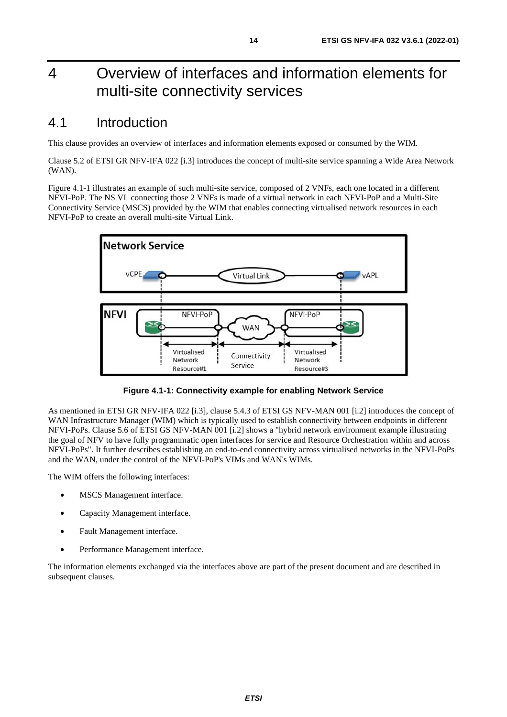# <span id="page-13-0"></span>4 Overview of interfaces and information elements for multi-site connectivity services

# 4.1 Introduction

This clause provides an overview of interfaces and information elements exposed or consumed by the WIM.

Clause 5.2 of ETSI GR NFV-IFA 022 [[i.3](#page-11-0)] introduces the concept of multi-site service spanning a Wide Area Network (WAN).

Figure 4.1-1 illustrates an example of such multi-site service, composed of 2 VNFs, each one located in a different NFVI-PoP. The NS VL connecting those 2 VNFs is made of a virtual network in each NFVI-PoP and a Multi-Site Connectivity Service (MSCS) provided by the WIM that enables connecting virtualised network resources in each NFVI-PoP to create an overall multi-site Virtual Link.



**Figure 4.1-1: Connectivity example for enabling Network Service** 

As mentioned in ETSI GR NFV-IFA 022 [\[i.3](#page-11-0)], clause 5.4.3 of ETSI GS NFV-MAN 001 [\[i.2\]](#page-11-0) introduces the concept of WAN Infrastructure Manager (WIM) which is typically used to establish connectivity between endpoints in different NFVI-PoPs. Clause 5.6 of ETSI GS NFV-MAN 001 [\[i.2](#page-11-0)] shows a "hybrid network environment example illustrating the goal of NFV to have fully programmatic open interfaces for service and Resource Orchestration within and across NFVI-PoPs". It further describes establishing an end-to-end connectivity across virtualised networks in the NFVI-PoPs and the WAN, under the control of the NFVI-PoP's VIMs and WAN's WIMs.

The WIM offers the following interfaces:

- MSCS Management interface.
- Capacity Management interface.
- Fault Management interface.
- Performance Management interface.

The information elements exchanged via the interfaces above are part of the present document and are described in subsequent clauses.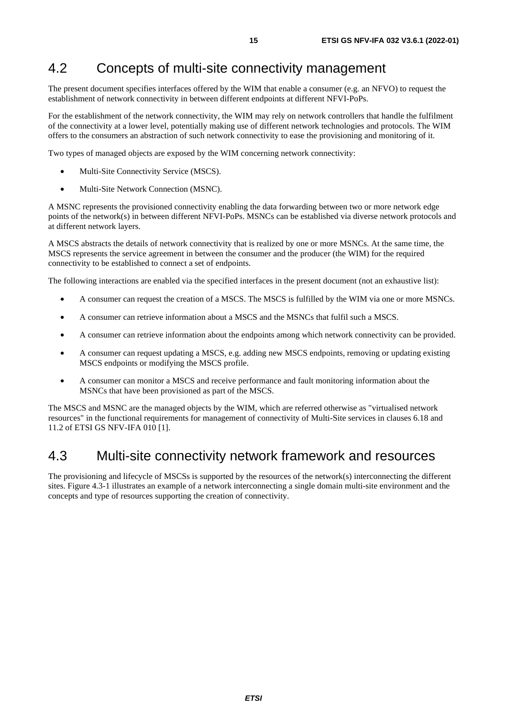# <span id="page-14-0"></span>4.2 Concepts of multi-site connectivity management

The present document specifies interfaces offered by the WIM that enable a consumer (e.g. an NFVO) to request the establishment of network connectivity in between different endpoints at different NFVI-PoPs.

For the establishment of the network connectivity, the WIM may rely on network controllers that handle the fulfilment of the connectivity at a lower level, potentially making use of different network technologies and protocols. The WIM offers to the consumers an abstraction of such network connectivity to ease the provisioning and monitoring of it.

Two types of managed objects are exposed by the WIM concerning network connectivity:

- Multi-Site Connectivity Service (MSCS).
- Multi-Site Network Connection (MSNC).

A MSNC represents the provisioned connectivity enabling the data forwarding between two or more network edge points of the network(s) in between different NFVI-PoPs. MSNCs can be established via diverse network protocols and at different network layers.

A MSCS abstracts the details of network connectivity that is realized by one or more MSNCs. At the same time, the MSCS represents the service agreement in between the consumer and the producer (the WIM) for the required connectivity to be established to connect a set of endpoints.

The following interactions are enabled via the specified interfaces in the present document (not an exhaustive list):

- A consumer can request the creation of a MSCS. The MSCS is fulfilled by the WIM via one or more MSNCs.
- A consumer can retrieve information about a MSCS and the MSNCs that fulfil such a MSCS.
- A consumer can retrieve information about the endpoints among which network connectivity can be provided.
- A consumer can request updating a MSCS, e.g. adding new MSCS endpoints, removing or updating existing MSCS endpoints or modifying the MSCS profile.
- A consumer can monitor a MSCS and receive performance and fault monitoring information about the MSNCs that have been provisioned as part of the MSCS.

The MSCS and MSNC are the managed objects by the WIM, which are referred otherwise as "virtualised network resources" in the functional requirements for management of connectivity of Multi-Site services in clauses 6.18 and 11.2 of ETSI GS NFV-IFA 010 [\[1](#page-11-0)].

# 4.3 Multi-site connectivity network framework and resources

The provisioning and lifecycle of MSCSs is supported by the resources of the network(s) interconnecting the different sites. Figure 4.3-1 illustrates an example of a network interconnecting a single domain multi-site environment and the concepts and type of resources supporting the creation of connectivity.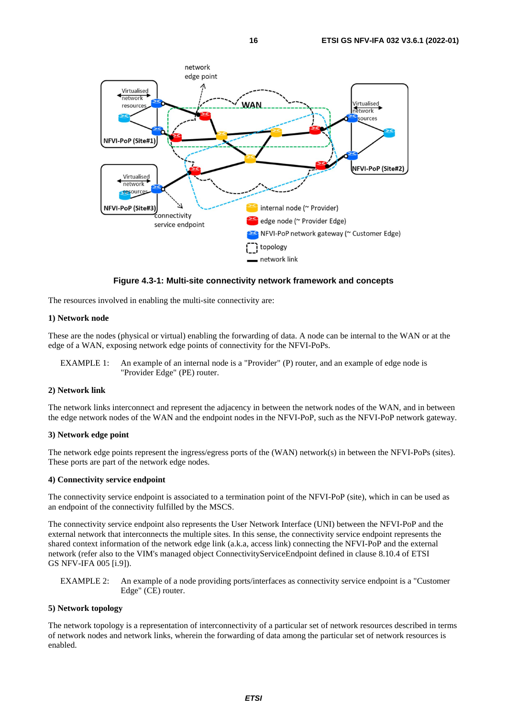

**Figure 4.3-1: Multi-site connectivity network framework and concepts** 

The resources involved in enabling the multi-site connectivity are:

#### **1) Network node**

These are the nodes (physical or virtual) enabling the forwarding of data. A node can be internal to the WAN or at the edge of a WAN, exposing network edge points of connectivity for the NFVI-PoPs.

EXAMPLE 1: An example of an internal node is a "Provider" (P) router, and an example of edge node is "Provider Edge" (PE) router.

#### **2) Network link**

The network links interconnect and represent the adjacency in between the network nodes of the WAN, and in between the edge network nodes of the WAN and the endpoint nodes in the NFVI-PoP, such as the NFVI-PoP network gateway.

#### **3) Network edge point**

The network edge points represent the ingress/egress ports of the (WAN) network(s) in between the NFVI-PoPs (sites). These ports are part of the network edge nodes.

#### **4) Connectivity service endpoint**

The connectivity service endpoint is associated to a termination point of the NFVI-PoP (site), which in can be used as an endpoint of the connectivity fulfilled by the MSCS.

The connectivity service endpoint also represents the User Network Interface (UNI) between the NFVI-PoP and the external network that interconnects the multiple sites. In this sense, the connectivity service endpoint represents the shared context information of the network edge link (a.k.a, access link) connecting the NFVI-PoP and the external network (refer also to the VIM's managed object ConnectivityServiceEndpoint defined in clause 8.10.4 of ETSI GS NFV-IFA 005 [[i.9](#page-12-0)]).

EXAMPLE 2: An example of a node providing ports/interfaces as connectivity service endpoint is a "Customer Edge" (CE) router.

#### **5) Network topology**

The network topology is a representation of interconnectivity of a particular set of network resources described in terms of network nodes and network links, wherein the forwarding of data among the particular set of network resources is enabled.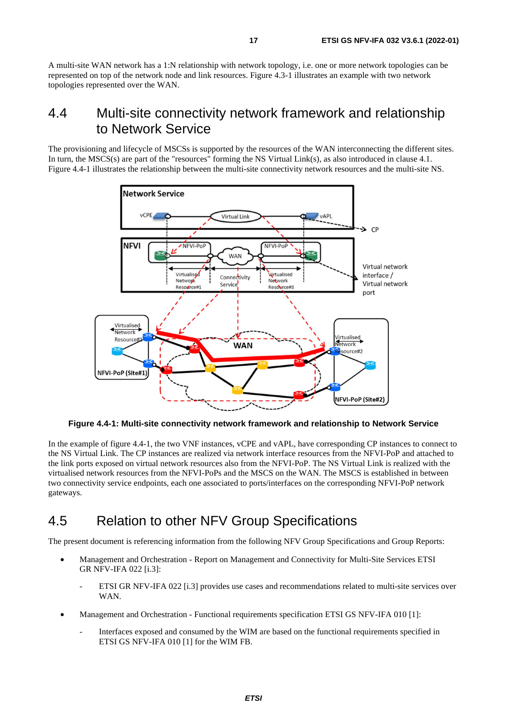<span id="page-16-0"></span>A multi-site WAN network has a 1:N relationship with network topology, i.e. one or more network topologies can be represented on top of the network node and link resources. Figure 4.3-1 illustrates an example with two network topologies represented over the WAN.

# 4.4 Multi-site connectivity network framework and relationship to Network Service

The provisioning and lifecycle of MSCSs is supported by the resources of the WAN interconnecting the different sites. In turn, the MSCS(s) are part of the "resources" forming the NS Virtual Link(s), as also introduced in clause 4.1. Figure 4.4-1 illustrates the relationship between the multi-site connectivity network resources and the multi-site NS.



**Figure 4.4-1: Multi-site connectivity network framework and relationship to Network Service** 

In the example of figure 4.4-1, the two VNF instances, vCPE and vAPL, have corresponding CP instances to connect to the NS Virtual Link. The CP instances are realized via network interface resources from the NFVI-PoP and attached to the link ports exposed on virtual network resources also from the NFVI-PoP. The NS Virtual Link is realized with the virtualised network resources from the NFVI-PoPs and the MSCS on the WAN. The MSCS is established in between two connectivity service endpoints, each one associated to ports/interfaces on the corresponding NFVI-PoP network gateways.

# 4.5 Relation to other NFV Group Specifications

The present document is referencing information from the following NFV Group Specifications and Group Reports:

- Management and Orchestration Report on Management and Connectivity for Multi-Site Services ETSI GR NFV-IFA 022 [\[i.3\]](#page-11-0):
	- ETSI GR NFV-IFA 022 [[i.3](#page-11-0)] provides use cases and recommendations related to multi-site services over WAN.
- Management and Orchestration Functional requirements specification ETSI GS NFV-IFA 010 [\[1](#page-11-0)]:
	- Interfaces exposed and consumed by the WIM are based on the functional requirements specified in ETSI GS NFV-IFA 010 [[1](#page-11-0)] for the WIM FB.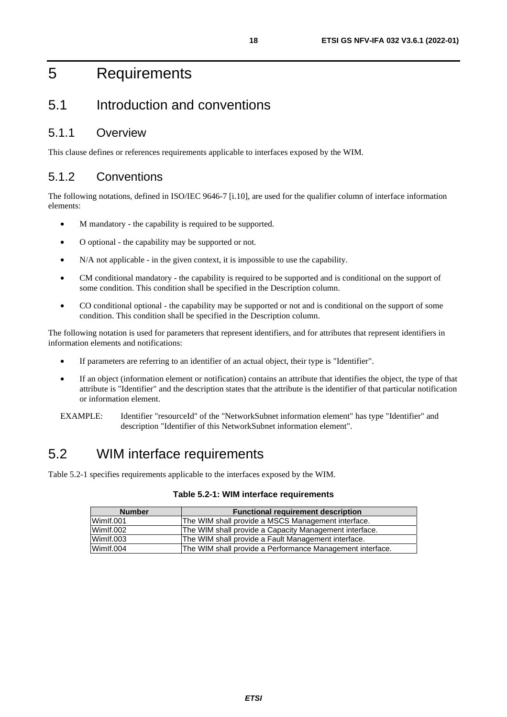# <span id="page-17-0"></span>5 Requirements

# 5.1 Introduction and conventions

# 5.1.1 Overview

This clause defines or references requirements applicable to interfaces exposed by the WIM.

# 5.1.2 Conventions

The following notations, defined in ISO/IEC 9646-7 [\[i.10\]](#page-12-0), are used for the qualifier column of interface information elements:

- M mandatory the capability is required to be supported.
- O optional the capability may be supported or not.
- N/A not applicable in the given context, it is impossible to use the capability.
- CM conditional mandatory the capability is required to be supported and is conditional on the support of some condition. This condition shall be specified in the Description column.
- CO conditional optional the capability may be supported or not and is conditional on the support of some condition. This condition shall be specified in the Description column.

The following notation is used for parameters that represent identifiers, and for attributes that represent identifiers in information elements and notifications:

- If parameters are referring to an identifier of an actual object, their type is "Identifier".
- If an object (information element or notification) contains an attribute that identifies the object, the type of that attribute is "Identifier" and the description states that the attribute is the identifier of that particular notification or information element.
- EXAMPLE: Identifier "resourceId" of the "NetworkSubnet information element" has type "Identifier" and description "Identifier of this NetworkSubnet information element".

# 5.2 WIM interface requirements

Table 5.2-1 specifies requirements applicable to the interfaces exposed by the WIM.

| <b>Number</b> | <b>Functional requirement description</b>                 |  |
|---------------|-----------------------------------------------------------|--|
| Wimlf.001     | The WIM shall provide a MSCS Management interface.        |  |
| Wimlf.002     | The WIM shall provide a Capacity Management interface.    |  |
| Wimlf.003     | The WIM shall provide a Fault Management interface.       |  |
| Wimlf.004     | The WIM shall provide a Performance Management interface. |  |

#### **Table 5.2-1: WIM interface requirements**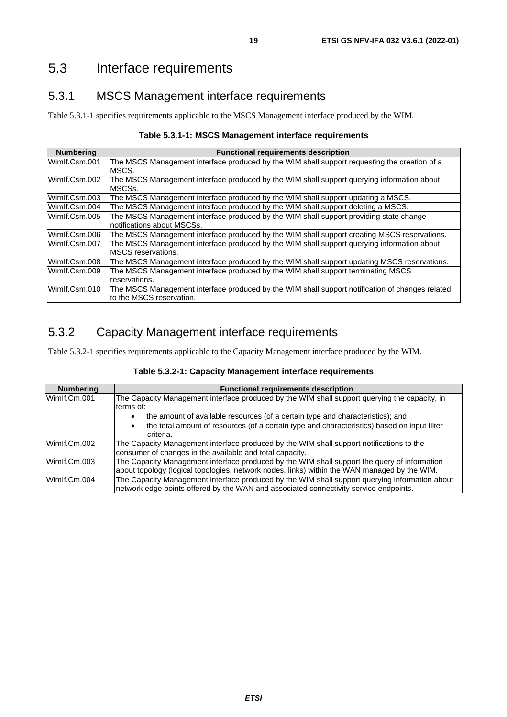# <span id="page-18-0"></span>5.3 Interface requirements

# 5.3.1 MSCS Management interface requirements

Table 5.3.1-1 specifies requirements applicable to the MSCS Management interface produced by the WIM.

|  | Table 5.3.1-1: MSCS Management interface requirements |  |
|--|-------------------------------------------------------|--|
|--|-------------------------------------------------------|--|

| <b>Numbering</b> | <b>Functional requirements description</b>                                                                                  |
|------------------|-----------------------------------------------------------------------------------------------------------------------------|
| Wimlf.Csm.001    | The MSCS Management interface produced by the WIM shall support requesting the creation of a<br>MSCS.                       |
| Wimlf.Csm.002    | The MSCS Management interface produced by the WIM shall support querying information about<br>MSCSs.                        |
| Wimlf.Csm.003    | The MSCS Management interface produced by the WIM shall support updating a MSCS.                                            |
| Wimlf.Csm.004    | The MSCS Management interface produced by the WIM shall support deleting a MSCS.                                            |
| Wimlf.Csm.005    | The MSCS Management interface produced by the WIM shall support providing state change<br>notifications about MSCSs.        |
| Wimlf.Csm.006    | The MSCS Management interface produced by the WIM shall support creating MSCS reservations.                                 |
| Wimlf.Csm.007    | The MSCS Management interface produced by the WIM shall support querying information about<br><b>MSCS</b> reservations.     |
| Wimlf.Csm.008    | The MSCS Management interface produced by the WIM shall support updating MSCS reservations.                                 |
| Wimlf.Csm.009    | The MSCS Management interface produced by the WIM shall support terminating MSCS<br>reservations.                           |
| Wimlf.Csm.010    | The MSCS Management interface produced by the WIM shall support notification of changes related<br>to the MSCS reservation. |

# 5.3.2 Capacity Management interface requirements

Table 5.3.2-1 specifies requirements applicable to the Capacity Management interface produced by the WIM.

| Table 5.3.2-1: Capacity Management interface requirements |  |
|-----------------------------------------------------------|--|
|-----------------------------------------------------------|--|

| <b>Numbering</b> | <b>Functional requirements description</b>                                                                                                                                                   |
|------------------|----------------------------------------------------------------------------------------------------------------------------------------------------------------------------------------------|
| Wimlf.Cm.001     | The Capacity Management interface produced by the WIM shall support querying the capacity, in<br>terms of:                                                                                   |
|                  | the amount of available resources (of a certain type and characteristics); and<br>$\bullet$                                                                                                  |
|                  | the total amount of resources (of a certain type and characteristics) based on input filter<br>$\bullet$<br>criteria.                                                                        |
| Wimlf.Cm.002     | The Capacity Management interface produced by the WIM shall support notifications to the<br>consumer of changes in the available and total capacity.                                         |
| Wimlf.Cm.003     | The Capacity Management interface produced by the WIM shall support the guery of information<br>about topology (logical topologies, network nodes, links) within the WAN managed by the WIM. |
| Wimlf.Cm.004     | The Capacity Management interface produced by the WIM shall support querying information about<br>network edge points offered by the WAN and associated connectivity service endpoints.      |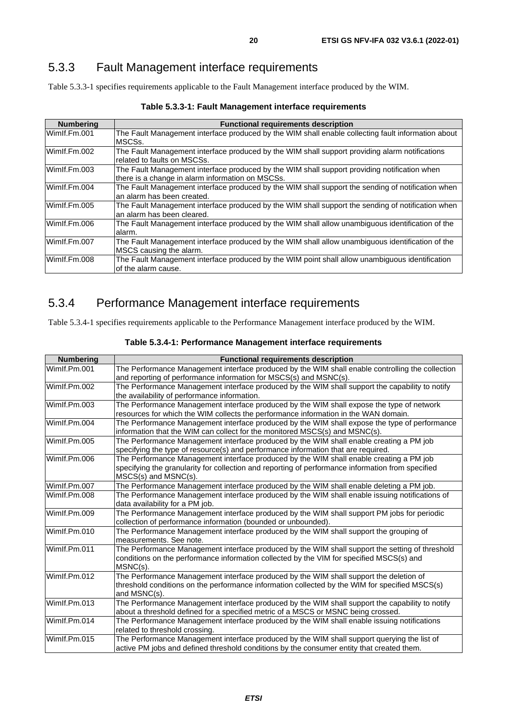# <span id="page-19-0"></span>5.3.3 Fault Management interface requirements

Table 5.3.3-1 specifies requirements applicable to the Fault Management interface produced by the WIM.

| <b>Numbering</b> | <b>Functional requirements description</b>                                                                                                       |
|------------------|--------------------------------------------------------------------------------------------------------------------------------------------------|
| Wimlf.Fm.001     | The Fault Management interface produced by the WIM shall enable collecting fault information about<br>MSCS <sub>s</sub> .                        |
| Wimlf.Fm.002     | The Fault Management interface produced by the WIM shall support providing alarm notifications<br>related to faults on MSCSs.                    |
| Wimlf.Fm.003     | The Fault Management interface produced by the WIM shall support providing notification when<br>there is a change in alarm information on MSCSs. |
| Wimlf.Fm.004     | The Fault Management interface produced by the WIM shall support the sending of notification when<br>an alarm has been created.                  |
| Wimlf.Fm.005     | The Fault Management interface produced by the WIM shall support the sending of notification when<br>an alarm has been cleared.                  |
| Wimlf.Fm.006     | The Fault Management interface produced by the WIM shall allow unambiguous identification of the<br>alarm.                                       |
| Wimlf.Fm.007     | The Fault Management interface produced by the WIM shall allow unambiguous identification of the<br>MSCS causing the alarm.                      |
| Wimlf.Fm.008     | The Fault Management interface produced by the WIM point shall allow unambiguous identification<br>of the alarm cause.                           |

| Table 5.3.3-1: Fault Management interface requirements |
|--------------------------------------------------------|
|--------------------------------------------------------|

# 5.3.4 Performance Management interface requirements

Table 5.3.4-1 specifies requirements applicable to the Performance Management interface produced by the WIM.

| <b>Numbering</b> | <b>Functional requirements description</b>                                                        |
|------------------|---------------------------------------------------------------------------------------------------|
| Wimlf.Pm.001     | The Performance Management interface produced by the WIM shall enable controlling the collection  |
|                  | and reporting of performance information for MSCS(s) and MSNC(s).                                 |
| Wimlf.Pm.002     | The Performance Management interface produced by the WIM shall support the capability to notify   |
|                  | the availability of performance information.                                                      |
| Wimlf.Pm.003     | The Performance Management interface produced by the WIM shall expose the type of network         |
|                  | resources for which the WIM collects the performance information in the WAN domain.               |
| Wimlf.Pm.004     | The Performance Management interface produced by the WIM shall expose the type of performance     |
|                  | information that the WIM can collect for the monitored MSCS(s) and MSNC(s).                       |
| Wimlf.Pm.005     | The Performance Management interface produced by the WIM shall enable creating a PM job           |
|                  | specifying the type of resource(s) and performance information that are required.                 |
| Wimlf.Pm.006     | The Performance Management interface produced by the WIM shall enable creating a PM job           |
|                  | specifying the granularity for collection and reporting of performance information from specified |
|                  | $MSCS(s)$ and $MSNC(s)$ .                                                                         |
| Wimlf.Pm.007     | The Performance Management interface produced by the WIM shall enable deleting a PM job.          |
| Wimlf.Pm.008     | The Performance Management interface produced by the WIM shall enable issuing notifications of    |
|                  | data availability for a PM job.                                                                   |
| Wimlf.Pm.009     | The Performance Management interface produced by the WIM shall support PM jobs for periodic       |
|                  | collection of performance information (bounded or unbounded).                                     |
| Wimlf.Pm.010     | The Performance Management interface produced by the WIM shall support the grouping of            |
|                  | measurements. See note.                                                                           |
| Wimlf.Pm.011     | The Performance Management interface produced by the WIM shall support the setting of threshold   |
|                  | conditions on the performance information collected by the VIM for specified MSCS(s) and          |
|                  | $MSNC(s)$ .                                                                                       |
| Wimlf.Pm.012     | The Performance Management interface produced by the WIM shall support the deletion of            |
|                  | threshold conditions on the performance information collected by the WIM for specified MSCS(s)    |
|                  | and MSNC(s).                                                                                      |
| Wimlf.Pm.013     | The Performance Management interface produced by the WIM shall support the capability to notify   |
|                  | about a threshold defined for a specified metric of a MSCS or MSNC being crossed.                 |
| Wimlf.Pm.014     | The Performance Management interface produced by the WIM shall enable issuing notifications       |
|                  | related to threshold crossing.                                                                    |
| Wimlf.Pm.015     | The Performance Management interface produced by the WIM shall support querying the list of       |
|                  | active PM jobs and defined threshold conditions by the consumer entity that created them.         |

### **Table 5.3.4-1: Performance Management interface requirements**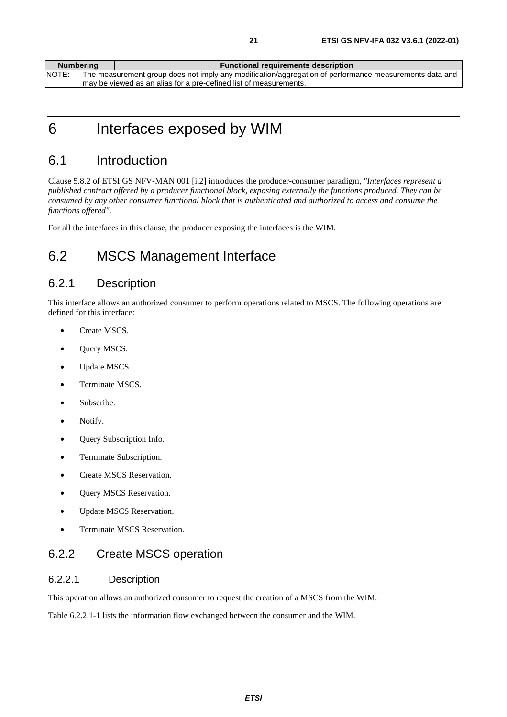<span id="page-20-0"></span>

| <b>Numbering</b> | <b>Functional requirements description</b>                                                             |
|------------------|--------------------------------------------------------------------------------------------------------|
| NOTE:            | The measurement group does not imply any modification/aggregation of performance measurements data and |
|                  | may be viewed as an alias for a pre-defined list of measurements.                                      |

6 Interfaces exposed by WIM

# 6.1 Introduction

Clause 5.8.2 of ETSI GS NFV-MAN 001 [[i.2\]](#page-11-0) introduces the producer-consumer paradigm, *"Interfaces represent a published contract offered by a producer functional block, exposing externally the functions produced. They can be consumed by any other consumer functional block that is authenticated and authorized to access and consume the functions offered"*.

For all the interfaces in this clause, the producer exposing the interfaces is the WIM.

# 6.2 MSCS Management Interface

# 6.2.1 Description

This interface allows an authorized consumer to perform operations related to MSCS. The following operations are defined for this interface:

- Create MSCS.
- Query MSCS.
- Update MSCS.
- Terminate MSCS.
- Subscribe.
- Notify.
- Query Subscription Info.
- Terminate Subscription.
- Create MSCS Reservation.
- Query MSCS Reservation.
- Update MSCS Reservation.
- Terminate MSCS Reservation.

# 6.2.2 Create MSCS operation

### 6.2.2.1 Description

This operation allows an authorized consumer to request the creation of a MSCS from the WIM.

Table 6.2.2.1-1 lists the information flow exchanged between the consumer and the WIM.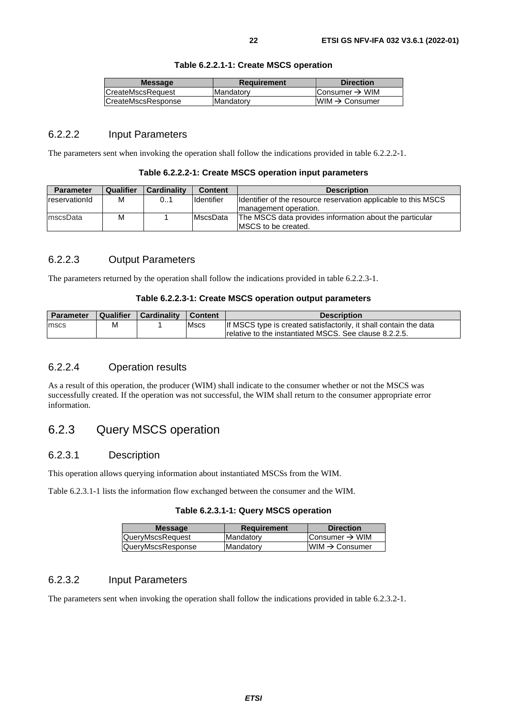| Table 6.2.2.1-1: Create MSCS operation |  |  |
|----------------------------------------|--|--|
|----------------------------------------|--|--|

<span id="page-21-0"></span>

| <b>Message</b>            | Requirement       | <b>Direction</b>           |
|---------------------------|-------------------|----------------------------|
| CreateMscsRequest         | <b>IMandatorv</b> | Consumer $\rightarrow$ WIM |
| <b>CreateMscsResponse</b> | Mandatory         | $WIM \rightarrow Consumer$ |

### 6.2.2.2 Input Parameters

The parameters sent when invoking the operation shall follow the indications provided in table 6.2.2.2-1.

| <b>Parameter</b> | <b>Qualifier</b> | Cardinality | <b>Content</b>    | <b>Description</b>                                              |
|------------------|------------------|-------------|-------------------|-----------------------------------------------------------------|
| reservationId    | M                | 01          | <b>Identifier</b> | Ildentifier of the resource reservation applicable to this MSCS |
|                  |                  |             |                   | Imanagement operation.                                          |
| mscsData         | M                |             | <b>MscsData</b>   | The MSCS data provides information about the particular         |
|                  |                  |             |                   | MSCS to be created.                                             |

### 6.2.2.3 Output Parameters

The parameters returned by the operation shall follow the indications provided in table 6.2.2.3-1.

#### **Table 6.2.2.3-1: Create MSCS operation output parameters**

| Parameter | <b>Qualifier</b> | <b>Cardinality</b> | I Content   | <b>Description</b>                                                |
|-----------|------------------|--------------------|-------------|-------------------------------------------------------------------|
| mscs      | м                |                    | <b>Mscs</b> | If MSCS type is created satisfactorily, it shall contain the data |
|           |                  |                    |             | Irelative to the instantiated MSCS. See clause 8.2.2.5.           |

### 6.2.2.4 Operation results

As a result of this operation, the producer (WIM) shall indicate to the consumer whether or not the MSCS was successfully created. If the operation was not successful, the WIM shall return to the consumer appropriate error information.

# 6.2.3 Query MSCS operation

#### 6.2.3.1 Description

This operation allows querying information about instantiated MSCSs from the WIM.

Table 6.2.3.1-1 lists the information flow exchanged between the consumer and the WIM.

**Table 6.2.3.1-1: Query MSCS operation** 

| <b>Direction</b>               |
|--------------------------------|
| Consumer $\rightarrow$ WIM     |
| $l$ WIM $\rightarrow$ Consumer |
|                                |

### 6.2.3.2 Input Parameters

The parameters sent when invoking the operation shall follow the indications provided in table 6.2.3.2-1.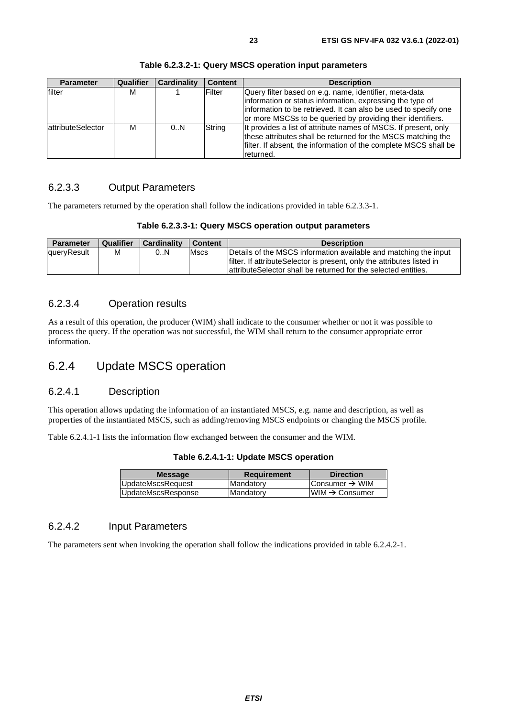<span id="page-22-0"></span>

| <b>Parameter</b>  | Qualifier | <b>Cardinality</b> | <b>Content</b> | <b>Description</b>                                                                                                                                                                                                                                    |
|-------------------|-----------|--------------------|----------------|-------------------------------------------------------------------------------------------------------------------------------------------------------------------------------------------------------------------------------------------------------|
| filter            | М         |                    | Filter         | Query filter based on e.g. name, identifier, meta-data<br>information or status information, expressing the type of<br>information to be retrieved. It can also be used to specify one<br>or more MSCSs to be queried by providing their identifiers. |
| attributeSelector | м         | 0.N                | String         | It provides a list of attribute names of MSCS. If present, only<br>these attributes shall be returned for the MSCS matching the<br>filter. If absent, the information of the complete MSCS shall be<br>returned.                                      |

**Table 6.2.3.2-1: Query MSCS operation input parameters** 

# 6.2.3.3 Output Parameters

The parameters returned by the operation shall follow the indications provided in table 6.2.3.3-1.

| Table 6.2.3.3-1: Query MSCS operation output parameters |  |  |  |  |
|---------------------------------------------------------|--|--|--|--|
|---------------------------------------------------------|--|--|--|--|

| Parameter   | Qualifier | <b>Cardinality</b> | Content     | <b>Description</b>                                                                                                                                                                                              |
|-------------|-----------|--------------------|-------------|-----------------------------------------------------------------------------------------------------------------------------------------------------------------------------------------------------------------|
| queryResult | м         | 0.N                | <b>Mscs</b> | Details of the MSCS information available and matching the input<br>filter. If attribute Selector is present, only the attributes listed in<br>lattribute Selector shall be returned for the selected entities. |

### 6.2.3.4 Operation results

As a result of this operation, the producer (WIM) shall indicate to the consumer whether or not it was possible to process the query. If the operation was not successful, the WIM shall return to the consumer appropriate error information.

# 6.2.4 Update MSCS operation

### 6.2.4.1 Description

This operation allows updating the information of an instantiated MSCS, e.g. name and description, as well as properties of the instantiated MSCS, such as adding/removing MSCS endpoints or changing the MSCS profile.

Table 6.2.4.1-1 lists the information flow exchanged between the consumer and the WIM.

| Table 6.2.4.1-1: Update MSCS operation |  |  |  |
|----------------------------------------|--|--|--|
|----------------------------------------|--|--|--|

| <b>Message</b>     | <b>Requirement</b> | <b>Direction</b>           |
|--------------------|--------------------|----------------------------|
| UpdateMscsRequest  | Mandatory          | Consumer $\rightarrow$ WIM |
| UpdateMscsResponse | Mandatory          | $WWW \rightarrow$ Consumer |

### 6.2.4.2 Input Parameters

The parameters sent when invoking the operation shall follow the indications provided in table 6.2.4.2-1.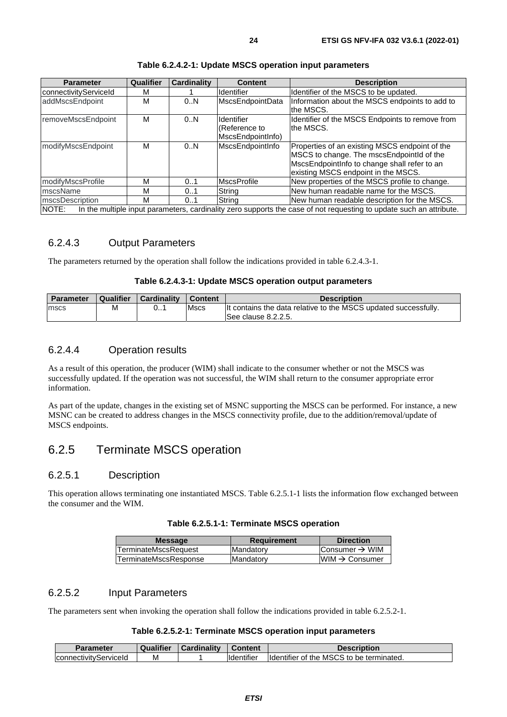<span id="page-23-0"></span>

| <b>Parameter</b>       | Qualifier | <b>Cardinality</b> | <b>Content</b>     | <b>Description</b>                                                                                                  |
|------------------------|-----------|--------------------|--------------------|---------------------------------------------------------------------------------------------------------------------|
| connectivityServiceId  | М         |                    | <b>Identifier</b>  | Identifier of the MSCS to be updated.                                                                               |
| addMscsEndpoint        | M         | 0.N                | MscsEndpointData   | Information about the MSCS endpoints to add to                                                                      |
|                        |           |                    |                    | lthe MSCS.                                                                                                          |
| removeMscsEndpoint     | M         | 0.N                | Ildentifier        | Identifier of the MSCS Endpoints to remove from                                                                     |
|                        |           |                    | (Reference to      | the MSCS.                                                                                                           |
|                        |           |                    | MscsEndpointInfo)  |                                                                                                                     |
| modifyMscsEndpoint     | M         | 0.N                | MscsEndpointInfo   | Properties of an existing MSCS endpoint of the                                                                      |
|                        |           |                    |                    | MSCS to change. The mscsEndpointId of the                                                                           |
|                        |           |                    |                    | MscsEndpointInfo to change shall refer to an                                                                        |
|                        |           |                    |                    | existing MSCS endpoint in the MSCS.                                                                                 |
| modifyMscsProfile      | M         | 0.1                | <b>MscsProfile</b> | New properties of the MSCS profile to change.                                                                       |
| mscsName               | M         | 0.1                | String             | New human readable name for the MSCS.                                                                               |
| <b>mscsDescription</b> | M         | 0.1                | String             | New human readable description for the MSCS.                                                                        |
| NOTE:                  |           |                    |                    | In the multiple input parameters, cardinality zero supports the case of not requesting to update such an attribute. |

#### **Table 6.2.4.2-1: Update MSCS operation input parameters**

# 6.2.4.3 Output Parameters

The parameters returned by the operation shall follow the indications provided in table 6.2.4.3-1.

#### **Table 6.2.4.3-1: Update MSCS operation output parameters**

| <b>Parameter</b> | Qualifier | <b>Cardinality</b> | <b>Content</b> | <b>Description</b>                                              |
|------------------|-----------|--------------------|----------------|-----------------------------------------------------------------|
| mscs             | M         | <b>U.I</b>         | Mscs           | It contains the data relative to the MSCS updated successfully. |
|                  |           |                    |                | ISee clause 8.2.2.5.                                            |

# 6.2.4.4 Operation results

As a result of this operation, the producer (WIM) shall indicate to the consumer whether or not the MSCS was successfully updated. If the operation was not successful, the WIM shall return to the consumer appropriate error information.

As part of the update, changes in the existing set of MSNC supporting the MSCS can be performed. For instance, a new MSNC can be created to address changes in the MSCS connectivity profile, due to the addition/removal/update of MSCS endpoints.

# 6.2.5 Terminate MSCS operation

### 6.2.5.1 Description

This operation allows terminating one instantiated MSCS. Table 6.2.5.1-1 lists the information flow exchanged between the consumer and the WIM.

| Table 6.2.5.1-1: Terminate MSCS operation |  |  |  |
|-------------------------------------------|--|--|--|
|-------------------------------------------|--|--|--|

| <b>Message</b>               | <b>Requirement</b> | <b>Direction</b>           |
|------------------------------|--------------------|----------------------------|
| <b>TerminateMscsRequest</b>  | <b>Mandatory</b>   | Consumer $\rightarrow$ WIM |
| <b>TerminateMscsResponse</b> | <b>Mandatory</b>   | $WIM \rightarrow$ Consumer |
|                              |                    |                            |

### 6.2.5.2 Input Parameters

The parameters sent when invoking the operation shall follow the indications provided in table 6.2.5.2-1.

#### **Table 6.2.5.2-1: Terminate MSCS operation input parameters**

| <b>Parameter</b>      | Qualifier | <b>Cardinality</b> | <b>Content</b>     | <b>Description</b>                        |
|-----------------------|-----------|--------------------|--------------------|-------------------------------------------|
| connectivityServiceId | ΙVΙ       |                    | <b>Ildentifier</b> | Ildentifier of the MSCS to be terminated. |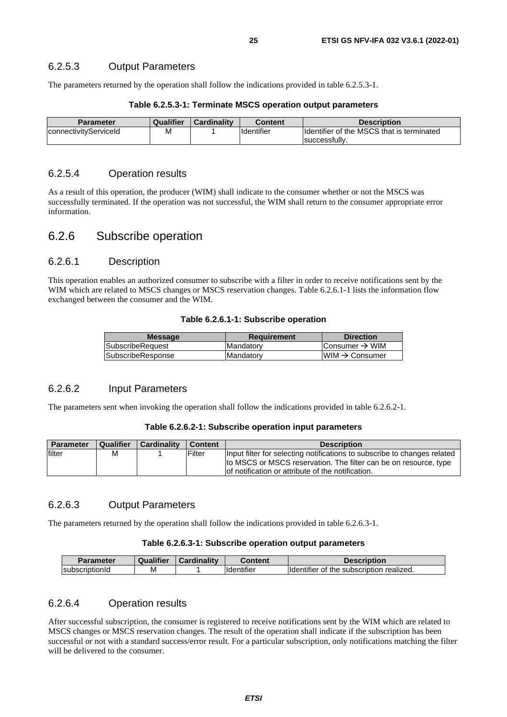### <span id="page-24-0"></span>6.2.5.3 Output Parameters

The parameters returned by the operation shall follow the indications provided in table 6.2.5.3-1.

| <b>Parameter</b>      | Qualifier | <b>Cardinality</b> | <b>Content</b>    | <b>Description</b>                        |
|-----------------------|-----------|--------------------|-------------------|-------------------------------------------|
| connectivityServiceId | Μ         |                    | <b>Identifier</b> | Identifier of the MSCS that is terminated |
|                       |           |                    |                   | successfully.                             |

#### **Table 6.2.5.3-1: Terminate MSCS operation output parameters**

### 6.2.5.4 Operation results

As a result of this operation, the producer (WIM) shall indicate to the consumer whether or not the MSCS was successfully terminated. If the operation was not successful, the WIM shall return to the consumer appropriate error information.

# 6.2.6 Subscribe operation

### 6.2.6.1 Description

This operation enables an authorized consumer to subscribe with a filter in order to receive notifications sent by the WIM which are related to MSCS changes or MSCS reservation changes. Table 6.2.6.1-1 lists the information flow exchanged between the consumer and the WIM.

#### **Table 6.2.6.1-1: Subscribe operation**

| <b>Message</b>    | Requirement       | <b>Direction</b>            |
|-------------------|-------------------|-----------------------------|
| SubscribeRequest  | <b>IMandatory</b> | Consumer $\rightarrow$ WIM  |
| SubscribeResponse | Mandatory         | IWIM $\rightarrow$ Consumer |
|                   |                   |                             |

### 6.2.6.2 Input Parameters

The parameters sent when invoking the operation shall follow the indications provided in table 6.2.6.2-1.

#### **Table 6.2.6.2-1: Subscribe operation input parameters**

| Parameter | Qualifier | <b>Cardinality</b> | Content | <b>Description</b>                                                                                                                                                                                 |
|-----------|-----------|--------------------|---------|----------------------------------------------------------------------------------------------------------------------------------------------------------------------------------------------------|
| filter    | м         |                    | Filter  | Input filter for selecting notifications to subscribe to changes related<br>to MSCS or MSCS reservation. The filter can be on resource, type<br>lof notification or attribute of the notification. |

### 6.2.6.3 Output Parameters

The parameters returned by the operation shall follow the indications provided in table 6.2.6.3-1.

#### **Table 6.2.6.3-1: Subscribe operation output parameters**

| Parameter              | Qualifier | Cardinality | Content            | <b>Description</b>                                     |
|------------------------|-----------|-------------|--------------------|--------------------------------------------------------|
| <b>IsubscriptionId</b> | М         |             | <b>Ildentifier</b> | subscription realized.<br>of the<br><b>Ildentifier</b> |

#### 6.2.6.4 Operation results

After successful subscription, the consumer is registered to receive notifications sent by the WIM which are related to MSCS changes or MSCS reservation changes. The result of the operation shall indicate if the subscription has been successful or not with a standard success/error result. For a particular subscription, only notifications matching the filter will be delivered to the consumer.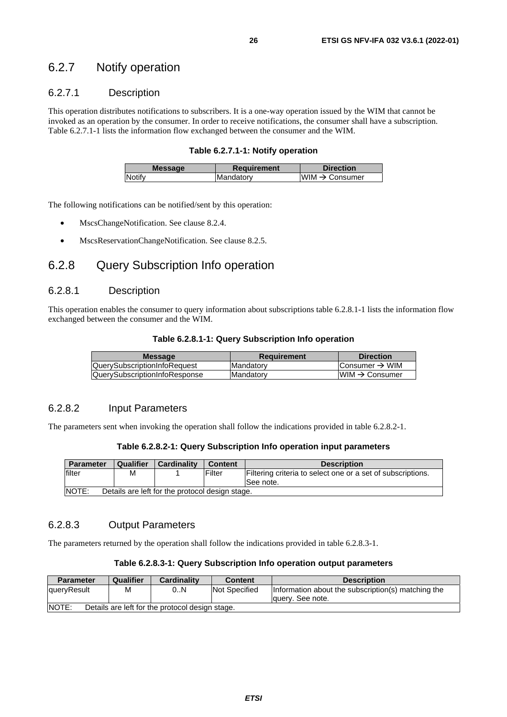# <span id="page-25-0"></span>6.2.7 Notify operation

# 6.2.7.1 Description

This operation distributes notifications to subscribers. It is a one-way operation issued by the WIM that cannot be invoked as an operation by the consumer. In order to receive notifications, the consumer shall have a subscription. Table 6.2.7.1-1 lists the information flow exchanged between the consumer and the WIM.

#### **Table 6.2.7.1-1: Notify operation**

| <b>Message</b> | Requirement | <b>Direction</b>           |
|----------------|-------------|----------------------------|
| <b>Notify</b>  | Mandatory   | WIM $\rightarrow$ Consumer |
|                |             |                            |

The following notifications can be notified/sent by this operation:

- MscsChangeNotification. See clause 8.2.4.
- MscsReservationChangeNotification. See clause 8.2.5.

# 6.2.8 Query Subscription Info operation

#### 6.2.8.1 Description

This operation enables the consumer to query information about subscriptions table 6.2.8.1-1 lists the information flow exchanged between the consumer and the WIM.

#### **Table 6.2.8.1-1: Query Subscription Info operation**

| <b>Message</b>                       | <b>Requirement</b> | <b>Direction</b>           |
|--------------------------------------|--------------------|----------------------------|
| <b>QuerySubscriptionInfoRequest</b>  | <b>Mandatory</b>   | Consumer $\rightarrow$ WIM |
| <b>QuerySubscriptionInfoResponse</b> | <b>Mandatory</b>   | $WM \rightarrow Consumer$  |
|                                      |                    |                            |

### 6.2.8.2 Input Parameters

The parameters sent when invoking the operation shall follow the indications provided in table 6.2.8.2-1.

#### **Table 6.2.8.2-1: Query Subscription Info operation input parameters**

| <b>Parameter</b>                                         | Qualifier<br><b>Cardinality</b><br><b>Content</b><br><b>Description</b> |  |        |                                                                          |  |  |
|----------------------------------------------------------|-------------------------------------------------------------------------|--|--------|--------------------------------------------------------------------------|--|--|
| filter                                                   | М                                                                       |  | Filter | Filtering criteria to select one or a set of subscriptions.<br>See note. |  |  |
| NOTE:<br>Details are left for the protocol design stage. |                                                                         |  |        |                                                                          |  |  |

### 6.2.8.3 Output Parameters

The parameters returned by the operation shall follow the indications provided in table 6.2.8.3-1.

#### **Table 6.2.8.3-1: Query Subscription Info operation output parameters**

| <b>Parameter</b>                                                                                                          | Qualifier<br><b>Cardinality</b><br><b>Description</b><br><b>Content</b> |  |  |  |  |  |
|---------------------------------------------------------------------------------------------------------------------------|-------------------------------------------------------------------------|--|--|--|--|--|
| <b>Not Specified</b><br>Information about the subscription(s) matching the<br>M<br>0N<br>queryResult<br>lauery. See note. |                                                                         |  |  |  |  |  |
| <b>NOTE:</b><br>Details are left for the protocol design stage.                                                           |                                                                         |  |  |  |  |  |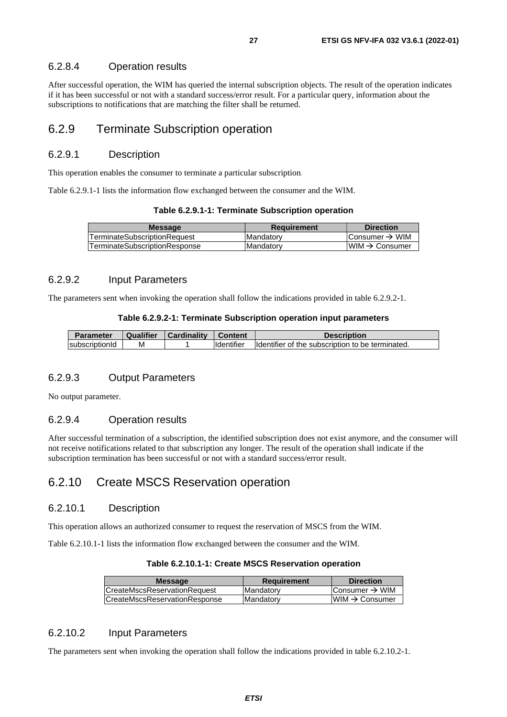#### <span id="page-26-0"></span>6.2.8.4 Operation results

After successful operation, the WIM has queried the internal subscription objects. The result of the operation indicates if it has been successful or not with a standard success/error result. For a particular query, information about the subscriptions to notifications that are matching the filter shall be returned.

# 6.2.9 Terminate Subscription operation

### 6.2.9.1 Description

This operation enables the consumer to terminate a particular subscription.

Table 6.2.9.1-1 lists the information flow exchanged between the consumer and the WIM.

| Table 6.2.9.1-1: Terminate Subscription operation |  |  |
|---------------------------------------------------|--|--|
|---------------------------------------------------|--|--|

| lTerminateSubscriptionRequest<br><b>Mandatory</b> | <b>Message</b>                       | Requirement | <b>Direction</b>           |
|---------------------------------------------------|--------------------------------------|-------------|----------------------------|
|                                                   |                                      |             | IConsumer → WIM            |
|                                                   | <b>TerminateSubscriptionResponse</b> | Mandatory   | $IWM \rightarrow Consumer$ |

#### 6.2.9.2 Input Parameters

The parameters sent when invoking the operation shall follow the indications provided in table 6.2.9.2-1.

#### **Table 6.2.9.2-1: Terminate Subscription operation input parameters**

| <b>Parameter</b>       | Qualifier | Cardinalitv | <b>Content</b> | <b>Description</b>                               |
|------------------------|-----------|-------------|----------------|--------------------------------------------------|
| <b>IsubscriptionId</b> | M         |             | Identifier     | Identifier of the subscription to be terminated. |

#### 6.2.9.3 Output Parameters

No output parameter.

### 6.2.9.4 Operation results

After successful termination of a subscription, the identified subscription does not exist anymore, and the consumer will not receive notifications related to that subscription any longer. The result of the operation shall indicate if the subscription termination has been successful or not with a standard success/error result.

# 6.2.10 Create MSCS Reservation operation

### 6.2.10.1 Description

This operation allows an authorized consumer to request the reservation of MSCS from the WIM.

Table 6.2.10.1-1 lists the information flow exchanged between the consumer and the WIM.

| <b>Message</b>                       | <b>Requirement</b> | <b>Direction</b>           |
|--------------------------------------|--------------------|----------------------------|
| <b>CreateMscsReservationRequest</b>  | <b>IMandatory</b>  | Consumer $\rightarrow$ WIM |
| <b>CreateMscsReservationResponse</b> | <b>IMandatory</b>  | $IWM \rightarrow Consumer$ |
|                                      |                    |                            |

### 6.2.10.2 Input Parameters

The parameters sent when invoking the operation shall follow the indications provided in table 6.2.10.2-1.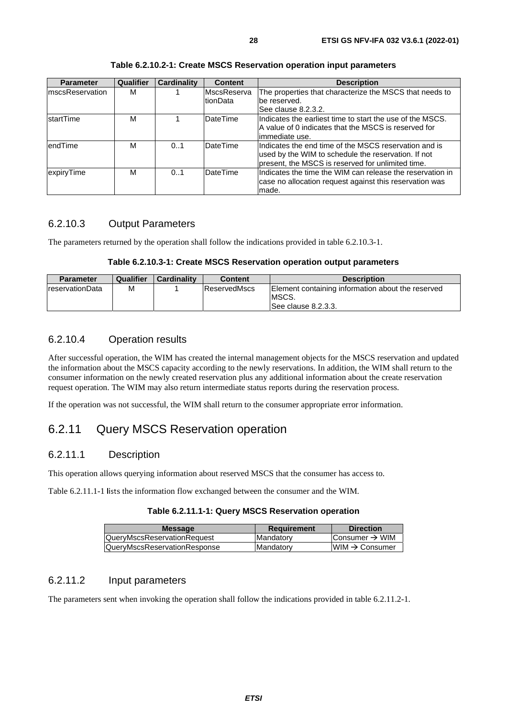<span id="page-27-0"></span>

| <b>Parameter</b> | Qualifier | <b>Cardinality</b> | <b>Content</b>      | <b>Description</b>                                        |
|------------------|-----------|--------------------|---------------------|-----------------------------------------------------------|
| ImscsReservation | м         |                    | <b>IMscsReserva</b> | The properties that characterize the MSCS that needs to   |
|                  |           |                    | tionData            | be reserved.                                              |
|                  |           |                    |                     | See clause 8.2.3.2.                                       |
| IstartTime       | M         |                    | <b>DateTime</b>     | Indicates the earliest time to start the use of the MSCS. |
|                  |           |                    |                     | A value of 0 indicates that the MSCS is reserved for      |
|                  |           |                    |                     | limmediate use.                                           |
| lendTime         | м         | 0.1                | <b>DateTime</b>     | Indicates the end time of the MSCS reservation and is     |
|                  |           |                    |                     | used by the WIM to schedule the reservation. If not       |
|                  |           |                    |                     | present, the MSCS is reserved for unlimited time.         |
| expiryTime       | M         | 0.1                | DateTime            | Indicates the time the WIM can release the reservation in |
|                  |           |                    |                     | case no allocation request against this reservation was   |
|                  |           |                    |                     | made.                                                     |

### **Table 6.2.10.2-1: Create MSCS Reservation operation input parameters**

### 6.2.10.3 Output Parameters

The parameters returned by the operation shall follow the indications provided in table 6.2.10.3-1.

#### **Table 6.2.10.3-1: Create MSCS Reservation operation output parameters**

| <b>Parameter</b>        | Qualifier | <b>Cardinality</b> | <b>Content</b> | <b>Description</b>                                                                 |
|-------------------------|-----------|--------------------|----------------|------------------------------------------------------------------------------------|
| <b>IreservationData</b> | M         |                    | ReservedMscs   | Element containing information about the reserved<br>IMSCS.<br>See clause 8.2.3.3. |

### 6.2.10.4 Operation results

After successful operation, the WIM has created the internal management objects for the MSCS reservation and updated the information about the MSCS capacity according to the newly reservations. In addition, the WIM shall return to the consumer information on the newly created reservation plus any additional information about the create reservation request operation. The WIM may also return intermediate status reports during the reservation process.

If the operation was not successful, the WIM shall return to the consumer appropriate error information.

# 6.2.11 Query MSCS Reservation operation

### 6.2.11.1 Description

This operation allows querying information about reserved MSCS that the consumer has access to.

Table 6.2.11.1-1 lists the information flow exchanged between the consumer and the WIM.

| Table 6.2.11.1-1: Query MSCS Reservation operation |  |
|----------------------------------------------------|--|
|----------------------------------------------------|--|

| <b>Message</b>                     | Requirement      | <b>Direction</b>           |
|------------------------------------|------------------|----------------------------|
| <b>QueryMscsReservationRequest</b> | <b>Mandatory</b> | IConsumer → WIM            |
| QueryMscsReservationResponse       | <b>Mandatory</b> | $IWM \rightarrow Consumer$ |
|                                    |                  |                            |

# 6.2.11.2 Input parameters

The parameters sent when invoking the operation shall follow the indications provided in table 6.2.11.2-1.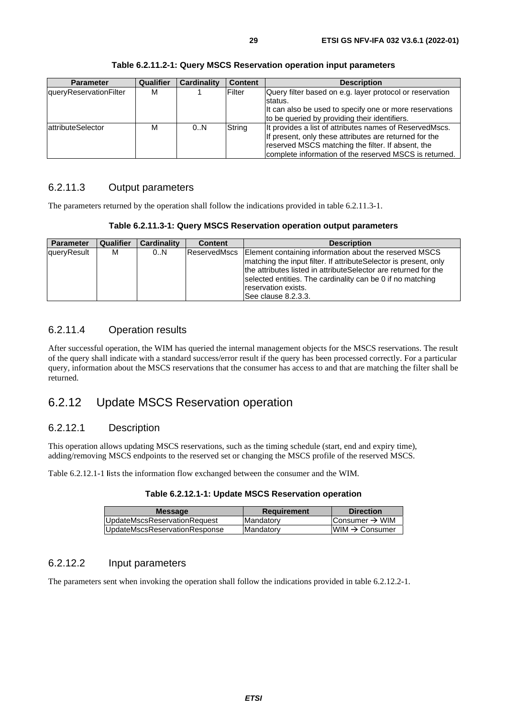<span id="page-28-0"></span>

| <b>Parameter</b>       | Qualifier | <b>Cardinality</b> | <b>Content</b> | <b>Description</b>                                       |
|------------------------|-----------|--------------------|----------------|----------------------------------------------------------|
| queryReservationFilter | М         |                    | <b>IFilter</b> | Query filter based on e.g. layer protocol or reservation |
|                        |           |                    |                | Istatus.                                                 |
|                        |           |                    |                | It can also be used to specify one or more reservations  |
|                        |           |                    |                | to be queried by providing their identifiers.            |
| attributeSelector      | м         | 0N                 | String         | It provides a list of attributes names of ReservedMscs.  |
|                        |           |                    |                | If present, only these attributes are returned for the   |
|                        |           |                    |                | reserved MSCS matching the filter. If absent, the        |
|                        |           |                    |                | complete information of the reserved MSCS is returned.   |

**Table 6.2.11.2-1: Query MSCS Reservation operation input parameters** 

# 6.2.11.3 Output parameters

The parameters returned by the operation shall follow the indications provided in table 6.2.11.3-1.

**Table 6.2.11.3-1: Query MSCS Reservation operation output parameters** 

| <b>Parameter</b> | Qualifier | Cardinality | <b>Content</b> | <b>Description</b>                                                                                                                                                                                                                                                                                           |
|------------------|-----------|-------------|----------------|--------------------------------------------------------------------------------------------------------------------------------------------------------------------------------------------------------------------------------------------------------------------------------------------------------------|
| queryResult      | м         | 0N          | ReservedMscs   | Element containing information about the reserved MSCS<br>matching the input filter. If attributeSelector is present, only<br>the attributes listed in attribute Selector are returned for the<br>selected entities. The cardinality can be 0 if no matching<br>Ireservation exists.<br>lSee clause 8.2.3.3. |

### 6.2.11.4 Operation results

After successful operation, the WIM has queried the internal management objects for the MSCS reservations. The result of the query shall indicate with a standard success/error result if the query has been processed correctly. For a particular query, information about the MSCS reservations that the consumer has access to and that are matching the filter shall be returned.

# 6.2.12 Update MSCS Reservation operation

# 6.2.12.1 Description

This operation allows updating MSCS reservations, such as the timing schedule (start, end and expiry time), adding/removing MSCS endpoints to the reserved set or changing the MSCS profile of the reserved MSCS.

Table 6.2.12.1-1 lists the information flow exchanged between the consumer and the WIM.

| <b>Message</b>                | <b>Requirement</b> | <b>Direction</b>           |
|-------------------------------|--------------------|----------------------------|
| UpdateMscsReservationRequest  | Mandatory          | Consumer $\rightarrow$ WIM |
| UpdateMscsReservationResponse | <b>Mandatory</b>   | $WIM \rightarrow$ Consumer |

#### 6.2.12.2 Input parameters

The parameters sent when invoking the operation shall follow the indications provided in table 6.2.12.2-1.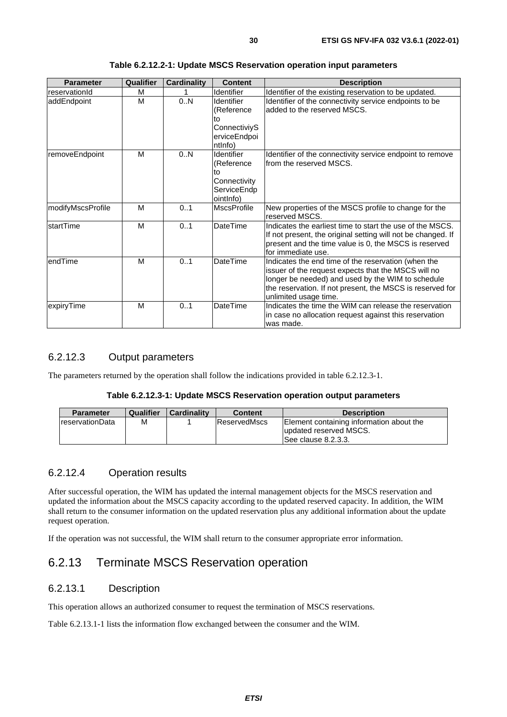<span id="page-29-0"></span>

| <b>Parameter</b>  | Qualifier | <b>Cardinality</b> | <b>Content</b>                                                                   | <b>Description</b>                                                                                                                                                                                                                                    |
|-------------------|-----------|--------------------|----------------------------------------------------------------------------------|-------------------------------------------------------------------------------------------------------------------------------------------------------------------------------------------------------------------------------------------------------|
| reservationId     | м         |                    | <b>Identifier</b>                                                                | Identifier of the existing reservation to be updated.                                                                                                                                                                                                 |
| addEndpoint       | M         | 0.N                | <b>Identifier</b><br>(Reference<br>to<br>ConnectiviyS<br>erviceEndpoi<br>ntlnfo) | Identifier of the connectivity service endpoints to be<br>added to the reserved MSCS.                                                                                                                                                                 |
| removeEndpoint    | M         | 0.N                | Identifier<br>(Reference<br>tο<br>Connectivity<br>ServiceEndp<br>ointlnfo)       | Identifier of the connectivity service endpoint to remove<br>lfrom the reserved MSCS.                                                                                                                                                                 |
| modifyMscsProfile | M         | 0.1                | <b>MscsProfile</b>                                                               | New properties of the MSCS profile to change for the<br>reserved MSCS.                                                                                                                                                                                |
| startTime         | M         | 0.1                | <b>DateTime</b>                                                                  | Indicates the earliest time to start the use of the MSCS.<br>If not present, the original setting will not be changed. If<br>present and the time value is 0, the MSCS is reserved<br>for immediate use.                                              |
| endTime           | M         | 0.1                | <b>DateTime</b>                                                                  | Indicates the end time of the reservation (when the<br>issuer of the request expects that the MSCS will no<br>longer be needed) and used by the WIM to schedule<br>the reservation. If not present, the MSCS is reserved for<br>unlimited usage time. |
| expiryTime        | M         | 0.1                | <b>DateTime</b>                                                                  | Indicates the time the WIM can release the reservation<br>in case no allocation request against this reservation<br>was made.                                                                                                                         |

**Table 6.2.12.2-1: Update MSCS Reservation operation input parameters** 

### 6.2.12.3 Output parameters

The parameters returned by the operation shall follow the indications provided in table 6.2.12.3-1.

#### **Table 6.2.12.3-1: Update MSCS Reservation operation output parameters**

| <b>Parameter</b>        | Qualifier | <b>Cardinality</b> | <b>Content</b> | <b>Description</b>                                                                        |
|-------------------------|-----------|--------------------|----------------|-------------------------------------------------------------------------------------------|
| <b>IreservationData</b> | M         |                    | ReservedMscs   | Element containing information about the<br>updated reserved MSCS.<br>See clause 8.2.3.3. |

#### 6.2.12.4 Operation results

After successful operation, the WIM has updated the internal management objects for the MSCS reservation and updated the information about the MSCS capacity according to the updated reserved capacity. In addition, the WIM shall return to the consumer information on the updated reservation plus any additional information about the update request operation.

If the operation was not successful, the WIM shall return to the consumer appropriate error information.

# 6.2.13 Terminate MSCS Reservation operation

#### 6.2.13.1 Description

This operation allows an authorized consumer to request the termination of MSCS reservations.

Table 6.2.13.1-1 lists the information flow exchanged between the consumer and the WIM.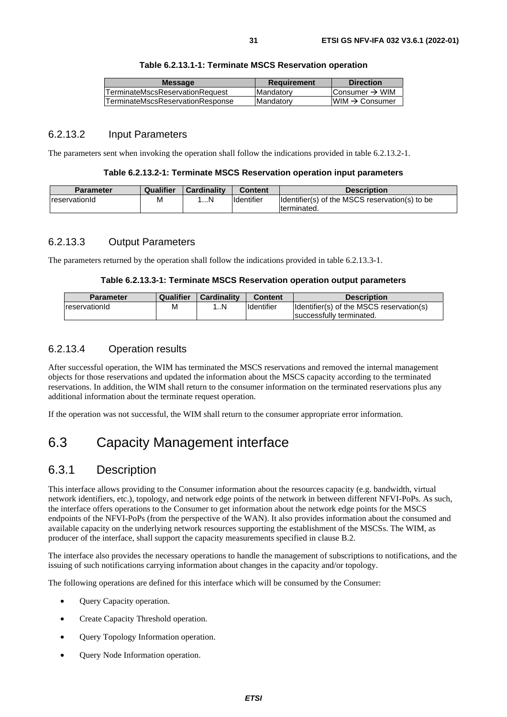<span id="page-30-0"></span>

| <b>Message</b>                   | <b>Requirement</b> | <b>Direction</b>               |
|----------------------------------|--------------------|--------------------------------|
| TerminateMscsReservationRequest  | Mandatory          | Consumer $\rightarrow$ WIM     |
| TerminateMscsReservationResponse | <b>IMandatory</b>  | $l$ WIM $\rightarrow$ Consumer |
|                                  |                    |                                |

### 6.2.13.2 Input Parameters

The parameters sent when invoking the operation shall follow the indications provided in table 6.2.13.2-1.

#### **Table 6.2.13.2-1: Terminate MSCS Reservation operation input parameters**

| <b>Parameter</b>     | Qualifier | <b>Cardinality</b> | <b>Content</b> | <b>Description</b>                             |
|----------------------|-----------|--------------------|----------------|------------------------------------------------|
| <b>reservationId</b> | M         | . N                | Identifier     | Identifier(s) of the MSCS reservation(s) to be |
|                      |           |                    |                | terminated.                                    |

#### 6.2.13.3 Output Parameters

The parameters returned by the operation shall follow the indications provided in table 6.2.13.3-1.

#### **Table 6.2.13.3-1: Terminate MSCS Reservation operation output parameters**

| <b>Parameter</b> | Qualifier | <b>Cardinality</b> | <b>Content</b>     | <b>Description</b>                       |
|------------------|-----------|--------------------|--------------------|------------------------------------------|
| reservationId    | М         | . N                | <b>I</b> dentifier | Identifier(s) of the MSCS reservation(s) |
|                  |           |                    |                    | Isuccessfully terminated.                |

### 6.2.13.4 Operation results

After successful operation, the WIM has terminated the MSCS reservations and removed the internal management objects for those reservations and updated the information about the MSCS capacity according to the terminated reservations. In addition, the WIM shall return to the consumer information on the terminated reservations plus any additional information about the terminate request operation.

If the operation was not successful, the WIM shall return to the consumer appropriate error information.

# 6.3 Capacity Management interface

# 6.3.1 Description

This interface allows providing to the Consumer information about the resources capacity (e.g. bandwidth, virtual network identifiers, etc.), topology, and network edge points of the network in between different NFVI-PoPs. As such, the interface offers operations to the Consumer to get information about the network edge points for the MSCS endpoints of the NFVI-PoPs (from the perspective of the WAN). It also provides information about the consumed and available capacity on the underlying network resources supporting the establishment of the MSCSs. The WIM, as producer of the interface, shall support the capacity measurements specified in clause B.2.

The interface also provides the necessary operations to handle the management of subscriptions to notifications, and the issuing of such notifications carrying information about changes in the capacity and/or topology.

The following operations are defined for this interface which will be consumed by the Consumer:

- Query Capacity operation.
- Create Capacity Threshold operation.
- Query Topology Information operation.
- Query Node Information operation.

**Table 6.2.13.1-1: Terminate MSCS Reservation operation**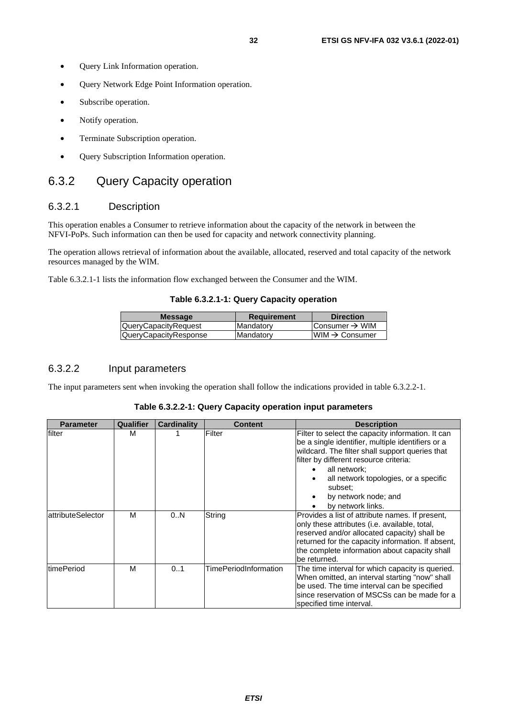- <span id="page-31-0"></span>• Query Link Information operation.
- Query Network Edge Point Information operation.
- Subscribe operation.
- Notify operation.
- Terminate Subscription operation.
- Query Subscription Information operation.

# 6.3.2 Query Capacity operation

### 6.3.2.1 Description

This operation enables a Consumer to retrieve information about the capacity of the network in between the NFVI-PoPs. Such information can then be used for capacity and network connectivity planning.

The operation allows retrieval of information about the available, allocated, reserved and total capacity of the network resources managed by the WIM.

Table 6.3.2.1-1 lists the information flow exchanged between the Consumer and the WIM.

#### **Table 6.3.2.1-1: Query Capacity operation**

| <b>Message</b>              | <b>Requirement</b> | <b>Direction</b>            |
|-----------------------------|--------------------|-----------------------------|
| <b>QueryCapacityRequest</b> | <b>Mandatory</b>   | Consumer $\rightarrow$ WIM  |
| QueryCapacityResponse       | Mandatory          | $IWHM \rightarrow$ Consumer |
|                             |                    |                             |

# 6.3.2.2 Input parameters

The input parameters sent when invoking the operation shall follow the indications provided in table 6.3.2.2-1.

#### **Table 6.3.2.2-1: Query Capacity operation input parameters**

| <b>Parameter</b>   | Qualifier | <b>Cardinality</b> | <b>Content</b>        | <b>Description</b>                                                                                                                                                                                                                                                                                                   |
|--------------------|-----------|--------------------|-----------------------|----------------------------------------------------------------------------------------------------------------------------------------------------------------------------------------------------------------------------------------------------------------------------------------------------------------------|
| filter             | м         |                    | Filter                | Filter to select the capacity information. It can<br>be a single identifier, multiple identifiers or a<br>wildcard. The filter shall support queries that<br>filter by different resource criteria:<br>all network;<br>all network topologies, or a specific<br>subset:<br>by network node; and<br>by network links. |
| attributeSelector  | м         | 0N                 | String                | Provides a list of attribute names. If present,<br>only these attributes ( <i>i.e.</i> available, total,<br>reserved and/or allocated capacity) shall be<br>returned for the capacity information. If absent,<br>the complete information about capacity shall<br>be returned.                                       |
| <b>ItimePeriod</b> | м         | 0.1                | TimePeriodInformation | The time interval for which capacity is queried.<br>When omitted, an interval starting "now" shall<br>be used. The time interval can be specified<br>since reservation of MSCSs can be made for a<br>specified time interval.                                                                                        |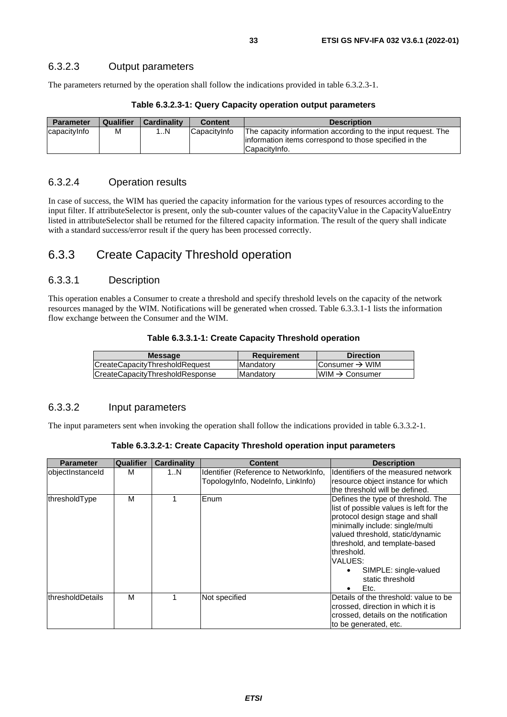<span id="page-32-0"></span>The parameters returned by the operation shall follow the indications provided in table 6.3.2.3-1.

| <b>Parameter</b> | Qualifier | <b>Cardinality</b> | <b>Content</b> | <b>Description</b>                                                                                                                        |
|------------------|-----------|--------------------|----------------|-------------------------------------------------------------------------------------------------------------------------------------------|
| lcapacitvInfo    | М         | 1N                 | ICapacitvInfo  | The capacity information according to the input request. The<br>linformation items correspond to those specified in the<br>ICapacityInfo. |

**Table 6.3.2.3-1: Query Capacity operation output parameters**

# 6.3.2.4 Operation results

In case of success, the WIM has queried the capacity information for the various types of resources according to the input filter. If attributeSelector is present, only the sub-counter values of the capacityValue in the CapacityValueEntry listed in attributeSelector shall be returned for the filtered capacity information. The result of the query shall indicate with a standard success/error result if the query has been processed correctly.

# 6.3.3 Create Capacity Threshold operation

### 6.3.3.1 Description

This operation enables a Consumer to create a threshold and specify threshold levels on the capacity of the network resources managed by the WIM. Notifications will be generated when crossed. Table 6.3.3.1-1 lists the information flow exchange between the Consumer and the WIM.

| Table 6.3.3.1-1: Create Capacity Threshold operation |
|------------------------------------------------------|
|------------------------------------------------------|

| <b>Message</b>                  | <b>Requirement</b> | <b>Direction</b>           |
|---------------------------------|--------------------|----------------------------|
| CreateCapacityThresholdRequest  | <b>Mandatory</b>   | IConsumer → WIM            |
|                                 | Mandatory          | $WIM \rightarrow Consumer$ |
| CreateCapacityThresholdResponse |                    |                            |

# 6.3.3.2 Input parameters

The input parameters sent when invoking the operation shall follow the indications provided in table 6.3.3.2-1.

| Table 6.3.3.2-1: Create Capacity Threshold operation input parameters |  |  |  |
|-----------------------------------------------------------------------|--|--|--|
|-----------------------------------------------------------------------|--|--|--|

| <b>Parameter</b>  | <b>Qualifier</b> | <b>Cardinality</b> | Content                                                                    | <b>Description</b>                                                                                                                                                                                                                                                                                                               |
|-------------------|------------------|--------------------|----------------------------------------------------------------------------|----------------------------------------------------------------------------------------------------------------------------------------------------------------------------------------------------------------------------------------------------------------------------------------------------------------------------------|
| objectInstanceId  | M                | 1N                 | Identifier (Reference to NetworkInfo,<br>TopologyInfo, NodeInfo, LinkInfo) | Identifiers of the measured network<br>resource object instance for which<br>lthe threshold will be defined.                                                                                                                                                                                                                     |
| thresholdType     | M                |                    | Enum                                                                       | Defines the type of threshold. The<br>list of possible values is left for the<br>protocol design stage and shall<br>minimally include: single/multi<br>valued threshold, static/dynamic<br>threshold, and template-based<br>threshold.<br>VALUES:<br>SIMPLE: single-valued<br>$\bullet$<br>static threshold<br>Etc.<br>$\bullet$ |
| lthresholdDetails | M                |                    | Not specified                                                              | Details of the threshold: value to be<br>crossed, direction in which it is<br>crossed, details on the notification<br>to be generated, etc.                                                                                                                                                                                      |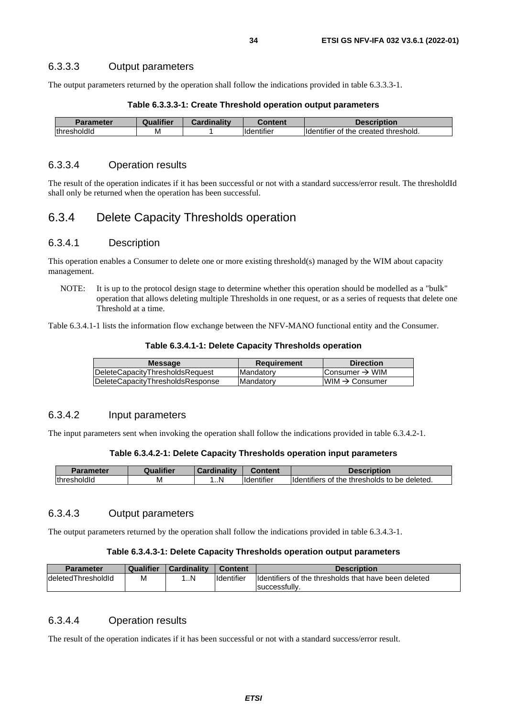#### <span id="page-33-0"></span>6.3.3.3 Output parameters

The output parameters returned by the operation shall follow the indications provided in table 6.3.3.3-1.

| <b>Parameter</b> | Qualifier | <b>Cardinality</b> | Content                                    | <b>Description</b>                    |
|------------------|-----------|--------------------|--------------------------------------------|---------------------------------------|
| thresholdId      | м         |                    | $\cdot \cdot \cdot$<br><b>I</b> ldentifier | Ildentifier of the created threshold. |

# **Table 6.3.3.3-1: Create Threshold operation output parameters**

#### 6.3.3.4 Operation results

The result of the operation indicates if it has been successful or not with a standard success/error result. The thresholdId shall only be returned when the operation has been successful.

# 6.3.4 Delete Capacity Thresholds operation

#### 6.3.4.1 Description

This operation enables a Consumer to delete one or more existing threshold(s) managed by the WIM about capacity management.

NOTE: It is up to the protocol design stage to determine whether this operation should be modelled as a "bulk" operation that allows deleting multiple Thresholds in one request, or as a series of requests that delete one Threshold at a time.

Table 6.3.4.1-1 lists the information flow exchange between the NFV-MANO functional entity and the Consumer.

**Table 6.3.4.1-1: Delete Capacity Thresholds operation** 

| <b>Message</b>                   | Requirement       | <b>Direction</b>          |
|----------------------------------|-------------------|---------------------------|
| DeleteCapacityThresholdsRequest  | <b>Mandatory</b>  | Consumer → WIM            |
| DeleteCapacityThresholdsResponse | <b>IMandatory</b> | $WM \rightarrow Consumer$ |
|                                  |                   |                           |

### 6.3.4.2 Input parameters

The input parameters sent when invoking the operation shall follow the indications provided in table 6.3.4.2-1.

#### **Table 6.3.4.2-1: Delete Capacity Thresholds operation input parameters**

|                        | <b>Prodifier</b> | inality<br>. агон |                                | Description                                                               |
|------------------------|------------------|-------------------|--------------------------------|---------------------------------------------------------------------------|
| .<br>lthresh<br>. זוכי | ΙVΙ              | . N               | $\cdots$<br><b>Ildentifier</b> | .<br><b>Ildentifiers</b><br>≅deleted.<br>thresholds<br>the<br>to be<br>0t |

#### 6.3.4.3 Output parameters

The output parameters returned by the operation shall follow the indications provided in table 6.3.4.3-1.

#### **Table 6.3.4.3-1: Delete Capacity Thresholds operation output parameters**

| <b>Parameter</b>           | Qualifier | Cardinality | <b>Content</b>     | <b>Description</b>                                    |
|----------------------------|-----------|-------------|--------------------|-------------------------------------------------------|
| <b>IdeletedThresholdId</b> | M         | N           | <b>I</b> dentifier | Ildentifiers of the thresholds that have been deleted |
|                            |           |             |                    | successfully.                                         |

### 6.3.4.4 Operation results

The result of the operation indicates if it has been successful or not with a standard success/error result.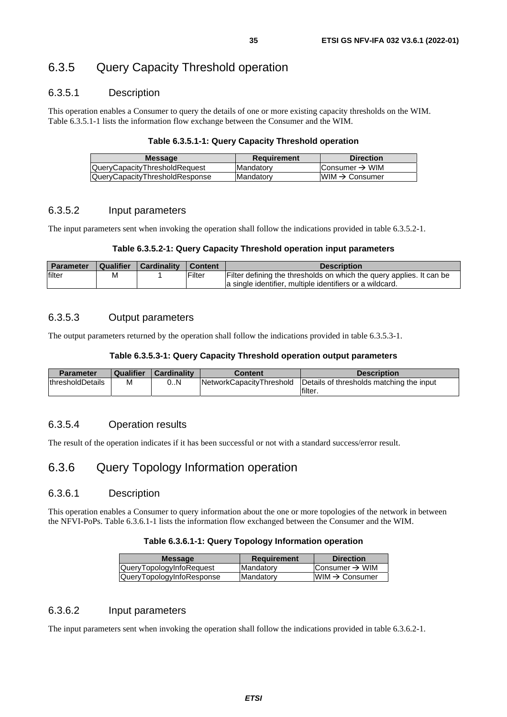# <span id="page-34-0"></span>6.3.5 Query Capacity Threshold operation

### 6.3.5.1 Description

This operation enables a Consumer to query the details of one or more existing capacity thresholds on the WIM. Table 6.3.5.1-1 lists the information flow exchange between the Consumer and the WIM.

#### **Table 6.3.5.1-1: Query Capacity Threshold operation**

| <b>Message</b>                        | Requirement | <b>Direction</b>           |
|---------------------------------------|-------------|----------------------------|
| <b>QueryCapacityThresholdRequest</b>  | Mandatory   | Consumer $\rightarrow$ WIM |
| <b>QueryCapacityThresholdResponse</b> | Mandatory   | $WM \rightarrow Consumer$  |
|                                       |             |                            |

#### 6.3.5.2 Input parameters

The input parameters sent when invoking the operation shall follow the indications provided in table 6.3.5.2-1.

#### **Table 6.3.5.2-1: Query Capacity Threshold operation input parameters**

| <b>Parameter</b> | Qualifier | <b>Cardinality</b> | $\blacksquare$ Content | <b>Description</b>                                                                                                               |
|------------------|-----------|--------------------|------------------------|----------------------------------------------------------------------------------------------------------------------------------|
| filter           | М         |                    | Filter                 | Filter defining the thresholds on which the query applies. It can be<br>a single identifier, multiple identifiers or a wildcard. |

#### 6.3.5.3 Output parameters

The output parameters returned by the operation shall follow the indications provided in table 6.3.5.3-1.

#### **Table 6.3.5.3-1: Query Capacity Threshold operation output parameters**

| <b>Parameter</b>         | <b>Qualifier</b> | Cardinality | Content                  | <b>Description</b>                       |
|--------------------------|------------------|-------------|--------------------------|------------------------------------------|
| <b>IthresholdDetails</b> | м                | 0N          | NetworkCapacityThreshold | Details of thresholds matching the input |
|                          |                  |             |                          | filter.                                  |

### 6.3.5.4 Operation results

The result of the operation indicates if it has been successful or not with a standard success/error result.

# 6.3.6 Query Topology Information operation

#### 6.3.6.1 Description

This operation enables a Consumer to query information about the one or more topologies of the network in between the NFVI-PoPs. Table 6.3.6.1-1 lists the information flow exchanged between the Consumer and the WIM.

#### **Table 6.3.6.1-1: Query Topology Information operation**

| <b>Message</b>                  | <b>Requirement</b> | <b>Direction</b>            |
|---------------------------------|--------------------|-----------------------------|
| <b>QueryTopologyInfoRequest</b> | Mandatory          | Consumer $\rightarrow$ WIM  |
| QueryTopologyInfoResponse       | <b>Mandatory</b>   | $ WIM \rightarrow$ Consumer |

### 6.3.6.2 Input parameters

The input parameters sent when invoking the operation shall follow the indications provided in table 6.3.6.2-1.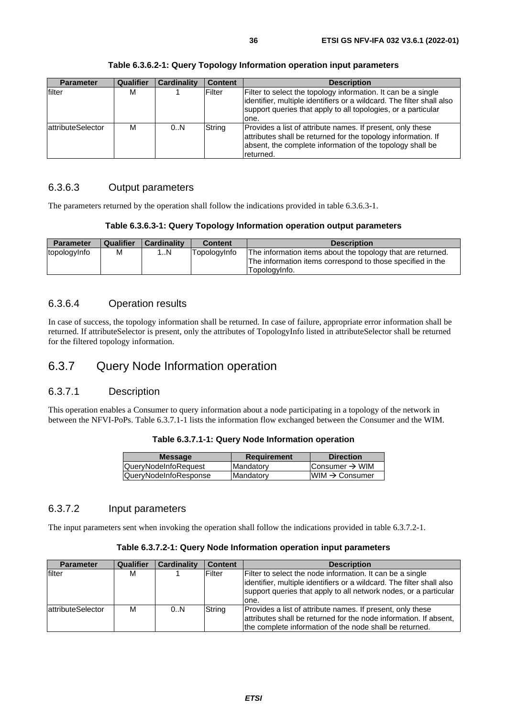<span id="page-35-0"></span>

| <b>Parameter</b>  | <b>Qualifier</b> | <b>Cardinality</b> | <b>Content</b> | <b>Description</b>                                                                                                                                                                                               |
|-------------------|------------------|--------------------|----------------|------------------------------------------------------------------------------------------------------------------------------------------------------------------------------------------------------------------|
| filter            | м                |                    | Filter         | Filter to select the topology information. It can be a single<br>identifier, multiple identifiers or a wildcard. The filter shall also<br>support queries that apply to all topologies, or a particular<br>lone. |
| attributeSelector | м                | 0.N                | String         | Provides a list of attribute names. If present, only these<br>attributes shall be returned for the topology information. If<br>absent, the complete information of the topology shall be<br>returned.            |

**Table 6.3.6.2-1: Query Topology Information operation input parameters** 

# 6.3.6.3 Output parameters

The parameters returned by the operation shall follow the indications provided in table 6.3.6.3-1.

#### **Table 6.3.6.3-1: Query Topology Information operation output parameters**

| <b>Parameter</b> | <b>Qualifier</b> | Cardinality    | <b>Content</b> | <b>Description</b>                                                                                                                         |
|------------------|------------------|----------------|----------------|--------------------------------------------------------------------------------------------------------------------------------------------|
| topologyInfo     | м                | $\mathbb{R}^n$ | TopologyInfo   | The information items about the topology that are returned.<br>The information items correspond to those specified in the<br>Topologylnfo. |

### 6.3.6.4 Operation results

In case of success, the topology information shall be returned. In case of failure, appropriate error information shall be returned. If attributeSelector is present, only the attributes of TopologyInfo listed in attributeSelector shall be returned for the filtered topology information.

# 6.3.7 Query Node Information operation

### 6.3.7.1 Description

This operation enables a Consumer to query information about a node participating in a topology of the network in between the NFVI-PoPs. Table 6.3.7.1-1 lists the information flow exchanged between the Consumer and the WIM.

| Table 6.3.7.1-1: Query Node Information operation |  |  |
|---------------------------------------------------|--|--|
|---------------------------------------------------|--|--|

| <b>Message</b>              | <b>Requirement</b> | <b>Direction</b>           |  |
|-----------------------------|--------------------|----------------------------|--|
| <b>QueryNodeInfoRequest</b> | <b>Mandatory</b>   | Consumer $\rightarrow$ WIM |  |
| QueryNodeInfoResponse       | <b>Mandatory</b>   | $WIM \rightarrow$ Consumer |  |
|                             |                    |                            |  |

### 6.3.7.2 Input parameters

The input parameters sent when invoking the operation shall follow the indications provided in table 6.3.7.2-1.

|  | Table 6.3.7.2-1: Query Node Information operation input parameters |  |  |
|--|--------------------------------------------------------------------|--|--|
|--|--------------------------------------------------------------------|--|--|

| <b>Parameter</b>          | Qualifier | <b>Cardinality</b> | <b>Content</b> | <b>Description</b>                                                                                                                                                                                               |
|---------------------------|-----------|--------------------|----------------|------------------------------------------------------------------------------------------------------------------------------------------------------------------------------------------------------------------|
| filter                    | м         |                    | Filter         | Filter to select the node information. It can be a single<br>lidentifier, multiple identifiers or a wildcard. The filter shall also<br>support queries that apply to all network nodes, or a particular<br>lone. |
| <b>lattributeSelector</b> | м         | 0N                 | String         | Provides a list of attribute names. If present, only these<br>attributes shall be returned for the node information. If absent,<br>the complete information of the node shall be returned.                       |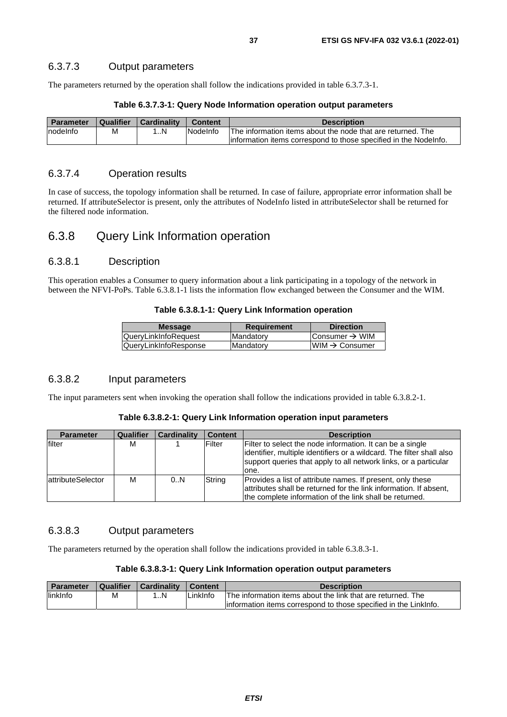## 6.3.7.3 Output parameters

The parameters returned by the operation shall follow the indications provided in table 6.3.7.3-1.

| <b>Parameter</b> | Qualifier | Cardinality | Content          | <b>Description</b>                                                |
|------------------|-----------|-------------|------------------|-------------------------------------------------------------------|
| nodelnfo         | Μ         | N           | <b>INodelnfo</b> | The information items about the node that are returned. The       |
|                  |           |             |                  | linformation items correspond to those specified in the Nodelnfo. |

## 6.3.7.4 Operation results

In case of success, the topology information shall be returned. In case of failure, appropriate error information shall be returned. If attributeSelector is present, only the attributes of NodeInfo listed in attributeSelector shall be returned for the filtered node information.

## 6.3.8 Query Link Information operation

## 6.3.8.1 Description

This operation enables a Consumer to query information about a link participating in a topology of the network in between the NFVI-PoPs. Table 6.3.8.1-1 lists the information flow exchanged between the Consumer and the WIM.

#### **Table 6.3.8.1-1: Query Link Information operation**

| <b>Message</b>        | <b>Requirement</b> | <b>Direction</b>           |
|-----------------------|--------------------|----------------------------|
| QueryLinkInfoRequest  | Mandatory          | Consumer $\rightarrow$ WIM |
| QueryLinkInfoResponse | Mandatory          | $WM \rightarrow Consumer$  |
|                       |                    |                            |

## 6.3.8.2 Input parameters

The input parameters sent when invoking the operation shall follow the indications provided in table 6.3.8.2-1.

#### **Table 6.3.8.2-1: Query Link Information operation input parameters**

| <b>Parameter</b>         | Qualifier | <b>Cardinality</b> | <b>Content</b> | <b>Description</b>                                                                                                                                                                                               |
|--------------------------|-----------|--------------------|----------------|------------------------------------------------------------------------------------------------------------------------------------------------------------------------------------------------------------------|
| filter                   | М         |                    | Filter         | Filter to select the node information. It can be a single<br>lidentifier, multiple identifiers or a wildcard. The filter shall also<br>support queries that apply to all network links, or a particular<br>lone. |
| <b>attributeSelector</b> | М         | 0.N                | String         | Provides a list of attribute names. If present, only these<br>attributes shall be returned for the link information. If absent,<br>the complete information of the link shall be returned.                       |

## 6.3.8.3 Output parameters

The parameters returned by the operation shall follow the indications provided in table 6.3.8.3-1.

### **Table 6.3.8.3-1: Query Link Information operation output parameters**

| <b>Parameter</b> | <b>Qualifier</b> | <b>Cardinality</b> | <b>Content</b> | Description                                                       |
|------------------|------------------|--------------------|----------------|-------------------------------------------------------------------|
| linkInfo         | м                | N                  | '_inkInfo      | The information items about the link that are returned. The       |
|                  |                  |                    |                | linformation items correspond to those specified in the Linklnfo. |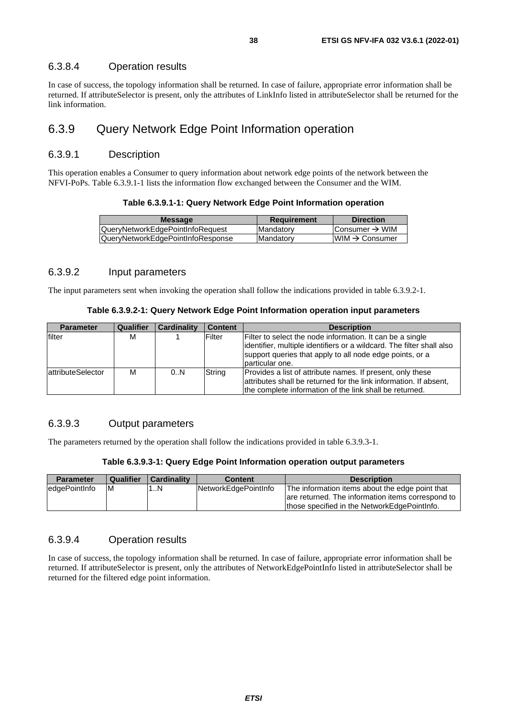### 6.3.8.4 Operation results

In case of success, the topology information shall be returned. In case of failure, appropriate error information shall be returned. If attributeSelector is present, only the attributes of LinkInfo listed in attributeSelector shall be returned for the link information.

## 6.3.9 Query Network Edge Point Information operation

### 6.3.9.1 Description

This operation enables a Consumer to query information about network edge points of the network between the NFVI-PoPs. Table 6.3.9.1-1 lists the information flow exchanged between the Consumer and the WIM.

#### **Table 6.3.9.1-1: Query Network Edge Point Information operation**

| <b>Message</b>                    | <b>Requirement</b> | <b>Direction</b>           |
|-----------------------------------|--------------------|----------------------------|
| QueryNetworkEdgePointInfoRequest  | <b>IMandatory</b>  | Consumer $\rightarrow$ WIM |
| QueryNetworkEdgePointInfoResponse | <b>IMandatory</b>  | $IWM \rightarrow Consumer$ |
|                                   |                    |                            |

## 6.3.9.2 Input parameters

The input parameters sent when invoking the operation shall follow the indications provided in table 6.3.9.2-1.

#### **Table 6.3.9.2-1: Query Network Edge Point Information operation input parameters**

| <b>Parameter</b>          | Qualifier | <b>Cardinality</b> | <b>Content</b> | <b>Description</b>                                                                                                                                                                                                |
|---------------------------|-----------|--------------------|----------------|-------------------------------------------------------------------------------------------------------------------------------------------------------------------------------------------------------------------|
| filter                    | м         |                    | Filter         | Filter to select the node information. It can be a single<br>identifier, multiple identifiers or a wildcard. The filter shall also<br>support queries that apply to all node edge points, or a<br>particular one. |
| <b>lattributeSelector</b> | м         | 0N                 | String         | Provides a list of attribute names. If present, only these<br>attributes shall be returned for the link information. If absent,<br>the complete information of the link shall be returned.                        |

## 6.3.9.3 Output parameters

The parameters returned by the operation shall follow the indications provided in table 6.3.9.3-1.

#### **Table 6.3.9.3-1: Query Edge Point Information operation output parameters**

| <b>Parameter</b> | Qualifier | <b>Cardinality</b> | Content              | <b>Description</b>                                                                                   |
|------------------|-----------|--------------------|----------------------|------------------------------------------------------------------------------------------------------|
| edgePointInfo    | M         | $\mathsf{N}$       | NetworkEdgePointInfo | The information items about the edge point that<br>are returned. The information items correspond to |
|                  |           |                    |                      | those specified in the NetworkEdgePointInfo.                                                         |

## 6.3.9.4 Operation results

In case of success, the topology information shall be returned. In case of failure, appropriate error information shall be returned. If attributeSelector is present, only the attributes of NetworkEdgePointInfo listed in attributeSelector shall be returned for the filtered edge point information.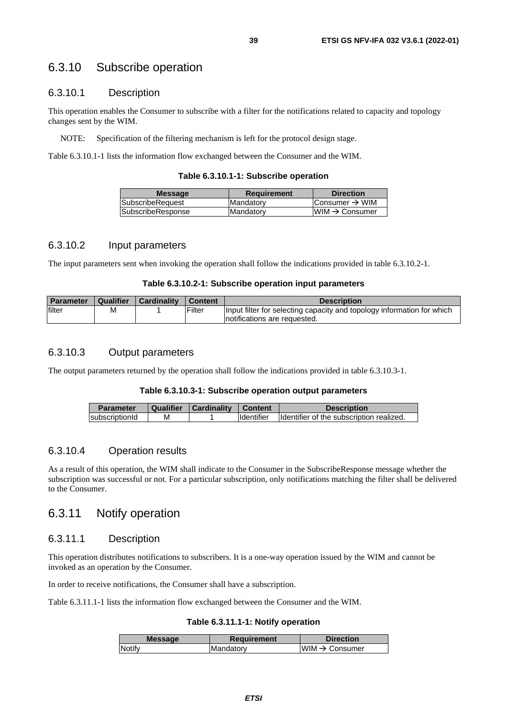## 6.3.10 Subscribe operation

## 6.3.10.1 Description

This operation enables the Consumer to subscribe with a filter for the notifications related to capacity and topology changes sent by the WIM.

NOTE: Specification of the filtering mechanism is left for the protocol design stage.

Table 6.3.10.1-1 lists the information flow exchanged between the Consumer and the WIM.

#### **Table 6.3.10.1-1: Subscribe operation**

| <b>Message</b>           | <b>Requirement</b> | <b>Direction</b>               |
|--------------------------|--------------------|--------------------------------|
| <b>ISubscribeRequest</b> | Mandatory          | Consumer $\rightarrow$ WIM     |
| SubscribeResponse        | Mandatory          | $l$ WIM $\rightarrow$ Consumer |
|                          |                    |                                |

#### 6.3.10.2 Input parameters

The input parameters sent when invoking the operation shall follow the indications provided in table 6.3.10.2-1.

#### **Table 6.3.10.2-1: Subscribe operation input parameters**

| <b>Parameter</b> | Qualifier | <b>Cardinality</b> | I Content     | <b>Description</b>                                                                                      |
|------------------|-----------|--------------------|---------------|---------------------------------------------------------------------------------------------------------|
| filter           | M         |                    | <b>Filter</b> | Input filter for selecting capacity and topology information for which<br>Inotifications are requested. |

## 6.3.10.3 Output parameters

The output parameters returned by the operation shall follow the indications provided in table 6.3.10.3-1.

#### **Table 6.3.10.3-1: Subscribe operation output parameters**

| <b>Parameter</b> | Qualifier | Cardinality | Content            | <b>Description</b>                        |
|------------------|-----------|-------------|--------------------|-------------------------------------------|
| subscriptionId   | м         |             | <b>I</b> dentifier | Ildentifier of the subscription realized. |

#### 6.3.10.4 Operation results

As a result of this operation, the WIM shall indicate to the Consumer in the SubscribeResponse message whether the subscription was successful or not. For a particular subscription, only notifications matching the filter shall be delivered to the Consumer.

## 6.3.11 Notify operation

## 6.3.11.1 Description

This operation distributes notifications to subscribers. It is a one-way operation issued by the WIM and cannot be invoked as an operation by the Consumer.

In order to receive notifications, the Consumer shall have a subscription.

Table 6.3.11.1-1 lists the information flow exchanged between the Consumer and the WIM.

#### **Table 6.3.11.1-1: Notify operation**

| <b>Message</b> | <b>Requirement</b> | <b>Direction</b>          |
|----------------|--------------------|---------------------------|
| <b>Notify</b>  | <b>IMandatory</b>  | $WM \rightarrow Consumer$ |
|                |                    |                           |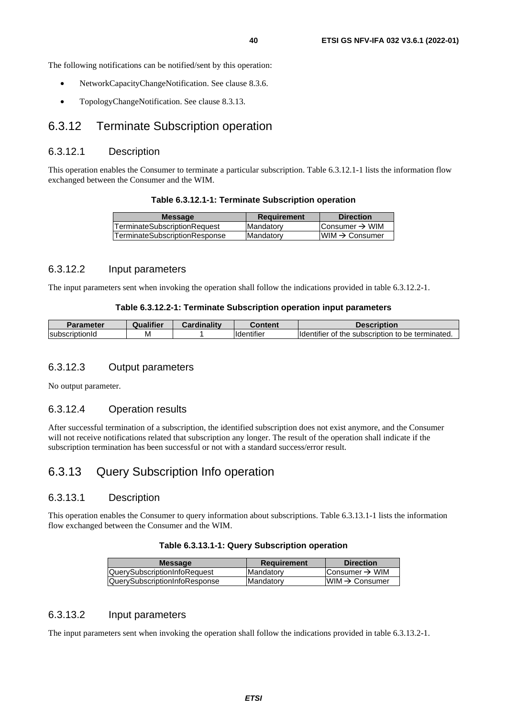The following notifications can be notified/sent by this operation:

- NetworkCapacityChangeNotification. See clause 8.3.6.
- TopologyChangeNotification. See clause 8.3.13.

## 6.3.12 Terminate Subscription operation

### 6.3.12.1 Description

This operation enables the Consumer to terminate a particular subscription. Table 6.3.12.1-1 lists the information flow exchanged between the Consumer and the WIM.

#### **Table 6.3.12.1-1: Terminate Subscription operation**

| <b>Message</b>                       | <b>Requirement</b> | <b>Direction</b>               |
|--------------------------------------|--------------------|--------------------------------|
| <b>TerminateSubscriptionRequest</b>  | <b>Mandatory</b>   | Consumer $\rightarrow$ WIM     |
| <b>TerminateSubscriptionResponse</b> | <b>Mandatory</b>   | $l$ WIM $\rightarrow$ Consumer |
|                                      |                    |                                |

### 6.3.12.2 Input parameters

The input parameters sent when invoking the operation shall follow the indications provided in table 6.3.12.2-1.

#### **Table 6.3.12.2-1: Terminate Subscription operation input parameters**

| Parameter              | <br>Qualitier | $\sim$ ardinality | Content            | <b>Description</b>                                            |
|------------------------|---------------|-------------------|--------------------|---------------------------------------------------------------|
| <b>IsubscriptionId</b> | M             |                   | <b>Ildentifier</b> | $\tau$ of the subscription to be terminated.<br>lldentifier ( |

## 6.3.12.3 Output parameters

No output parameter.

### 6.3.12.4 Operation results

After successful termination of a subscription, the identified subscription does not exist anymore, and the Consumer will not receive notifications related that subscription any longer. The result of the operation shall indicate if the subscription termination has been successful or not with a standard success/error result.

## 6.3.13 Query Subscription Info operation

## 6.3.13.1 Description

This operation enables the Consumer to query information about subscriptions. Table 6.3.13.1-1 lists the information flow exchanged between the Consumer and the WIM.

#### **Table 6.3.13.1-1: Query Subscription operation**

| Consumer → WIM             |
|----------------------------|
| $IWM \rightarrow Consumer$ |
|                            |

### 6.3.13.2 Input parameters

The input parameters sent when invoking the operation shall follow the indications provided in table 6.3.13.2-1.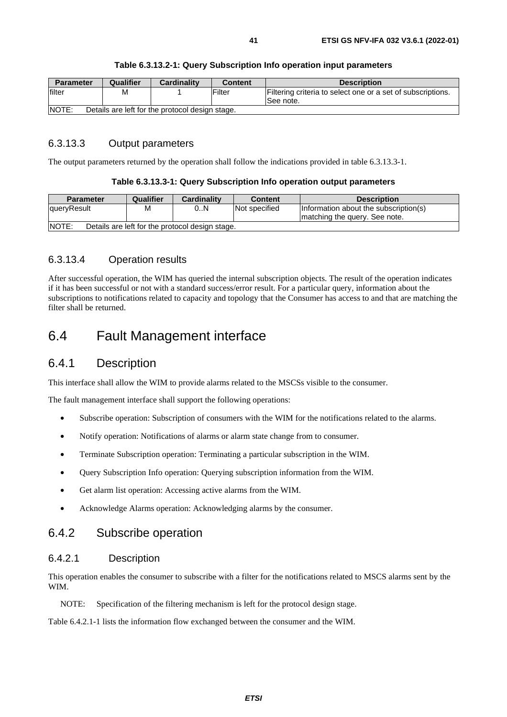| <b>Parameter</b>                                                 | Qualifier | <b>Cardinality</b> | <b>Content</b> | <b>Description</b>                                                       |  |
|------------------------------------------------------------------|-----------|--------------------|----------------|--------------------------------------------------------------------------|--|
| filter                                                           | м         |                    | Filter         | Filtering criteria to select one or a set of subscriptions.<br>See note. |  |
| <b>INOTE:</b><br>Details are left for the protocol design stage. |           |                    |                |                                                                          |  |

#### **Table 6.3.13.2-1: Query Subscription Info operation input parameters**

## 6.3.13.3 Output parameters

The output parameters returned by the operation shall follow the indications provided in table 6.3.13.3-1.

#### **Table 6.3.13.3-1: Query Subscription Info operation output parameters**

| <b>Parameter</b>                                                | Qualifier | <b>Cardinality</b> | <b>Content</b> | <b>Description</b>                    |  |
|-----------------------------------------------------------------|-----------|--------------------|----------------|---------------------------------------|--|
| <b>J</b> queryResult                                            | М         | 0N                 | Not specified  | Information about the subscription(s) |  |
|                                                                 |           |                    |                | Imatching the query. See note.        |  |
| <b>NOTE:</b><br>Details are left for the protocol design stage. |           |                    |                |                                       |  |

## 6.3.13.4 Operation results

After successful operation, the WIM has queried the internal subscription objects. The result of the operation indicates if it has been successful or not with a standard success/error result. For a particular query, information about the subscriptions to notifications related to capacity and topology that the Consumer has access to and that are matching the filter shall be returned.

## 6.4 Fault Management interface

## 6.4.1 Description

This interface shall allow the WIM to provide alarms related to the MSCSs visible to the consumer.

The fault management interface shall support the following operations:

- Subscribe operation: Subscription of consumers with the WIM for the notifications related to the alarms.
- Notify operation: Notifications of alarms or alarm state change from to consumer.
- Terminate Subscription operation: Terminating a particular subscription in the WIM.
- Query Subscription Info operation: Querying subscription information from the WIM.
- Get alarm list operation: Accessing active alarms from the WIM.
- Acknowledge Alarms operation: Acknowledging alarms by the consumer.

## 6.4.2 Subscribe operation

## 6.4.2.1 Description

This operation enables the consumer to subscribe with a filter for the notifications related to MSCS alarms sent by the WIM.

NOTE: Specification of the filtering mechanism is left for the protocol design stage.

Table 6.4.2.1-1 lists the information flow exchanged between the consumer and the WIM.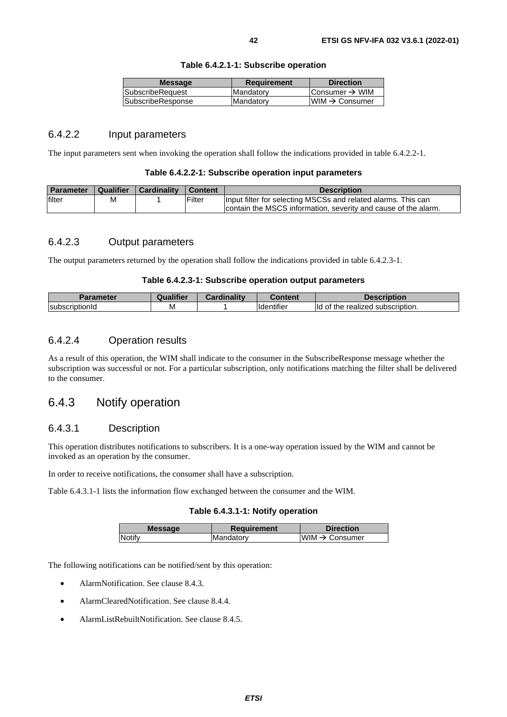|  |  | Table 6.4.2.1-1: Subscribe operation |  |
|--|--|--------------------------------------|--|
|--|--|--------------------------------------|--|

|                          |           | <b>Direction</b>           |
|--------------------------|-----------|----------------------------|
| <b>ISubscribeRequest</b> | Mandatory | Consumer $\rightarrow$ WIM |
| SubscribeResponse        | Mandatory | $WWW \rightarrow$ Consumer |

## 6.4.2.2 Input parameters

The input parameters sent when invoking the operation shall follow the indications provided in table 6.4.2.2-1.

| <b>Parameter</b> | Qualifier | <b>Cardinality</b> | <sup>1</sup> Content | <b>Description</b>                                                                                                              |
|------------------|-----------|--------------------|----------------------|---------------------------------------------------------------------------------------------------------------------------------|
| filter           | M         |                    | Filter               | Input filter for selecting MSCSs and related alarms. This can<br>contain the MSCS information, severity and cause of the alarm. |

## 6.4.2.3 Output parameters

The output parameters returned by the operation shall follow the indications provided in table 6.4.2.3-1.

#### **Table 6.4.2.3-1: Subscribe operation output parameters**

| <b>Parameter</b>       | <br>alitier | .<br><br>Cardinality | ∶ontent                             | Description                                        |
|------------------------|-------------|----------------------|-------------------------------------|----------------------------------------------------|
| <b>IsubscriptionId</b> | M           |                      | $\cdots$<br>lidentifie <sup>r</sup> | subscription.<br>realized<br>ld<br>me<br><b>UI</b> |

## 6.4.2.4 Operation results

As a result of this operation, the WIM shall indicate to the consumer in the SubscribeResponse message whether the subscription was successful or not. For a particular subscription, only notifications matching the filter shall be delivered to the consumer.

## 6.4.3 Notify operation

### 6.4.3.1 Description

This operation distributes notifications to subscribers. It is a one-way operation issued by the WIM and cannot be invoked as an operation by the consumer.

In order to receive notifications, the consumer shall have a subscription.

Table 6.4.3.1-1 lists the information flow exchanged between the consumer and the WIM.

#### **Table 6.4.3.1-1: Notify operation**

| <b>Message</b> | <b>Requirement</b> | <b>Direction</b>           |
|----------------|--------------------|----------------------------|
| Notify         | IMandatorv         | WIM $\rightarrow$ Consumer |
|                |                    |                            |

The following notifications can be notified/sent by this operation:

- AlarmNotification. See clause 8.4.3.
- AlarmClearedNotification. See clause 8.4.4.
- AlarmListRebuiltNotification. See clause 8.4.5.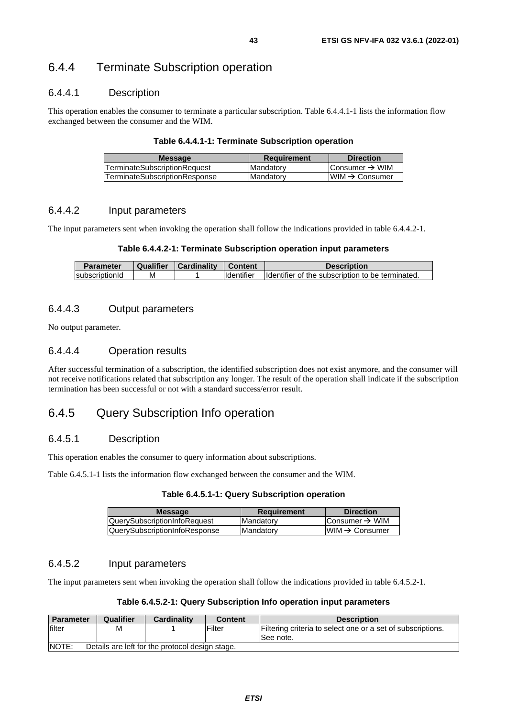## 6.4.4 Terminate Subscription operation

## 6.4.4.1 Description

This operation enables the consumer to terminate a particular subscription. Table 6.4.4.1-1 lists the information flow exchanged between the consumer and the WIM.

#### **Table 6.4.4.1-1: Terminate Subscription operation**

| <b>Message</b>                      | <b>Requirement</b> | <b>Direction</b>           |
|-------------------------------------|--------------------|----------------------------|
| <b>TerminateSubscriptionRequest</b> | <b>Mandatory</b>   | Consumer $\rightarrow$ WIM |
| TerminateSubscriptionResponse       | Mandatory          | $IWM \rightarrow Consumer$ |

## 6.4.4.2 Input parameters

The input parameters sent when invoking the operation shall follow the indications provided in table 6.4.4.2-1.

#### **Table 6.4.4.2-1: Terminate Subscription operation input parameters**

| <b>Parameter</b> | <b>Qualifier</b> | <b>Cardinality</b> | <b>Content</b> | <b>Description</b>                               |
|------------------|------------------|--------------------|----------------|--------------------------------------------------|
| subscriptionId   | м                |                    | Identifier     | Identifier of the subscription to be terminated. |

## 6.4.4.3 Output parameters

No output parameter.

## 6.4.4.4 Operation results

After successful termination of a subscription, the identified subscription does not exist anymore, and the consumer will not receive notifications related that subscription any longer. The result of the operation shall indicate if the subscription termination has been successful or not with a standard success/error result.

## 6.4.5 Query Subscription Info operation

## 6.4.5.1 Description

This operation enables the consumer to query information about subscriptions.

Table 6.4.5.1-1 lists the information flow exchanged between the consumer and the WIM.

**Table 6.4.5.1-1: Query Subscription operation** 

| <b>Message</b>                       | <b>Requirement</b> | <b>Direction</b>           |
|--------------------------------------|--------------------|----------------------------|
| <b>QuerySubscriptionInfoRequest</b>  | <b>IMandatory</b>  | Consumer $\rightarrow$ WIM |
| <b>QuerySubscriptionInfoResponse</b> | <b>IMandatory</b>  | $IWM \rightarrow Consumer$ |
|                                      |                    |                            |

## 6.4.5.2 Input parameters

The input parameters sent when invoking the operation shall follow the indications provided in table 6.4.5.2-1.

#### **Table 6.4.5.2-1: Query Subscription Info operation input parameters**

| <b>Parameter</b>                                                 | Qualifier | <b>Cardinality</b> | <b>Content</b> | <b>Description</b>                                                       |  |  |
|------------------------------------------------------------------|-----------|--------------------|----------------|--------------------------------------------------------------------------|--|--|
| lfilter                                                          | М         |                    | Filter         | Filtering criteria to select one or a set of subscriptions.<br>See note. |  |  |
| <b>INOTE:</b><br>Details are left for the protocol design stage. |           |                    |                |                                                                          |  |  |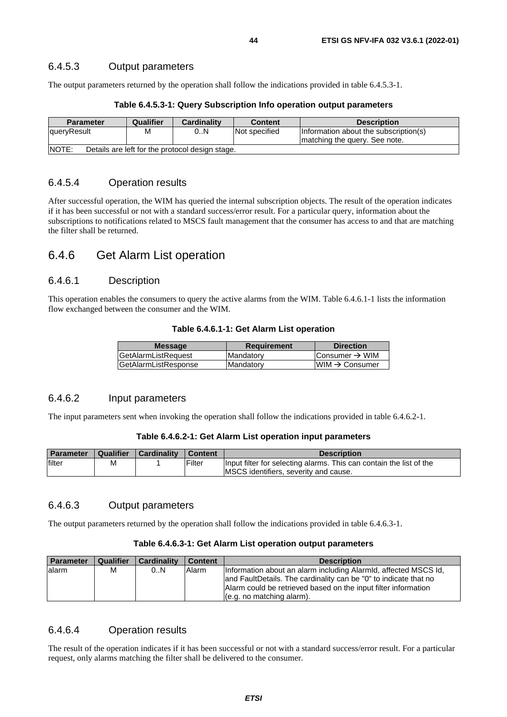## 6.4.5.3 Output parameters

The output parameters returned by the operation shall follow the indications provided in table 6.4.5.3-1.

| <b>Parameter</b>                                                | Qualifier | <b>Cardinality</b> | <b>Content</b> | <b>Description</b>                    |  |
|-----------------------------------------------------------------|-----------|--------------------|----------------|---------------------------------------|--|
| queryResult                                                     | M         | 0N                 | Not specified  | Information about the subscription(s) |  |
|                                                                 |           |                    |                | Imatching the query. See note.        |  |
| <b>NOTE:</b><br>Details are left for the protocol design stage. |           |                    |                |                                       |  |

#### **Table 6.4.5.3-1: Query Subscription Info operation output parameters**

## 6.4.5.4 Operation results

After successful operation, the WIM has queried the internal subscription objects. The result of the operation indicates if it has been successful or not with a standard success/error result. For a particular query, information about the subscriptions to notifications related to MSCS fault management that the consumer has access to and that are matching the filter shall be returned.

## 6.4.6 Get Alarm List operation

## 6.4.6.1 Description

This operation enables the consumers to query the active alarms from the WIM. Table 6.4.6.1-1 lists the information flow exchanged between the consumer and the WIM.

|  |  |  |  |  | Table 6.4.6.1-1: Get Alarm List operation |
|--|--|--|--|--|-------------------------------------------|
|--|--|--|--|--|-------------------------------------------|

| <b>Message</b>              | <b>Requirement</b> | <b>Direction</b>           |
|-----------------------------|--------------------|----------------------------|
| <b>GetAlarmListRequest</b>  | Mandatory          | Consumer $\rightarrow$ WIM |
| <b>GetAlarmListResponse</b> | Mandatory          | $WIM \rightarrow$ Consumer |
|                             |                    |                            |

### 6.4.6.2 Input parameters

The input parameters sent when invoking the operation shall follow the indications provided in table 6.4.6.2-1.

#### **Table 6.4.6.2-1: Get Alarm List operation input parameters**

| <b>Parameter</b> | Qualifier | Cardinality | <b>Content</b> | <b>Description</b>                                                  |
|------------------|-----------|-------------|----------------|---------------------------------------------------------------------|
| filter           | м         |             | Filter         | Input filter for selecting alarms. This can contain the list of the |
|                  |           |             |                | MSCS identifiers, severity and cause.                               |

## 6.4.6.3 Output parameters

The output parameters returned by the operation shall follow the indications provided in table 6.4.6.3-1.

#### **Table 6.4.6.3-1: Get Alarm List operation output parameters**

| <b>Parameter</b> | Qualifier | <b>Cardinality</b> | <b>Content</b> | <b>Description</b>                                                                                                                                                                                                                 |
|------------------|-----------|--------------------|----------------|------------------------------------------------------------------------------------------------------------------------------------------------------------------------------------------------------------------------------------|
| lalarm           | М         | 0N                 | Alarm          | Information about an alarm including Alarmid, affected MSCS Id,<br>and FaultDetails. The cardinality can be "0" to indicate that no<br>Alarm could be retrieved based on the input filter information<br>(e.g. no matching alarm). |

## 6.4.6.4 Operation results

The result of the operation indicates if it has been successful or not with a standard success/error result. For a particular request, only alarms matching the filter shall be delivered to the consumer.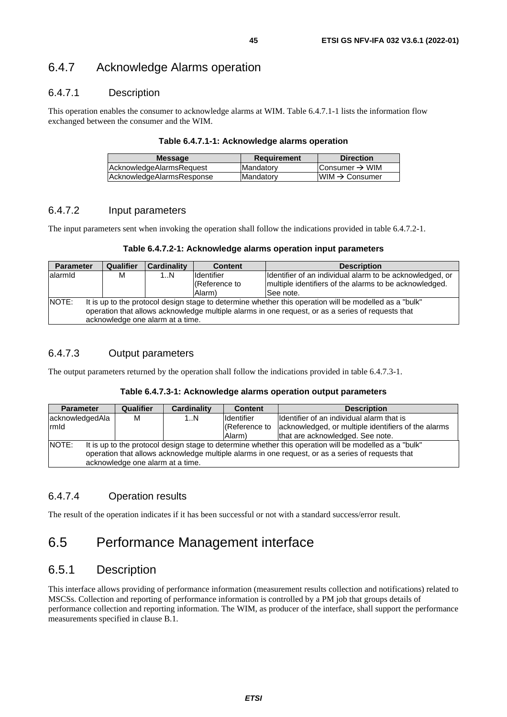## 6.4.7 Acknowledge Alarms operation

## 6.4.7.1 Description

This operation enables the consumer to acknowledge alarms at WIM. Table 6.4.7.1-1 lists the information flow exchanged between the consumer and the WIM.

#### **Table 6.4.7.1-1: Acknowledge alarms operation**

| <b>Message</b>            | <b>Requirement</b> | <b>Direction</b>           |
|---------------------------|--------------------|----------------------------|
| AcknowledgeAlarmsRequest  | Mandatory          | Consumer $\rightarrow$ WIM |
| AcknowledgeAlarmsResponse | <b>Mandatory</b>   | $IWM \rightarrow Consumer$ |

### 6.4.7.2 Input parameters

The input parameters sent when invoking the operation shall follow the indications provided in table 6.4.7.2-1.

| Table 6.4.7.2-1: Acknowledge alarms operation input parameters |  |  |  |  |
|----------------------------------------------------------------|--|--|--|--|
|----------------------------------------------------------------|--|--|--|--|

| <b>Parameter</b> |                                                                                                   | Qualifier | <b>Cardinality</b><br><b>Content</b> |                   | <b>Description</b>                                                                                     |  |
|------------------|---------------------------------------------------------------------------------------------------|-----------|--------------------------------------|-------------------|--------------------------------------------------------------------------------------------------------|--|
| lalarmid         |                                                                                                   | м         | 1N                                   | <b>Identifier</b> | Identifier of an individual alarm to be acknowledged, or                                               |  |
|                  |                                                                                                   |           |                                      | (Reference to     | multiple identifiers of the alarms to be acknowledged.                                                 |  |
|                  |                                                                                                   |           |                                      | Alarm)            | See note.                                                                                              |  |
| NOTE:            |                                                                                                   |           |                                      |                   | It is up to the protocol design stage to determine whether this operation will be modelled as a "bulk" |  |
|                  | operation that allows acknowledge multiple alarms in one request, or as a series of requests that |           |                                      |                   |                                                                                                        |  |
|                  |                                                                                                   |           | acknowledge one alarm at a time.     |                   |                                                                                                        |  |

## 6.4.7.3 Output parameters

The output parameters returned by the operation shall follow the indications provided in table 6.4.7.3-1.

#### **Table 6.4.7.3-1: Acknowledge alarms operation output parameters**

| <b>Parameter</b> | <b>Qualifier</b>                                                                                       | Cardinality | <b>Content</b>     | <b>Description</b>                                  |  |
|------------------|--------------------------------------------------------------------------------------------------------|-------------|--------------------|-----------------------------------------------------|--|
| acknowledgedAla  | м                                                                                                      | 1N          | <b>I</b> dentifier | Ildentifier of an individual alarm that is          |  |
| rmld             |                                                                                                        |             | (Reference to      | acknowledged, or multiple identifiers of the alarms |  |
|                  |                                                                                                        |             | Alarm)             | that are acknowledged. See note.                    |  |
| <b>NOTE:</b>     | It is up to the protocol design stage to determine whether this operation will be modelled as a "bulk" |             |                    |                                                     |  |
|                  | operation that allows acknowledge multiple alarms in one request, or as a series of requests that      |             |                    |                                                     |  |
|                  | acknowledge one alarm at a time.                                                                       |             |                    |                                                     |  |

## 6.4.7.4 Operation results

The result of the operation indicates if it has been successful or not with a standard success/error result.

# 6.5 Performance Management interface

## 6.5.1 Description

This interface allows providing of performance information (measurement results collection and notifications) related to MSCSs. Collection and reporting of performance information is controlled by a PM job that groups details of performance collection and reporting information. The WIM, as producer of the interface, shall support the performance measurements specified in clause B.1.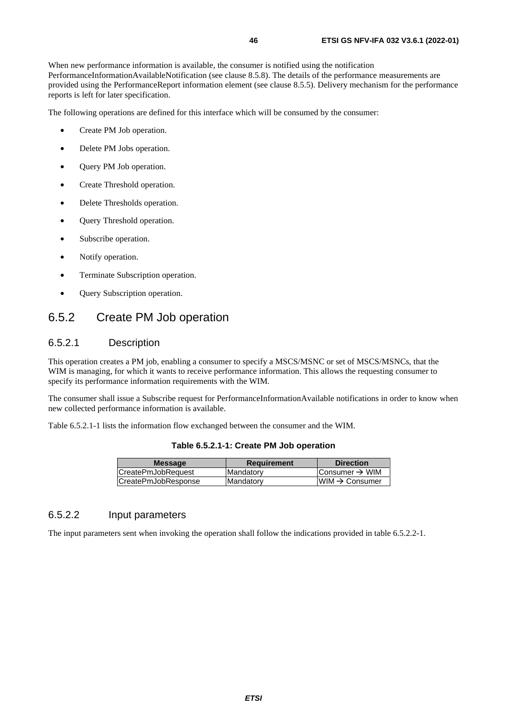When new performance information is available, the consumer is notified using the notification PerformanceInformationAvailableNotification (see clause 8.5.8). The details of the performance measurements are provided using the PerformanceReport information element (see clause 8.5.5). Delivery mechanism for the performance reports is left for later specification.

The following operations are defined for this interface which will be consumed by the consumer:

- Create PM Job operation.
- Delete PM Jobs operation.
- Query PM Job operation.
- Create Threshold operation.
- Delete Thresholds operation.
- **Query Threshold operation.**
- Subscribe operation.
- Notify operation.
- Terminate Subscription operation.
- Query Subscription operation.

## 6.5.2 Create PM Job operation

## 6.5.2.1 Description

This operation creates a PM job, enabling a consumer to specify a MSCS/MSNC or set of MSCS/MSNCs, that the WIM is managing, for which it wants to receive performance information. This allows the requesting consumer to specify its performance information requirements with the WIM.

The consumer shall issue a Subscribe request for PerformanceInformationAvailable notifications in order to know when new collected performance information is available.

Table 6.5.2.1-1 lists the information flow exchanged between the consumer and the WIM.

| Table 6.5.2.1-1: Create PM Job operation |  |  |  |
|------------------------------------------|--|--|--|
|------------------------------------------|--|--|--|

| <b>Message</b>      | <b>Requirement</b> | <b>Direction</b>           |
|---------------------|--------------------|----------------------------|
| CreatePmJobRequest  | <b>Mandatory</b>   | Consumer $\rightarrow$ WIM |
| CreatePmJobResponse | Mandatory          | $WIM \rightarrow$ Consumer |

## 6.5.2.2 Input parameters

The input parameters sent when invoking the operation shall follow the indications provided in table 6.5.2.2-1.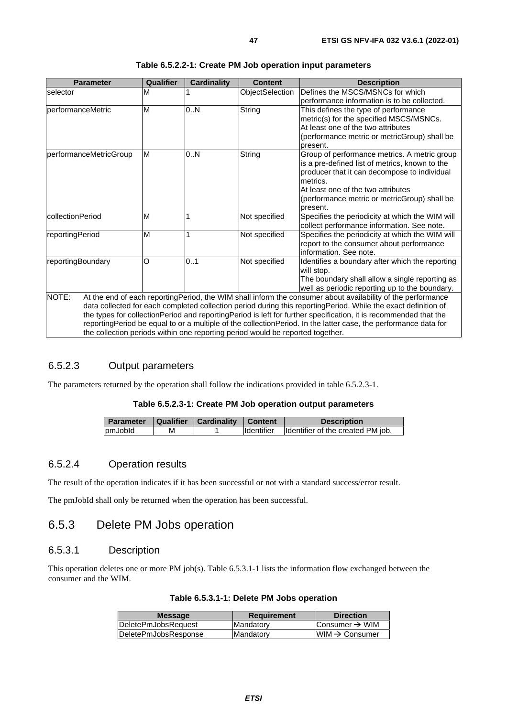| <b>Parameter</b>       | Qualifier | <b>Cardinality</b> | <b>Content</b>                                                                 | <b>Description</b>                                                                                                                                                                                                                                                                                                                                                                                                                                                   |
|------------------------|-----------|--------------------|--------------------------------------------------------------------------------|----------------------------------------------------------------------------------------------------------------------------------------------------------------------------------------------------------------------------------------------------------------------------------------------------------------------------------------------------------------------------------------------------------------------------------------------------------------------|
| selector               | М         |                    | ObjectSelection                                                                | Defines the MSCS/MSNCs for which<br>performance information is to be collected.                                                                                                                                                                                                                                                                                                                                                                                      |
| performanceMetric      | M         | 0N                 | String                                                                         | This defines the type of performance<br>metric(s) for the specified MSCS/MSNCs.<br>At least one of the two attributes<br>(performance metric or metricGroup) shall be<br>present.                                                                                                                                                                                                                                                                                    |
| performanceMetricGroup | M         | 0.N                | String                                                                         | Group of performance metrics. A metric group<br>is a pre-defined list of metrics, known to the<br>producer that it can decompose to individual<br>metrics.<br>At least one of the two attributes<br>(performance metric or metricGroup) shall be<br>present.                                                                                                                                                                                                         |
| collectionPeriod       | M         |                    | Not specified                                                                  | Specifies the periodicity at which the WIM will<br>collect performance information. See note.                                                                                                                                                                                                                                                                                                                                                                        |
| reportingPeriod        | M         | 1                  | Not specified                                                                  | Specifies the periodicity at which the WIM will<br>report to the consumer about performance<br>information. See note.                                                                                                                                                                                                                                                                                                                                                |
| reportingBoundary      | O         | 0.1                | Not specified                                                                  | Identifies a boundary after which the reporting<br>will stop.<br>The boundary shall allow a single reporting as<br>well as periodic reporting up to the boundary.                                                                                                                                                                                                                                                                                                    |
| NOTE:                  |           |                    | the collection periods within one reporting period would be reported together. | At the end of each reportingPeriod, the WIM shall inform the consumer about availability of the performance<br>data collected for each completed collection period during this reportingPeriod. While the exact definition of<br>the types for collectionPeriod and reportingPeriod is left for further specification, it is recommended that the<br>reportingPeriod be equal to or a multiple of the collectionPeriod. In the latter case, the performance data for |

| Table 6.5.2.2-1: Create PM Job operation input parameters |  |
|-----------------------------------------------------------|--|
|-----------------------------------------------------------|--|

## 6.5.2.3 Output parameters

The parameters returned by the operation shall follow the indications provided in table 6.5.2.3-1.

#### **Table 6.5.2.3-1: Create PM Job operation output parameters**

| <b>Parameter   Qualifier   Cardinality   Content</b> |   |                   | <b>Description</b>                |
|------------------------------------------------------|---|-------------------|-----------------------------------|
| pmJobld                                              | м | <b>Identifier</b> | Identifier of the created PM job. |

## 6.5.2.4 Operation results

The result of the operation indicates if it has been successful or not with a standard success/error result.

The pmJobId shall only be returned when the operation has been successful.

## 6.5.3 Delete PM Jobs operation

## 6.5.3.1 Description

This operation deletes one or more PM job(s). Table 6.5.3.1-1 lists the information flow exchanged between the consumer and the WIM.

|  |  |  |  |  | Table 6.5.3.1-1: Delete PM Jobs operation |
|--|--|--|--|--|-------------------------------------------|
|--|--|--|--|--|-------------------------------------------|

| DeletePmJobsRequest<br><b>Mandatory</b>  | Consumer $\rightarrow$ WIM  |
|------------------------------------------|-----------------------------|
| DeletePmJobsResponse<br><b>Mandatory</b> | $IWHM \rightarrow$ Consumer |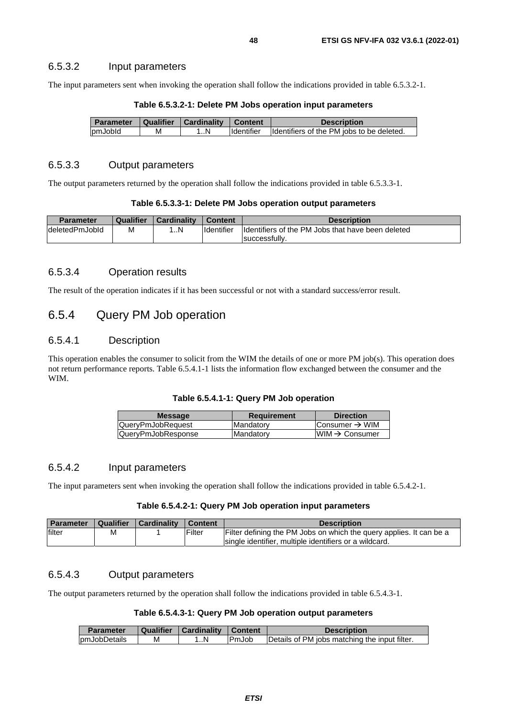#### 6.5.3.2 Input parameters

The input parameters sent when invoking the operation shall follow the indications provided in table 6.5.3.2-1.

| <b>Parameter</b> | Qualifier | Cardinality | Content           | <b>Description</b>                        |
|------------------|-----------|-------------|-------------------|-------------------------------------------|
| pmJobId          | М         | N           | <b>Identifier</b> | Identifiers of the PM jobs to be deleted. |

**Table 6.5.3.2-1: Delete PM Jobs operation input parameters** 

### 6.5.3.3 Output parameters

The output parameters returned by the operation shall follow the indications provided in table 6.5.3.3-1.

|  | Table 6.5.3.3-1: Delete PM Jobs operation output parameters |
|--|-------------------------------------------------------------|
|--|-------------------------------------------------------------|

| <b>Parameter</b> | Qualifier | <b>Cardinality</b> | <b>Content</b>    | <b>Description</b>                                |
|------------------|-----------|--------------------|-------------------|---------------------------------------------------|
| IdeletedPmJobId  | м         | N                  | <b>Identifier</b> | Identifiers of the PM Jobs that have been deleted |
|                  |           |                    |                   | successfully                                      |

### 6.5.3.4 Operation results

The result of the operation indicates if it has been successful or not with a standard success/error result.

## 6.5.4 Query PM Job operation

## 6.5.4.1 Description

This operation enables the consumer to solicit from the WIM the details of one or more PM job(s). This operation does not return performance reports. Table 6.5.4.1-1 lists the information flow exchanged between the consumer and the WIM.

#### **Table 6.5.4.1-1: Query PM Job operation**

| QueryPmJobRequest<br>Mandatory          |                             |
|-----------------------------------------|-----------------------------|
|                                         | Consumer $\rightarrow$ WIM  |
| QueryPmJobResponse<br><b>IMandatorv</b> | IWIM $\rightarrow$ Consumer |

## 6.5.4.2 Input parameters

The input parameters sent when invoking the operation shall follow the indications provided in table 6.5.4.2-1.

#### **Table 6.5.4.2-1: Query PM Job operation input parameters**

| <b>Parameter</b> |   | Qualifier   Cardinality | <b>Content</b> | <b>Description</b>                                                  |
|------------------|---|-------------------------|----------------|---------------------------------------------------------------------|
| filter           | M |                         | Filter         | Filter defining the PM Jobs on which the query applies. It can be a |
|                  |   |                         |                | single identifier, multiple identifiers or a wildcard.              |

### 6.5.4.3 Output parameters

The output parameters returned by the operation shall follow the indications provided in table 6.5.4.3-1.

**Table 6.5.4.3-1: Query PM Job operation output parameters** 

| <b>Parameter</b> | Qualifier | Cardinality | Content | <b>Description</b>                            |
|------------------|-----------|-------------|---------|-----------------------------------------------|
| pmJobDetails     | М         | N           | IPmJob  | Details of PM jobs matching the input filter. |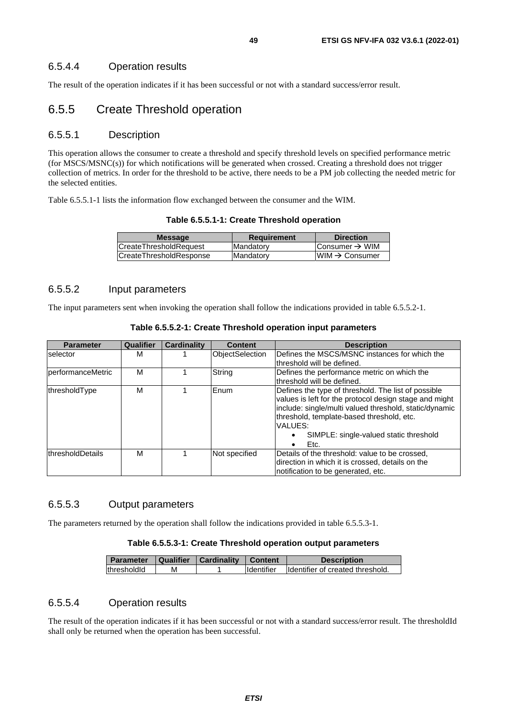The result of the operation indicates if it has been successful or not with a standard success/error result.

## 6.5.5 Create Threshold operation

### 6.5.5.1 Description

This operation allows the consumer to create a threshold and specify threshold levels on specified performance metric (for MSCS/MSNC(s)) for which notifications will be generated when crossed. Creating a threshold does not trigger collection of metrics. In order for the threshold to be active, there needs to be a PM job collecting the needed metric for the selected entities.

Table 6.5.5.1-1 lists the information flow exchanged between the consumer and the WIM.

| <b>Message</b>          | <b>Requirement</b> | <b>Direction</b>           |
|-------------------------|--------------------|----------------------------|
| ICreateThresholdRequest | Mandatory          | Consumer $\rightarrow$ WIM |
| CreateThresholdResponse | <b>Mandatory</b>   | $WIM \rightarrow$ Consumer |
|                         |                    |                            |

## 6.5.5.2 Input parameters

The input parameters sent when invoking the operation shall follow the indications provided in table 6.5.5.2-1.

| <b>Parameter</b>         | Qualifier | <b>Cardinality</b> | <b>Content</b>         | <b>Description</b>                                     |
|--------------------------|-----------|--------------------|------------------------|--------------------------------------------------------|
| selector                 | м         |                    | <b>ObjectSelection</b> | Defines the MSCS/MSNC instances for which the          |
|                          |           |                    |                        | threshold will be defined.                             |
| <b>performanceMetric</b> | M         |                    | String                 | Defines the performance metric on which the            |
|                          |           |                    |                        | threshold will be defined.                             |
| thresholdType            | M         |                    | Enum                   | Defines the type of threshold. The list of possible    |
|                          |           |                    |                        | values is left for the protocol design stage and might |
|                          |           |                    |                        | include: single/multi valued threshold, static/dynamic |
|                          |           |                    |                        | threshold, template-based threshold, etc.              |
|                          |           |                    |                        | VALUES:                                                |
|                          |           |                    |                        | SIMPLE: single-valued static threshold                 |
|                          |           |                    |                        | Etc.<br>٠                                              |
| thresholdDetails         | M         |                    | Not specified          | Details of the threshold: value to be crossed,         |
|                          |           |                    |                        | direction in which it is crossed, details on the       |
|                          |           |                    |                        | notification to be generated, etc.                     |

**Table 6.5.5.2-1: Create Threshold operation input parameters** 

### 6.5.5.3 Output parameters

The parameters returned by the operation shall follow the indications provided in table 6.5.5.3-1.

#### **Table 6.5.5.3-1: Create Threshold operation output parameters**

| <b>Parameter</b>    |   | Qualifier   Cardinality | <b>Content</b>     | <b>Description</b>               |
|---------------------|---|-------------------------|--------------------|----------------------------------|
| <b>IthresholdId</b> | М |                         | <b>I</b> dentifier | Identifier of created threshold. |

## 6.5.5.4 Operation results

The result of the operation indicates if it has been successful or not with a standard success/error result. The thresholdId shall only be returned when the operation has been successful.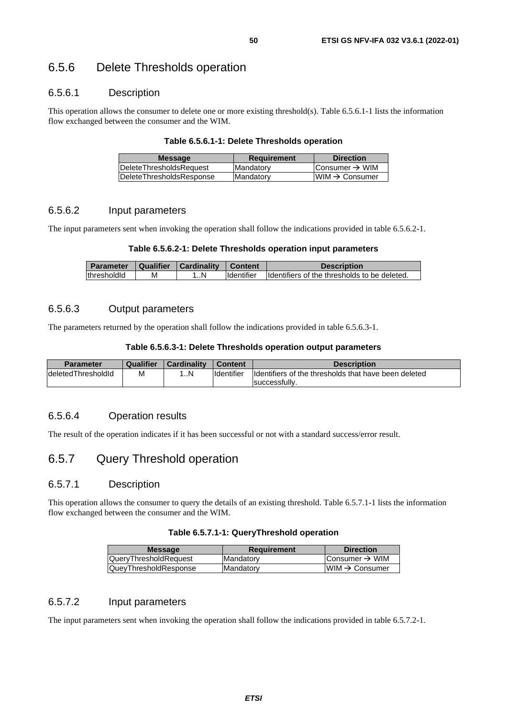## 6.5.6 Delete Thresholds operation

## 6.5.6.1 Description

This operation allows the consumer to delete one or more existing threshold(s). Table 6.5.6.1-1 lists the information flow exchanged between the consumer and the WIM.

#### **Table 6.5.6.1-1: Delete Thresholds operation**

| <b>Direction</b>            | <b>Requirement</b> | <b>Message</b>                   |  |
|-----------------------------|--------------------|----------------------------------|--|
| lConsumer → WIM             | <b>IMandatory</b>  | <b>IDeleteThresholdsRequest</b>  |  |
| $ WIM \rightarrow Consumer$ | <b>IMandatory</b>  | <b>IDeleteThresholdsResponse</b> |  |
|                             |                    |                                  |  |

## 6.5.6.2 Input parameters

The input parameters sent when invoking the operation shall follow the indications provided in table 6.5.6.2-1.

#### **Table 6.5.6.2-1: Delete Thresholds operation input parameters**

| <b>Parameter</b> |   | Qualifier   Cardinality   Content |                   | <b>Description</b>                            |
|------------------|---|-----------------------------------|-------------------|-----------------------------------------------|
| thresholdid      | М |                                   | <b>Identifier</b> | Ildentifiers of the thresholds to be deleted. |

### 6.5.6.3 Output parameters

The parameters returned by the operation shall follow the indications provided in table 6.5.6.3-1.

#### **Table 6.5.6.3-1: Delete Thresholds operation output parameters**

| Parameter           | Qualifier | <b>Cardinality</b> | Content           | <b>Description</b>                                   |
|---------------------|-----------|--------------------|-------------------|------------------------------------------------------|
| ldeletedThresholdId | M         | N                  | <b>Identifier</b> | Identifiers of the thresholds that have been deleted |
|                     |           |                    |                   | successfully.                                        |

## 6.5.6.4 Operation results

The result of the operation indicates if it has been successful or not with a standard success/error result.

## 6.5.7 Query Threshold operation

## 6.5.7.1 Description

This operation allows the consumer to query the details of an existing threshold. Table 6.5.7.1-1 lists the information flow exchanged between the consumer and the WIM.

#### **Table 6.5.7.1-1: QueryThreshold operation**

| <b>Message</b>        | Requirement       | <b>Direction</b>           |
|-----------------------|-------------------|----------------------------|
| QueryThresholdRequest | <b>IMandatory</b> | Consumer $\rightarrow$ WIM |
| QueyThresholdResponse | Mandatory         | $WIM \rightarrow Consumer$ |
|                       |                   |                            |

## 6.5.7.2 Input parameters

The input parameters sent when invoking the operation shall follow the indications provided in table 6.5.7.2-1.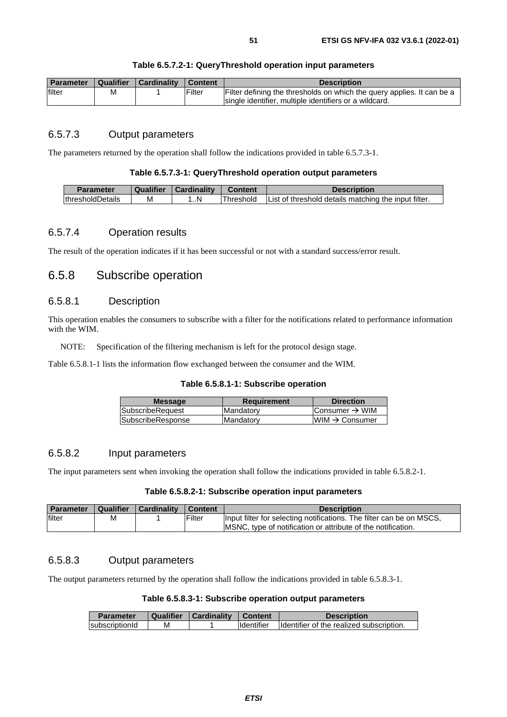| Parameter | ∣ Qualifier | <b>∣Cardinality</b> | Content | <b>Description</b>                                                                                                                |
|-----------|-------------|---------------------|---------|-----------------------------------------------------------------------------------------------------------------------------------|
| filter    | М           |                     | Filter  | Filter defining the thresholds on which the query applies. It can be a<br>Isingle identifier, multiple identifiers or a wildcard. |

## 6.5.7.3 Output parameters

The parameters returned by the operation shall follow the indications provided in table 6.5.7.3-1.

#### **Table 6.5.7.3-1: QueryThreshold operation output parameters**

| <b>Parameter</b>         | Qualifier | Cardinality | Content   | <b>Description</b>                                   |
|--------------------------|-----------|-------------|-----------|------------------------------------------------------|
| <b>IthresholdDetails</b> | М         | …N.         | Threshold | List of threshold details matching the input filter. |

## 6.5.7.4 Operation results

The result of the operation indicates if it has been successful or not with a standard success/error result.

## 6.5.8 Subscribe operation

## 6.5.8.1 Description

This operation enables the consumers to subscribe with a filter for the notifications related to performance information with the WIM.

NOTE: Specification of the filtering mechanism is left for the protocol design stage.

Table 6.5.8.1-1 lists the information flow exchanged between the consumer and the WIM.

#### **Table 6.5.8.1-1: Subscribe operation**

| <b>Message</b>          | <b>Requirement</b> | <b>Direction</b>           |
|-------------------------|--------------------|----------------------------|
| <b>SubscribeRequest</b> | Mandatory          | Consumer $\rightarrow$ WIM |
| SubscribeResponse       | Mandatory          | $WIM \rightarrow$ Consumer |
|                         |                    |                            |

### 6.5.8.2 Input parameters

The input parameters sent when invoking the operation shall follow the indications provided in table 6.5.8.2-1.

#### **Table 6.5.8.2-1: Subscribe operation input parameters**

| <b>Parameter</b> | <b>Qualifier</b> | Cardinality | Content        | <b>Description</b>                                                   |
|------------------|------------------|-------------|----------------|----------------------------------------------------------------------|
| filter           | М                |             | <b>IFilter</b> | Input filter for selecting notifications. The filter can be on MSCS, |
|                  |                  |             |                | MSNC, type of notification or attribute of the notification.         |

### 6.5.8.3 Output parameters

The output parameters returned by the operation shall follow the indications provided in table 6.5.8.3-1.

#### **Table 6.5.8.3-1: Subscribe operation output parameters**

| <b>Parameter</b> | Qualifier | <b>Cardinality Content</b> |                   | <b>Description</b>                       |
|------------------|-----------|----------------------------|-------------------|------------------------------------------|
| subscriptionId   | М         |                            | <b>Identifier</b> | Identifier of the realized subscription. |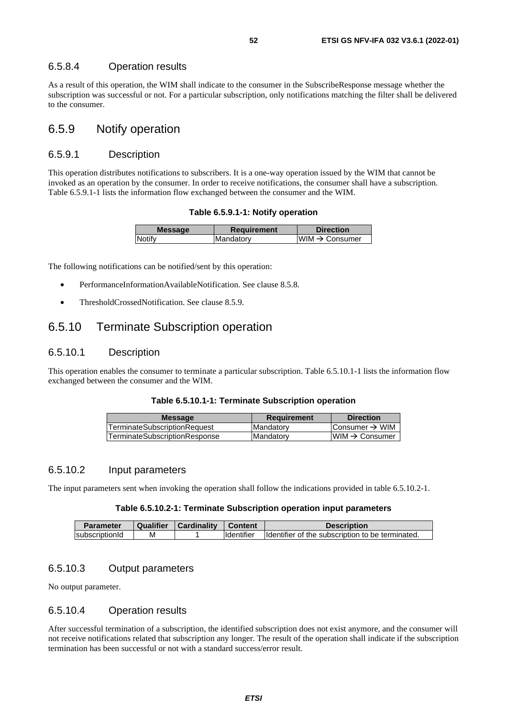### 6.5.8.4 Operation results

As a result of this operation, the WIM shall indicate to the consumer in the SubscribeResponse message whether the subscription was successful or not. For a particular subscription, only notifications matching the filter shall be delivered to the consumer.

## 6.5.9 Notify operation

## 6.5.9.1 Description

This operation distributes notifications to subscribers. It is a one-way operation issued by the WIM that cannot be invoked as an operation by the consumer. In order to receive notifications, the consumer shall have a subscription. Table 6.5.9.1-1 lists the information flow exchanged between the consumer and the WIM.

**Table 6.5.9.1-1: Notify operation** 

| <b>Message</b> | Requirement       | <b>Direction</b>           |
|----------------|-------------------|----------------------------|
| Notify         | <b>IMandatory</b> | WIM $\rightarrow$ Consumer |
|                |                   |                            |

The following notifications can be notified/sent by this operation:

- PerformanceInformationAvailableNotification. See clause 8.5.8.
- ThresholdCrossedNotification. See clause 8.5.9.

## 6.5.10 Terminate Subscription operation

## 6.5.10.1 Description

This operation enables the consumer to terminate a particular subscription. Table 6.5.10.1-1 lists the information flow exchanged between the consumer and the WIM.

|  | Table 6.5.10.1-1: Terminate Subscription operation |  |
|--|----------------------------------------------------|--|
|--|----------------------------------------------------|--|

| <b>Message</b>                      | <b>Requirement</b> | <b>Direction</b>           |
|-------------------------------------|--------------------|----------------------------|
| <b>TerminateSubscriptionRequest</b> | <b>Mandatory</b>   | Consumer $\rightarrow$ WIM |
| lTerminateSubscriptionResponse      | <b>Mandatory</b>   | $WIM \rightarrow$ Consumer |
|                                     |                    |                            |

#### 6.5.10.2 Input parameters

The input parameters sent when invoking the operation shall follow the indications provided in table 6.5.10.2-1.

#### **Table 6.5.10.2-1: Terminate Subscription operation input parameters**

| Parameter      | Qualifier | <b>Cardinality</b> | <b>Content</b>    | <b>Description</b>                                |
|----------------|-----------|--------------------|-------------------|---------------------------------------------------|
| subscriptionId | м         |                    | <b>Identifier</b> | Ildentifier of the subscription to be terminated. |

## 6.5.10.3 Output parameters

No output parameter.

## 6.5.10.4 Operation results

After successful termination of a subscription, the identified subscription does not exist anymore, and the consumer will not receive notifications related that subscription any longer. The result of the operation shall indicate if the subscription termination has been successful or not with a standard success/error result.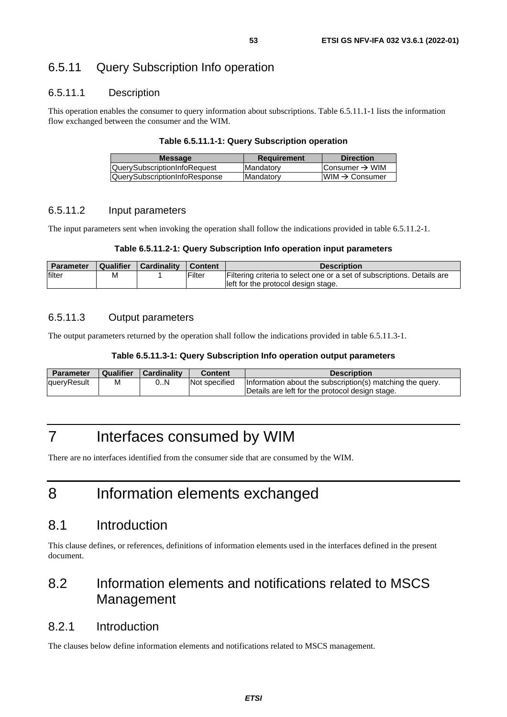## 6.5.11 Query Subscription Info operation

## 6.5.11.1 Description

This operation enables the consumer to query information about subscriptions. Table 6.5.11.1-1 lists the information flow exchanged between the consumer and the WIM.

#### **Table 6.5.11.1-1: Query Subscription operation**

| Consumer $\rightarrow$ WIM                     |
|------------------------------------------------|
| $\textsf{I}\textsf{WIM} \to \textsf{Consumer}$ |
|                                                |

## 6.5.11.2 Input parameters

The input parameters sent when invoking the operation shall follow the indications provided in table 6.5.11.2-1.

#### **Table 6.5.11.2-1: Query Subscription Info operation input parameters**

| <b>Parameter</b> | Qualifier | <b>Cardinality</b> | Content | <b>Description</b>                                                                                             |
|------------------|-----------|--------------------|---------|----------------------------------------------------------------------------------------------------------------|
| filter           | м         |                    | Filter  | Filtering criteria to select one or a set of subscriptions. Details are<br>left for the protocol design stage. |

### 6.5.11.3 Output parameters

The output parameters returned by the operation shall follow the indications provided in table 6.5.11.3-1.

#### **Table 6.5.11.3-1: Query Subscription Info operation output parameters**

| <b>Parameter</b> | <b>Qualifier</b> | <b>Cardinality</b> | <b>Content</b> | <b>Description</b>                                        |
|------------------|------------------|--------------------|----------------|-----------------------------------------------------------|
| queryResult      | М                | 0N                 | Not specified  | Information about the subscription(s) matching the query. |
|                  |                  |                    |                | Details are left for the protocol design stage.           |

# 7 Interfaces consumed by WIM

There are no interfaces identified from the consumer side that are consumed by the WIM.

# 8 Information elements exchanged

## 8.1 Introduction

This clause defines, or references, definitions of information elements used in the interfaces defined in the present document.

# 8.2 Information elements and notifications related to MSCS Management

## 8.2.1 Introduction

The clauses below define information elements and notifications related to MSCS management.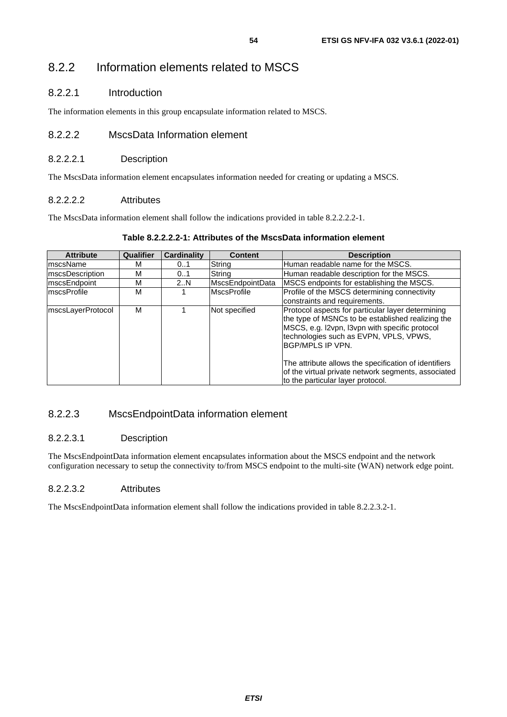## 8.2.2 Information elements related to MSCS

## 8.2.2.1 Introduction

The information elements in this group encapsulate information related to MSCS.

## 8.2.2.2 MscsData Information element

## 8.2.2.2.1 Description

The MscsData information element encapsulates information needed for creating or updating a MSCS.

## 8.2.2.2.2 Attributes

The MscsData information element shall follow the indications provided in table 8.2.2.2.2-1.

## **Table 8.2.2.2.2-1: Attributes of the MscsData information element**

| Qualifier | <b>Cardinality</b> | <b>Content</b>     | <b>Description</b>                                                                                                                                                                                                                                                                                                                      |
|-----------|--------------------|--------------------|-----------------------------------------------------------------------------------------------------------------------------------------------------------------------------------------------------------------------------------------------------------------------------------------------------------------------------------------|
| М         | 01                 | String             | Human readable name for the MSCS.                                                                                                                                                                                                                                                                                                       |
| М         | 01                 | String             | Human readable description for the MSCS.                                                                                                                                                                                                                                                                                                |
| М         | 2N                 | MscsEndpointData   | MSCS endpoints for establishing the MSCS.                                                                                                                                                                                                                                                                                               |
| М         |                    | <b>MscsProfile</b> | Profile of the MSCS determining connectivity<br>constraints and requirements.                                                                                                                                                                                                                                                           |
| М         |                    | Not specified      | Protocol aspects for particular layer determining<br>the type of MSNCs to be established realizing the<br>MSCS, e.g. I2vpn, I3vpn with specific protocol<br>technologies such as EVPN, VPLS, VPWS,<br>IBGP/MPLS IP VPN.<br>The attribute allows the specification of identifiers<br>of the virtual private network segments, associated |
|           |                    |                    |                                                                                                                                                                                                                                                                                                                                         |

## 8.2.2.3 MscsEndpointData information element

## 8.2.2.3.1 Description

The MscsEndpointData information element encapsulates information about the MSCS endpoint and the network configuration necessary to setup the connectivity to/from MSCS endpoint to the multi-site (WAN) network edge point.

### 8.2.2.3.2 Attributes

The MscsEndpointData information element shall follow the indications provided in table 8.2.2.3.2-1.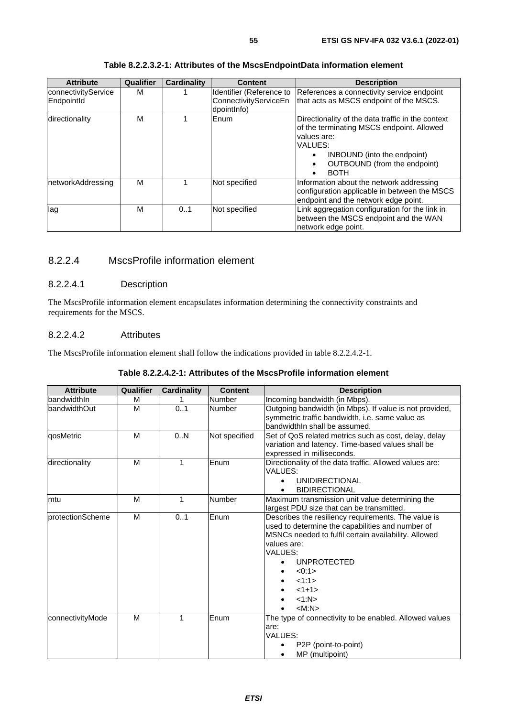| <b>Attribute</b>                  | Qualifier | <b>Cardinality</b> | <b>Content</b>                                                   | <b>Description</b>                                                                                                                                                                                     |
|-----------------------------------|-----------|--------------------|------------------------------------------------------------------|--------------------------------------------------------------------------------------------------------------------------------------------------------------------------------------------------------|
| connectivityService<br>EndpointId | м         |                    | Identifier (Reference to<br>ConnectivityServiceEn<br>dpointlnfo) | References a connectivity service endpoint<br>that acts as MSCS endpoint of the MSCS.                                                                                                                  |
| directionality                    | м         |                    | Enum                                                             | Directionality of the data traffic in the context<br>of the terminating MSCS endpoint. Allowed<br>values are:<br>VALUES:<br>INBOUND (into the endpoint)<br>OUTBOUND (from the endpoint)<br><b>BOTH</b> |
| networkAddressing                 | м         |                    | Not specified                                                    | Information about the network addressing<br>configuration applicable in between the MSCS<br>endpoint and the network edge point.                                                                       |
| lag                               | м         | 0.1                | Not specified                                                    | Link aggregation configuration for the link in<br>between the MSCS endpoint and the WAN<br>network edge point.                                                                                         |

#### **Table 8.2.2.3.2-1: Attributes of the MscsEndpointData information element**

## 8.2.2.4 MscsProfile information element

## 8.2.2.4.1 Description

The MscsProfile information element encapsulates information determining the connectivity constraints and requirements for the MSCS.

## 8.2.2.4.2 Attributes

The MscsProfile information element shall follow the indications provided in table 8.2.2.4.2-1.

#### **Table 8.2.2.4.2-1: Attributes of the MscsProfile information element**

| <b>Attribute</b>         | Qualifier | <b>Cardinality</b> | <b>Content</b> | <b>Description</b>                                      |
|--------------------------|-----------|--------------------|----------------|---------------------------------------------------------|
| <b>IbandwidthIn</b>      | м         |                    | Number         | Incoming bandwidth (in Mbps).                           |
| <b>bandwidthOut</b>      | M         | 0.1                | <b>Number</b>  | Outgoing bandwidth (in Mbps). If value is not provided, |
|                          |           |                    |                | symmetric traffic bandwidth, i.e. same value as         |
|                          |           |                    |                | bandwidthIn shall be assumed.                           |
| qosMetric                | M         | 0.N                | Not specified  | Set of QoS related metrics such as cost, delay, delay   |
|                          |           |                    |                | variation and latency. Time-based values shall be       |
|                          |           |                    |                | expressed in milliseconds.                              |
| directionality           | M         | $\mathbf{1}$       | Enum           | Directionality of the data traffic. Allowed values are: |
|                          |           |                    |                | VALUES:                                                 |
|                          |           |                    |                | <b>UNIDIRECTIONAL</b>                                   |
|                          |           |                    |                | <b>BIDIRECTIONAL</b>                                    |
| mtu                      | M         | 1                  | <b>Number</b>  | Maximum transmission unit value determining the         |
|                          |           |                    |                | largest PDU size that can be transmitted.               |
| <b>IprotectionScheme</b> | M         | 01                 | Enum           | Describes the resiliency requirements. The value is     |
|                          |           |                    |                | used to determine the capabilities and number of        |
|                          |           |                    |                | MSNCs needed to fulfil certain availability. Allowed    |
|                          |           |                    |                | values are:                                             |
|                          |           |                    |                | VALUES:                                                 |
|                          |           |                    |                | <b>UNPROTECTED</b>                                      |
|                          |           |                    |                | < 0:1                                                   |
|                          |           |                    |                | 1:1>                                                    |
|                          |           |                    |                | $<1+1>$                                                 |
|                          |           |                    |                | <1:N>                                                   |
|                          |           |                    |                | $ M:N\rangle$                                           |
| connectivityMode         | M         | 1                  | Enum           | The type of connectivity to be enabled. Allowed values  |
|                          |           |                    |                | are:                                                    |
|                          |           |                    |                | VALUES:                                                 |
|                          |           |                    |                | P2P (point-to-point)                                    |
|                          |           |                    |                | MP (multipoint)<br>$\bullet$                            |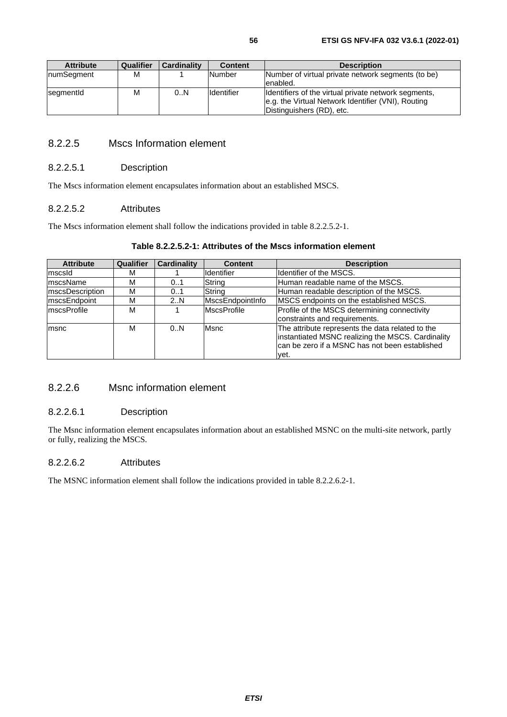| <b>Attribute</b> | Qualifier | Cardinality | <b>Content</b>     | <b>Description</b>                                                                                                                      |
|------------------|-----------|-------------|--------------------|-----------------------------------------------------------------------------------------------------------------------------------------|
| numSegment       | M         |             | <b>Number</b>      | Number of virtual private network segments (to be)<br>enabled.                                                                          |
| segmentId        | м         | 0.N         | <b>I</b> dentifier | Identifiers of the virtual private network segments,<br>e.g. the Virtual Network Identifier (VNI), Routing<br>Distinguishers (RD), etc. |

## 8.2.2.5 Mscs Information element

### 8.2.2.5.1 Description

The Mscs information element encapsulates information about an established MSCS.

### 8.2.2.5.2 Attributes

The Mscs information element shall follow the indications provided in table 8.2.2.5.2-1.

|  |                                                               | $\sim$ $\sim$ $\sim$ $\sim$ $\sim$ $\sim$ |  |  |  |  |  |  |  |
|--|---------------------------------------------------------------|-------------------------------------------|--|--|--|--|--|--|--|
|  | Table 8.2.2.5.2-1: Attributes of the Mscs information element |                                           |  |  |  |  |  |  |  |

| <b>Attribute</b>        | Qualifier | <b>Cardinality</b> | <b>Content</b>     | <b>Description</b>                                                                                                                                       |  |
|-------------------------|-----------|--------------------|--------------------|----------------------------------------------------------------------------------------------------------------------------------------------------------|--|
| mscsld                  | м         |                    | Identifier         | Ildentifier of the MSCS.                                                                                                                                 |  |
| ImscsName               | М         | 0.1                | String             | Human readable name of the MSCS.                                                                                                                         |  |
| <b>ImscsDescription</b> | м         | 0.1                | String             | Human readable description of the MSCS.                                                                                                                  |  |
| mscsEndpoint            | м         | 2N                 | MscsEndpointInfo   | MSCS endpoints on the established MSCS.                                                                                                                  |  |
| <b>ImscsProfile</b>     | м         |                    | <b>MscsProfile</b> | Profile of the MSCS determining connectivity                                                                                                             |  |
|                         |           |                    |                    | constraints and requirements.                                                                                                                            |  |
| msnc                    | м         | 0N                 | Msnc               | The attribute represents the data related to the<br>instantiated MSNC realizing the MSCS. Cardinality<br>Ican be zero if a MSNC has not been established |  |
|                         |           |                    |                    | vet.                                                                                                                                                     |  |

## 8.2.2.6 Msnc information element

### 8.2.2.6.1 Description

The Msnc information element encapsulates information about an established MSNC on the multi-site network, partly or fully, realizing the MSCS.

### 8.2.2.6.2 Attributes

The MSNC information element shall follow the indications provided in table 8.2.2.6.2-1.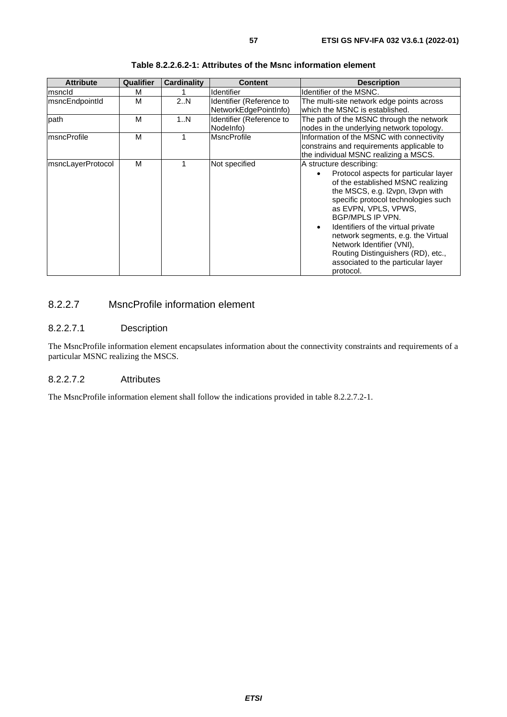| <b>Attribute</b>       | Qualifier | Cardinality | <b>Content</b>                                    | <b>Description</b>                                                                                                                                                                                                                                                                                                                                                                                                                          |
|------------------------|-----------|-------------|---------------------------------------------------|---------------------------------------------------------------------------------------------------------------------------------------------------------------------------------------------------------------------------------------------------------------------------------------------------------------------------------------------------------------------------------------------------------------------------------------------|
| msncld                 | м         |             | <b>Identifier</b>                                 | Identifier of the MSNC.                                                                                                                                                                                                                                                                                                                                                                                                                     |
| <b>ImsncEndpointId</b> | M         | 2.N         | Identifier (Reference to<br>NetworkEdgePointInfo) | The multi-site network edge points across<br>which the MSNC is established.                                                                                                                                                                                                                                                                                                                                                                 |
| path                   | M         | 1N          | Identifier (Reference to<br>Nodelnfo)             | The path of the MSNC through the network<br>nodes in the underlying network topology.                                                                                                                                                                                                                                                                                                                                                       |
| <b>ImsncProfile</b>    | M         | 1           | <b>MsncProfile</b>                                | Information of the MSNC with connectivity<br>constrains and requirements applicable to<br>the individual MSNC realizing a MSCS.                                                                                                                                                                                                                                                                                                             |
| msncLayerProtocol      | M         |             | Not specified                                     | A structure describing:<br>Protocol aspects for particular layer<br>of the established MSNC realizing<br>the MSCS, e.g. I2vpn, I3vpn with<br>specific protocol technologies such<br>as EVPN, VPLS, VPWS,<br>BGP/MPLS IP VPN.<br>Identifiers of the virtual private<br>$\bullet$<br>network segments, e.g. the Virtual<br>Network Identifier (VNI),<br>Routing Distinguishers (RD), etc.,<br>associated to the particular layer<br>protocol. |

| Table 8.2.2.6.2-1: Attributes of the Msnc information element |  |  |
|---------------------------------------------------------------|--|--|
|---------------------------------------------------------------|--|--|

## 8.2.2.7 MsncProfile information element

#### 8.2.2.7.1 Description

The MsncProfile information element encapsulates information about the connectivity constraints and requirements of a particular MSNC realizing the MSCS.

## 8.2.2.7.2 Attributes

The MsncProfile information element shall follow the indications provided in table 8.2.2.7.2-1.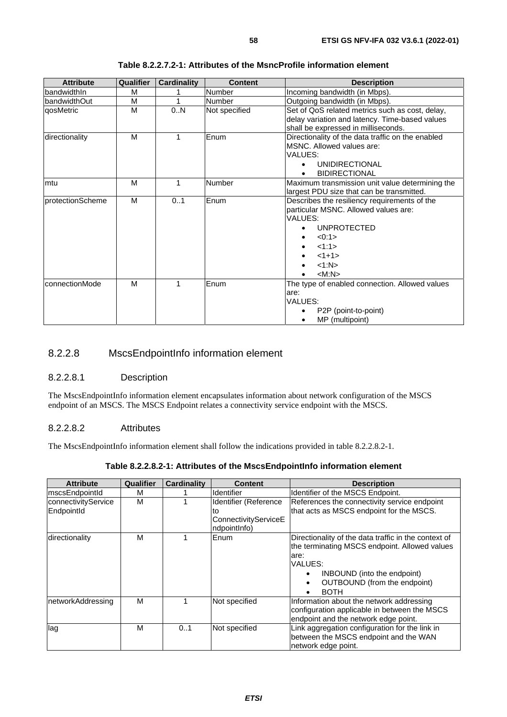| <b>Attribute</b> | Qualifier | <b>Cardinality</b> | <b>Content</b> | <b>Description</b>                                |
|------------------|-----------|--------------------|----------------|---------------------------------------------------|
| IbandwidthIn     | м         |                    | Number         | Incoming bandwidth (in Mbps).                     |
| bandwidthOut     | М         |                    | <b>Number</b>  | Outgoing bandwidth (in Mbps).                     |
| qosMetric        | M         | 0N                 | Not specified  | Set of QoS related metrics such as cost, delay,   |
|                  |           |                    |                | delay variation and latency. Time-based values    |
|                  |           |                    |                | shall be expressed in milliseconds.               |
| directionality   | M         | 1                  | Enum           | Directionality of the data traffic on the enabled |
|                  |           |                    |                | MSNC. Allowed values are:                         |
|                  |           |                    |                | <b>VALUES:</b>                                    |
|                  |           |                    |                | <b>UNIDIRECTIONAL</b>                             |
|                  |           |                    |                | <b>BIDIRECTIONAL</b>                              |
| mtu              | M         | 1                  | Number         | Maximum transmission unit value determining the   |
|                  |           |                    |                | largest PDU size that can be transmitted.         |
| protectionScheme | M         | 0.1                | Enum           | Describes the resiliency requirements of the      |
|                  |           |                    |                | particular MSNC. Allowed values are:              |
|                  |           |                    |                | VALUES:                                           |
|                  |           |                    |                | <b>UNPROTECTED</b>                                |
|                  |           |                    |                | < 0.1<br>٠                                        |
|                  |           |                    |                | <1:1>                                             |
|                  |           |                    |                | $<1+1>$                                           |
|                  |           |                    |                | <1:N>                                             |
|                  |           |                    |                | $ M:N\rangle$                                     |
| IconnectionMode  | M         | 1                  | Enum           | The type of enabled connection. Allowed values    |
|                  |           |                    |                | are:                                              |
|                  |           |                    |                | <b>VALUES:</b>                                    |
|                  |           |                    |                | P2P (point-to-point)                              |
|                  |           |                    |                | MP (multipoint)                                   |

**Table 8.2.2.7.2-1: Attributes of the MsncProfile information element** 

## 8.2.2.8 MscsEndpointInfo information element

## 8.2.2.8.1 Description

The MscsEndpointInfo information element encapsulates information about network configuration of the MSCS endpoint of an MSCS. The MSCS Endpoint relates a connectivity service endpoint with the MSCS.

### 8.2.2.8.2 Attributes

The MscsEndpointInfo information element shall follow the indications provided in table 8.2.2.8.2-1.

| <b>Attribute</b>                  | Qualifier | Cardinality | <b>Content</b>                                                      | <b>Description</b>                                                                                                                                                                                                                |
|-----------------------------------|-----------|-------------|---------------------------------------------------------------------|-----------------------------------------------------------------------------------------------------------------------------------------------------------------------------------------------------------------------------------|
| mscsEndpointId                    | м         |             | <b>Identifier</b>                                                   | Identifier of the MSCS Endpoint.                                                                                                                                                                                                  |
| connectivityService<br>EndpointId | м         |             | Identifier (Reference<br>to<br>ConnectivityServiceE<br>ndpointInfo) | References the connectivity service endpoint<br>that acts as MSCS endpoint for the MSCS.                                                                                                                                          |
| directionality                    | M         |             | Enum                                                                | Directionality of the data traffic in the context of<br>the terminating MSCS endpoint. Allowed values<br>lare:<br>VALUES:<br>INBOUND (into the endpoint)<br>$\bullet$<br>OUTBOUND (from the endpoint)<br>$\bullet$<br><b>BOTH</b> |
| networkAddressing                 | M         |             | Not specified                                                       | Information about the network addressing<br>configuration applicable in between the MSCS<br>endpoint and the network edge point.                                                                                                  |
| lag                               | М         | 0.1         | Not specified                                                       | Link aggregation configuration for the link in<br>between the MSCS endpoint and the WAN<br>network edge point.                                                                                                                    |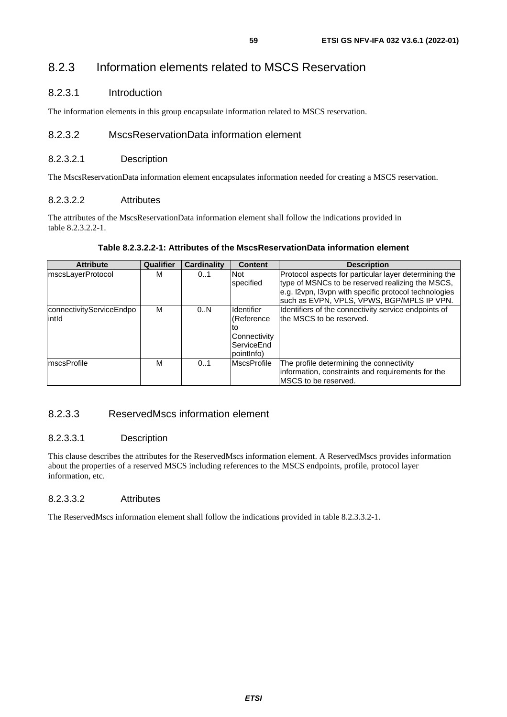## 8.2.3 Information elements related to MSCS Reservation

## 8.2.3.1 Introduction

The information elements in this group encapsulate information related to MSCS reservation.

## 8.2.3.2 MscsReservationData information element

## 8.2.3.2.1 Description

The MscsReservationData information element encapsulates information needed for creating a MSCS reservation.

## 8.2.3.2.2 Attributes

The attributes of the MscsReservationData information element shall follow the indications provided in table 8.2.3.2.2-1.

### **Table 8.2.3.2.2-1: Attributes of the MscsReservationData information element**

| <b>Attribute</b>         | <b>Qualifier</b> | <b>Cardinality</b> | <b>Content</b>     | <b>Description</b>                                                                                  |
|--------------------------|------------------|--------------------|--------------------|-----------------------------------------------------------------------------------------------------|
| mscsLayerProtocol        | M                | 0.1                | <b>Not</b>         | Protocol aspects for particular layer determining the                                               |
|                          |                  |                    | specified          | type of MSNCs to be reserved realizing the MSCS,                                                    |
|                          |                  |                    |                    | e.g. I2vpn, I3vpn with specific protocol technologies<br>such as EVPN, VPLS, VPWS, BGP/MPLS IP VPN. |
| connectivityServiceEndpo | M                | 0.N                | <b>Identifier</b>  | Identifiers of the connectivity service endpoints of                                                |
| lintld                   |                  |                    | (Reference         | the MSCS to be reserved.                                                                            |
|                          |                  |                    | tΟ                 |                                                                                                     |
|                          |                  |                    | Connectivity       |                                                                                                     |
|                          |                  |                    | ServiceEnd         |                                                                                                     |
|                          |                  |                    | point nfo)         |                                                                                                     |
| mscsProfile              | M                | 0.1                | <b>MscsProfile</b> | The profile determining the connectivity                                                            |
|                          |                  |                    |                    | information, constraints and requirements for the                                                   |
|                          |                  |                    |                    | IMSCS to be reserved.                                                                               |

## 8.2.3.3 ReservedMscs information element

## 8.2.3.3.1 Description

This clause describes the attributes for the ReservedMscs information element. A ReservedMscs provides information about the properties of a reserved MSCS including references to the MSCS endpoints, profile, protocol layer information, etc.

## 8.2.3.3.2 Attributes

The ReservedMscs information element shall follow the indications provided in table 8.2.3.3.2-1.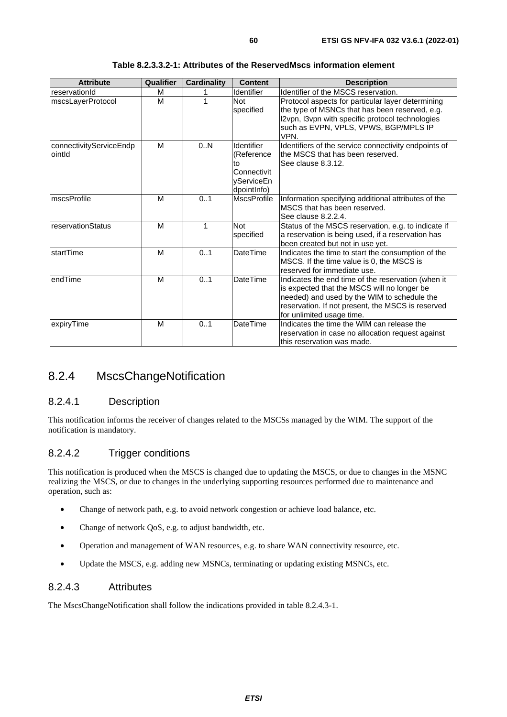| <b>Attribute</b>                   | Qualifier | <b>Cardinality</b> | <b>Content</b>                                                             | <b>Description</b>                                                                                                                                                                                                                 |
|------------------------------------|-----------|--------------------|----------------------------------------------------------------------------|------------------------------------------------------------------------------------------------------------------------------------------------------------------------------------------------------------------------------------|
| reservationId                      | M         |                    | Identifier                                                                 | Identifier of the MSCS reservation.                                                                                                                                                                                                |
| mscsLayerProtocol                  | M         | 1                  | <b>Not</b><br>specified                                                    | Protocol aspects for particular layer determining<br>the type of MSNCs that has been reserved, e.g.<br>12vpn, 13vpn with specific protocol technologies<br>such as EVPN, VPLS, VPWS, BGP/MPLS IP<br>VPN.                           |
| connectivityServiceEndp<br>lointId | M         | 0.N                | Identifier<br>(Reference<br>to<br>Connectivit<br>yServiceEn<br>dpointlnfo) | Identifiers of the service connectivity endpoints of<br>the MSCS that has been reserved.<br>See clause 8.3.12.                                                                                                                     |
| mscsProfile                        | M         | 0.1                | <b>MscsProfile</b>                                                         | Information specifying additional attributes of the<br>MSCS that has been reserved.<br>See clause 8.2.2.4.                                                                                                                         |
| IreservationStatus                 | M         | 1                  | <b>Not</b><br>specified                                                    | Status of the MSCS reservation, e.g. to indicate if<br>a reservation is being used, if a reservation has<br>been created but not in use yet.                                                                                       |
| <b>IstartTime</b>                  | M         | 0.1                | DateTime                                                                   | Indicates the time to start the consumption of the<br>MSCS. If the time value is 0, the MSCS is<br>reserved for immediate use.                                                                                                     |
| lendTime                           | M         | 0.1                | DateTime                                                                   | Indicates the end time of the reservation (when it<br>is expected that the MSCS will no longer be<br>needed) and used by the WIM to schedule the<br>reservation. If not present, the MSCS is reserved<br>for unlimited usage time. |
| expiryTime                         | M         | 0.1                | DateTime                                                                   | Indicates the time the WIM can release the<br>reservation in case no allocation request against<br>lthis reservation was made.                                                                                                     |

#### **Table 8.2.3.3.2-1: Attributes of the ReservedMscs information element**

## 8.2.4 MscsChangeNotification

## 8.2.4.1 Description

This notification informs the receiver of changes related to the MSCSs managed by the WIM. The support of the notification is mandatory.

## 8.2.4.2 Trigger conditions

This notification is produced when the MSCS is changed due to updating the MSCS, or due to changes in the MSNC realizing the MSCS, or due to changes in the underlying supporting resources performed due to maintenance and operation, such as:

- Change of network path, e.g. to avoid network congestion or achieve load balance, etc.
- Change of network QoS, e.g. to adjust bandwidth, etc.
- Operation and management of WAN resources, e.g. to share WAN connectivity resource, etc.
- Update the MSCS, e.g. adding new MSNCs, terminating or updating existing MSNCs, etc.

## 8.2.4.3 Attributes

The MscsChangeNotification shall follow the indications provided in table 8.2.4.3-1.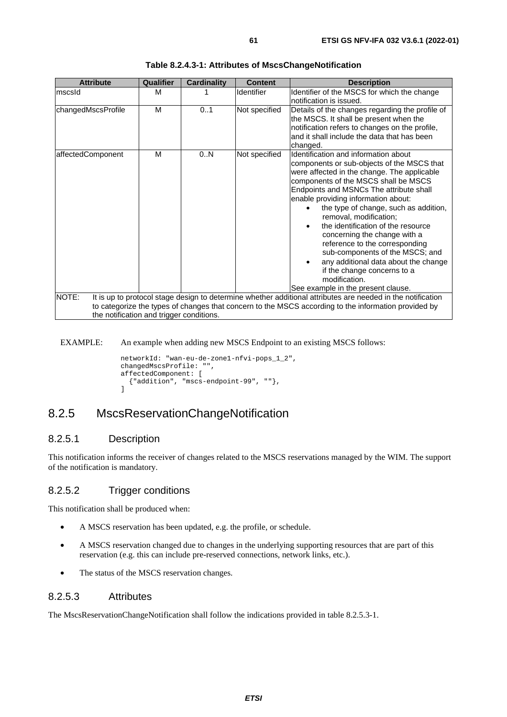| <b>Attribute</b>   | Qualifier                                | <b>Cardinality</b> | <b>Content</b>                                                                                                                                                                                                                                                                                                                                                                                                                                                                                                                                                                                                           | <b>Description</b>                                                                                                                                                                                     |  |  |  |
|--------------------|------------------------------------------|--------------------|--------------------------------------------------------------------------------------------------------------------------------------------------------------------------------------------------------------------------------------------------------------------------------------------------------------------------------------------------------------------------------------------------------------------------------------------------------------------------------------------------------------------------------------------------------------------------------------------------------------------------|--------------------------------------------------------------------------------------------------------------------------------------------------------------------------------------------------------|--|--|--|
| mscsId             | м                                        |                    | Identifier                                                                                                                                                                                                                                                                                                                                                                                                                                                                                                                                                                                                               | Identifier of the MSCS for which the change<br>notification is issued.                                                                                                                                 |  |  |  |
| changedMscsProfile | M                                        | 0.1                | Not specified                                                                                                                                                                                                                                                                                                                                                                                                                                                                                                                                                                                                            | Details of the changes regarding the profile of<br>the MSCS. It shall be present when the<br>notification refers to changes on the profile,<br>and it shall include the data that has been<br>changed. |  |  |  |
| affectedComponent  | м                                        | 0.N                | Not specified<br>Identification and information about<br>components or sub-objects of the MSCS that<br>were affected in the change. The applicable<br>components of the MSCS shall be MSCS<br>Endpoints and MSNCs The attribute shall<br>enable providing information about:<br>the type of change, such as addition,<br>removal, modification;<br>the identification of the resource<br>concerning the change with a<br>reference to the corresponding<br>sub-components of the MSCS; and<br>any additional data about the change<br>if the change concerns to a<br>modification.<br>See example in the present clause. |                                                                                                                                                                                                        |  |  |  |
| NOTE:              |                                          |                    |                                                                                                                                                                                                                                                                                                                                                                                                                                                                                                                                                                                                                          | It is up to protocol stage design to determine whether additional attributes are needed in the notification                                                                                            |  |  |  |
|                    |                                          |                    |                                                                                                                                                                                                                                                                                                                                                                                                                                                                                                                                                                                                                          | to categorize the types of changes that concern to the MSCS according to the information provided by                                                                                                   |  |  |  |
|                    | the notification and trigger conditions. |                    |                                                                                                                                                                                                                                                                                                                                                                                                                                                                                                                                                                                                                          |                                                                                                                                                                                                        |  |  |  |

#### **Table 8.2.4.3-1: Attributes of MscsChangeNotification**

EXAMPLE: An example when adding new MSCS Endpoint to an existing MSCS follows:

```
networkId: "wan-eu-de-zone1-nfvi-pops_1_2", 
changedMscsProfile: "", 
affectedComponent: [ 
   {"addition", "mscs-endpoint-99", ""}, 
]
```
## 8.2.5 MscsReservationChangeNotification

## 8.2.5.1 Description

This notification informs the receiver of changes related to the MSCS reservations managed by the WIM. The support of the notification is mandatory.

## 8.2.5.2 Trigger conditions

This notification shall be produced when:

- A MSCS reservation has been updated, e.g. the profile, or schedule.
- A MSCS reservation changed due to changes in the underlying supporting resources that are part of this reservation (e.g. this can include pre-reserved connections, network links, etc.).
- The status of the MSCS reservation changes.

## 8.2.5.3 Attributes

The MscsReservationChangeNotification shall follow the indications provided in table 8.2.5.3-1.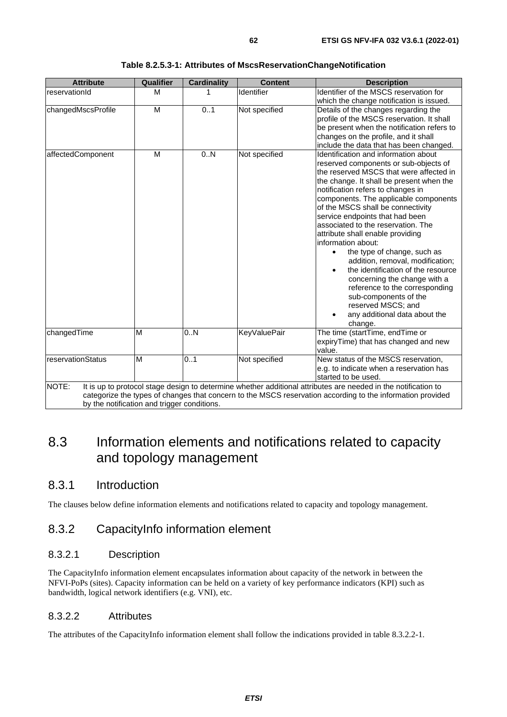| <b>Attribute</b>                                     | <b>Qualifier</b> | <b>Cardinality</b> | <b>Content</b>      | <b>Description</b>                                                                                                                                                                                                                                                                                                                                                                                                                                                                                                                                                                                                                                                                                            |
|------------------------------------------------------|------------------|--------------------|---------------------|---------------------------------------------------------------------------------------------------------------------------------------------------------------------------------------------------------------------------------------------------------------------------------------------------------------------------------------------------------------------------------------------------------------------------------------------------------------------------------------------------------------------------------------------------------------------------------------------------------------------------------------------------------------------------------------------------------------|
| reservationId                                        | M                | 1                  | Identifier          | Identifier of the MSCS reservation for<br>which the change notification is issued.                                                                                                                                                                                                                                                                                                                                                                                                                                                                                                                                                                                                                            |
| changedMscsProfile                                   | M                | 01                 | Not specified       | Details of the changes regarding the<br>profile of the MSCS reservation. It shall<br>be present when the notification refers to<br>changes on the profile, and it shall<br>include the data that has been changed.                                                                                                                                                                                                                                                                                                                                                                                                                                                                                            |
| affectedComponent                                    | M                | 0.N                | Not specified       | Identification and information about<br>reserved components or sub-objects of<br>the reserved MSCS that were affected in<br>the change. It shall be present when the<br>notification refers to changes in<br>components. The applicable components<br>of the MSCS shall be connectivity<br>service endpoints that had been<br>associated to the reservation. The<br>attribute shall enable providing<br>information about:<br>the type of change, such as<br>$\bullet$<br>addition, removal, modification;<br>the identification of the resource<br>concerning the change with a<br>reference to the corresponding<br>sub-components of the<br>reserved MSCS; and<br>any additional data about the<br>change. |
| changedTime                                          | M                | 0N                 | <b>KeyValuePair</b> | The time (startTime, endTime or<br>expiryTime) that has changed and new<br>value.                                                                                                                                                                                                                                                                                                                                                                                                                                                                                                                                                                                                                             |
| reservationStatus                                    | M                | 0.1                | Not specified       | New status of the MSCS reservation,<br>e.g. to indicate when a reservation has<br>started to be used.                                                                                                                                                                                                                                                                                                                                                                                                                                                                                                                                                                                                         |
| NOTE:<br>by the notification and trigger conditions. |                  |                    |                     | It is up to protocol stage design to determine whether additional attributes are needed in the notification to<br>categorize the types of changes that concern to the MSCS reservation according to the information provided                                                                                                                                                                                                                                                                                                                                                                                                                                                                                  |

#### **Table 8.2.5.3-1: Attributes of MscsReservationChangeNotification**

# 8.3 Information elements and notifications related to capacity and topology management

## 8.3.1 Introduction

The clauses below define information elements and notifications related to capacity and topology management.

## 8.3.2 CapacityInfo information element

## 8.3.2.1 Description

The CapacityInfo information element encapsulates information about capacity of the network in between the NFVI-PoPs (sites). Capacity information can be held on a variety of key performance indicators (KPI) such as bandwidth, logical network identifiers (e.g. VNI), etc.

## 8.3.2.2 Attributes

The attributes of the CapacityInfo information element shall follow the indications provided in table 8.3.2.2-1.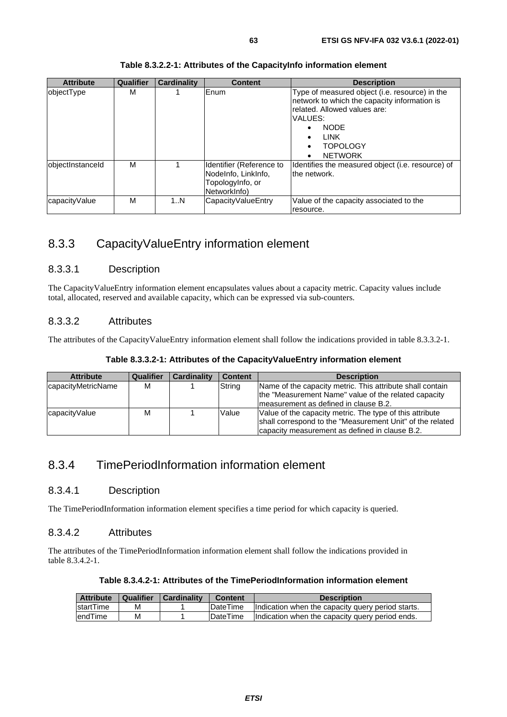| <b>Attribute</b> | Qualifier | <b>Cardinality</b> | <b>Content</b>                                                                      | <b>Description</b>                                                                                                                                                                                                                     |
|------------------|-----------|--------------------|-------------------------------------------------------------------------------------|----------------------------------------------------------------------------------------------------------------------------------------------------------------------------------------------------------------------------------------|
| objectType       | м         |                    | Enum                                                                                | Type of measured object (i.e. resource) in the<br>network to which the capacity information is<br>related. Allowed values are:<br>VALUES:<br><b>NODE</b><br><b>LINK</b><br>$\bullet$<br><b>TOPOLOGY</b><br><b>NETWORK</b><br>$\bullet$ |
| objectInstanceId | M         |                    | Identifier (Reference to<br>Nodelnfo, LinkInfo,<br>Topologylnfo, or<br>NetworkInfo) | Identifies the measured object ( <i>i.e.</i> resource) of<br>the network.                                                                                                                                                              |
| capacityValue    | M         | 1N                 | CapacityValueEntry                                                                  | Value of the capacity associated to the<br>resource.                                                                                                                                                                                   |

#### **Table 8.3.2.2-1: Attributes of the CapacityInfo information element**

# 8.3.3 CapacityValueEntry information element

## 8.3.3.1 Description

The CapacityValueEntry information element encapsulates values about a capacity metric. Capacity values include total, allocated, reserved and available capacity, which can be expressed via sub-counters.

## 8.3.3.2 Attributes

The attributes of the CapacityValueEntry information element shall follow the indications provided in table 8.3.3.2-1.

| <b>Attribute</b>   | Qualifier | <b>Cardinality</b> | <b>Content</b> | <b>Description</b>                                                                                                                                                      |
|--------------------|-----------|--------------------|----------------|-------------------------------------------------------------------------------------------------------------------------------------------------------------------------|
| capacityMetricName | м         |                    | String         | Name of the capacity metric. This attribute shall contain<br>the "Measurement Name" value of the related capacity<br>Imeasurement as defined in clause B.2.             |
| capacityValue      | М         |                    | Value          | Value of the capacity metric. The type of this attribute<br>shall correspond to the "Measurement Unit" of the related<br>capacity measurement as defined in clause B.2. |

## 8.3.4 TimePeriodInformation information element

## 8.3.4.1 Description

The TimePeriodInformation information element specifies a time period for which capacity is queried.

## 8.3.4.2 Attributes

The attributes of the TimePeriodInformation information element shall follow the indications provided in table 8.3.4.2-1.

| <b>Attribute</b>  | Qualifier | Cardinality | <b>Content</b>   | <b>Description</b>                                |
|-------------------|-----------|-------------|------------------|---------------------------------------------------|
| <b>IstartTime</b> | м         |             | <b>IDateTime</b> | Indication when the capacity query period starts. |
| lendTime          | М         |             | DateTime         | Indication when the capacity query period ends.   |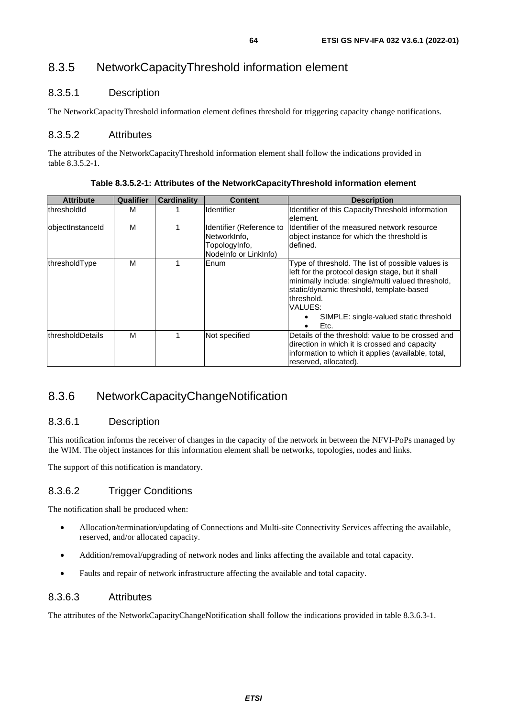# 8.3.5 NetworkCapacityThreshold information element

## 8.3.5.1 Description

The NetworkCapacityThreshold information element defines threshold for triggering capacity change notifications.

## 8.3.5.2 Attributes

The attributes of the NetworkCapacityThreshold information element shall follow the indications provided in table 8.3.5.2-1.

| <b>Attribute</b> | Qualifier | <b>Cardinality</b> | <b>Content</b>                                                                     | <b>Description</b>                                                                                                                                                                                                                                                                 |
|------------------|-----------|--------------------|------------------------------------------------------------------------------------|------------------------------------------------------------------------------------------------------------------------------------------------------------------------------------------------------------------------------------------------------------------------------------|
| thresholdid      | М         |                    | <b>Identifier</b>                                                                  | Identifier of this Capacity Threshold information<br>element.                                                                                                                                                                                                                      |
| objectInstanceId | M         |                    | Identifier (Reference to<br>NetworkInfo,<br>TopologyInfo,<br>NodeInfo or LinkInfo) | Ildentifier of the measured network resource<br>object instance for which the threshold is<br>defined.                                                                                                                                                                             |
| thresholdType    | М         |                    | Enum                                                                               | Type of threshold. The list of possible values is<br>left for the protocol design stage, but it shall<br>minimally include: single/multi valued threshold,<br>static/dynamic threshold, template-based<br>lthreshold.<br>VALUES:<br>SIMPLE: single-valued static threshold<br>Etc. |
| thresholdDetails | M         |                    | Not specified                                                                      | Details of the threshold: value to be crossed and<br>direction in which it is crossed and capacity<br>information to which it applies (available, total,<br>reserved, allocated).                                                                                                  |

**Table 8.3.5.2-1: Attributes of the NetworkCapacityThreshold information element** 

# 8.3.6 NetworkCapacityChangeNotification

## 8.3.6.1 Description

This notification informs the receiver of changes in the capacity of the network in between the NFVI-PoPs managed by the WIM. The object instances for this information element shall be networks, topologies, nodes and links.

The support of this notification is mandatory.

## 8.3.6.2 Trigger Conditions

The notification shall be produced when:

- Allocation/termination/updating of Connections and Multi-site Connectivity Services affecting the available, reserved, and/or allocated capacity.
- Addition/removal/upgrading of network nodes and links affecting the available and total capacity.
- Faults and repair of network infrastructure affecting the available and total capacity.

## 8.3.6.3 Attributes

The attributes of the NetworkCapacityChangeNotification shall follow the indications provided in table 8.3.6.3-1.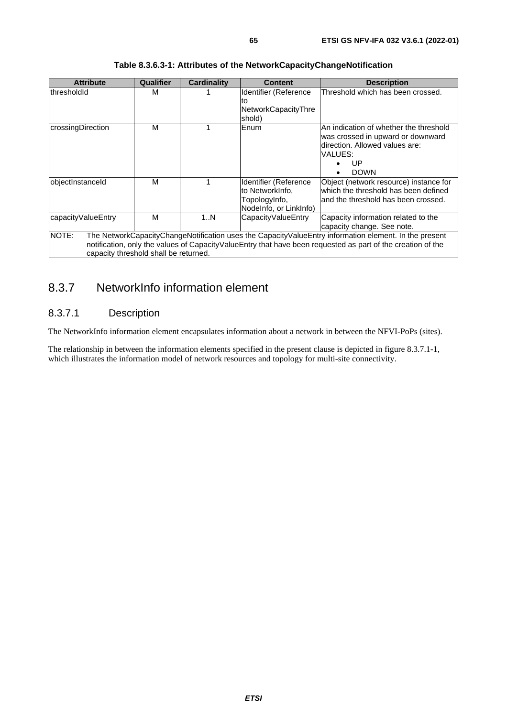| <b>Attribute</b>                                                                                                                                                                                                                                                       | Qualifier | <b>Cardinality</b> | <b>Content</b>                                                                      | <b>Description</b>                                                                                                                            |  |  |
|------------------------------------------------------------------------------------------------------------------------------------------------------------------------------------------------------------------------------------------------------------------------|-----------|--------------------|-------------------------------------------------------------------------------------|-----------------------------------------------------------------------------------------------------------------------------------------------|--|--|
| thresholdId                                                                                                                                                                                                                                                            | м         |                    | Identifier (Reference<br>lto<br>NetworkCapacityThre<br>shold)                       | Threshold which has been crossed.                                                                                                             |  |  |
| crossingDirection                                                                                                                                                                                                                                                      | M         |                    | Enum                                                                                | An indication of whether the threshold<br>was crossed in upward or downward<br>direction. Allowed values are:<br>VALUES:<br>UP<br><b>DOWN</b> |  |  |
| objectInstanceId                                                                                                                                                                                                                                                       | М         |                    | Identifier (Reference<br>to NetworkInfo,<br>TopologyInfo,<br>Nodelnfo, or LinkInfo) | Object (network resource) instance for<br>which the threshold has been defined<br>and the threshold has been crossed.                         |  |  |
| capacityValueEntry                                                                                                                                                                                                                                                     | M         | 1N                 | CapacityValueEntry                                                                  | Capacity information related to the<br>capacity change. See note.                                                                             |  |  |
| NOTE:<br>The NetworkCapacityChangeNotification uses the CapacityValueEntry information element. In the present<br>notification, only the values of CapacityValueEntry that have been requested as part of the creation of the<br>capacity threshold shall be returned. |           |                    |                                                                                     |                                                                                                                                               |  |  |

### **Table 8.3.6.3-1: Attributes of the NetworkCapacityChangeNotification**

# 8.3.7 NetworkInfo information element

## 8.3.7.1 Description

The NetworkInfo information element encapsulates information about a network in between the NFVI-PoPs (sites).

The relationship in between the information elements specified in the present clause is depicted in figure 8.3.7.1-1, which illustrates the information model of network resources and topology for multi-site connectivity.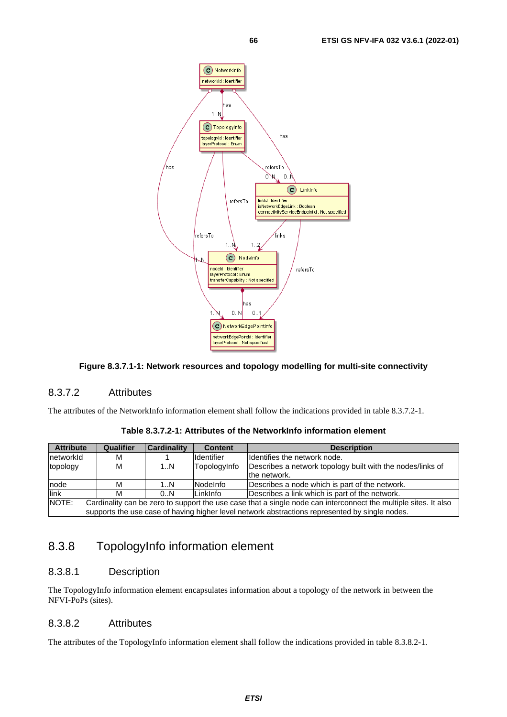

### **Figure 8.3.7.1-1: Network resources and topology modelling for multi-site connectivity**

### 8.3.7.2 Attributes

The attributes of the NetworkInfo information element shall follow the indications provided in table 8.3.7.2-1.

| Table 8.3.7.2-1: Attributes of the NetworkInfo information element_ |  |  |
|---------------------------------------------------------------------|--|--|
|---------------------------------------------------------------------|--|--|

| <b>Attribute</b> | Qualifier                                                                                                                                                                                                         | <b>Cardinality</b> | <b>Content</b>    | <b>Description</b>                                                         |  |  |
|------------------|-------------------------------------------------------------------------------------------------------------------------------------------------------------------------------------------------------------------|--------------------|-------------------|----------------------------------------------------------------------------|--|--|
| InetworkId       | м                                                                                                                                                                                                                 |                    | <b>Identifier</b> | Identifies the network node.                                               |  |  |
| topology         | м                                                                                                                                                                                                                 | 1N                 | TopologyInfo      | Describes a network topology built with the nodes/links of<br>the network. |  |  |
| node             | м                                                                                                                                                                                                                 | 1N                 | <b>INodeInfo</b>  | Describes a node which is part of the network.                             |  |  |
| link             | М                                                                                                                                                                                                                 | 0.N                | LinkInfo          | Describes a link which is part of the network.                             |  |  |
| NOTE:            | Cardinality can be zero to support the use case that a single node can interconnect the multiple sites. It also<br>supports the use case of having higher level network abstractions represented by single nodes. |                    |                   |                                                                            |  |  |

## 8.3.8 TopologyInfo information element

## 8.3.8.1 Description

The TopologyInfo information element encapsulates information about a topology of the network in between the NFVI-PoPs (sites).

## 8.3.8.2 Attributes

The attributes of the TopologyInfo information element shall follow the indications provided in table 8.3.8.2-1.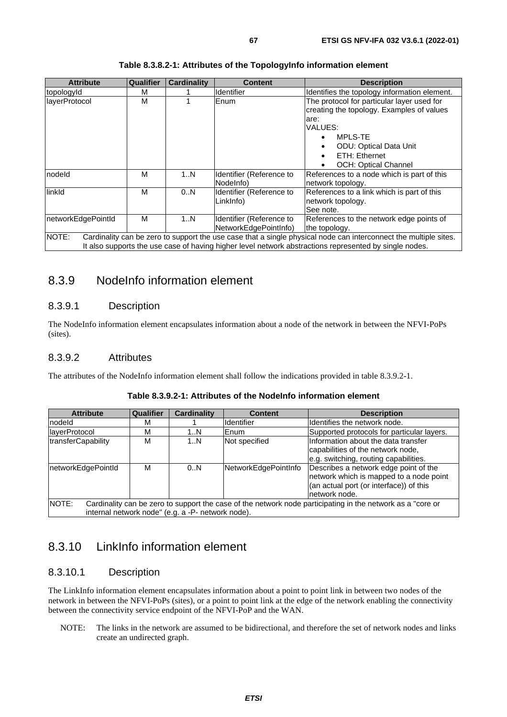| <b>Attribute</b>   | Qualifier | <b>Cardinality</b> | Content                  | <b>Description</b>                                                                                               |
|--------------------|-----------|--------------------|--------------------------|------------------------------------------------------------------------------------------------------------------|
| topologyId         | м         |                    | <b>Identifier</b>        | Identifies the topology information element.                                                                     |
| layerProtocol      | M         |                    | Enum                     | The protocol for particular layer used for                                                                       |
|                    |           |                    |                          | creating the topology. Examples of values                                                                        |
|                    |           |                    |                          | are:                                                                                                             |
|                    |           |                    |                          | VALUES:                                                                                                          |
|                    |           |                    |                          | <b>MPLS-TE</b>                                                                                                   |
|                    |           |                    |                          | <b>ODU: Optical Data Unit</b>                                                                                    |
|                    |           |                    |                          | ETH: Ethernet                                                                                                    |
|                    |           |                    |                          | OCH: Optical Channel                                                                                             |
| nodeld             | M         | 1N                 | Identifier (Reference to | References to a node which is part of this                                                                       |
|                    |           |                    | Nodelnfo)                | network topology.                                                                                                |
| linkld             | M         | 0.N                | Identifier (Reference to | References to a link which is part of this                                                                       |
|                    |           |                    | LinkInfo)                | network topology.                                                                                                |
|                    |           |                    |                          | See note.                                                                                                        |
| networkEdgePointId | М         | 1N                 | Identifier (Reference to | References to the network edge points of                                                                         |
|                    |           |                    | NetworkEdgePointInfo)    | the topology.                                                                                                    |
| NOTE:              |           |                    |                          | Cardinality can be zero to support the use case that a single physical node can interconnect the multiple sites. |
|                    |           |                    |                          | It also supports the use case of having higher level network abstractions represented by single nodes.           |

#### **Table 8.3.8.2-1: Attributes of the TopologyInfo information element**

## 8.3.9 NodeInfo information element

### 8.3.9.1 Description

The NodeInfo information element encapsulates information about a node of the network in between the NFVI-PoPs (sites).

#### 8.3.9.2 Attributes

The attributes of the NodeInfo information element shall follow the indications provided in table 8.3.9.2-1.

| <b>Attribute</b>                                                                                                                                                         | Qualifier | <b>Cardinality</b> | <b>Content</b>       | <b>Description</b>                                                                                                                           |  |  |
|--------------------------------------------------------------------------------------------------------------------------------------------------------------------------|-----------|--------------------|----------------------|----------------------------------------------------------------------------------------------------------------------------------------------|--|--|
| Inodeld                                                                                                                                                                  | м         |                    | Identifier           | Identifies the network node.                                                                                                                 |  |  |
| layerProtocol                                                                                                                                                            | М         | 1N                 | Enum                 | Supported protocols for particular layers.                                                                                                   |  |  |
| transferCapability                                                                                                                                                       | М         | 1N                 | Not specified        | Information about the data transfer<br>capabilities of the network node,<br>e.g. switching, routing capabilities.                            |  |  |
| networkEdgePointId                                                                                                                                                       | М         | 0.N                | NetworkEdgePointInfo | Describes a network edge point of the<br>network which is mapped to a node point<br>(an actual port (or interface)) of this<br>network node. |  |  |
| NOTE:<br>Cardinality can be zero to support the case of the network node participating in the network as a "core or<br>internal network node" (e.g. a -P- network node). |           |                    |                      |                                                                                                                                              |  |  |

#### **Table 8.3.9.2-1: Attributes of the NodeInfo information element**

## 8.3.10 LinkInfo information element

## 8.3.10.1 Description

The LinkInfo information element encapsulates information about a point to point link in between two nodes of the network in between the NFVI-PoPs (sites), or a point to point link at the edge of the network enabling the connectivity between the connectivity service endpoint of the NFVI-PoP and the WAN.

NOTE: The links in the network are assumed to be bidirectional, and therefore the set of network nodes and links create an undirected graph.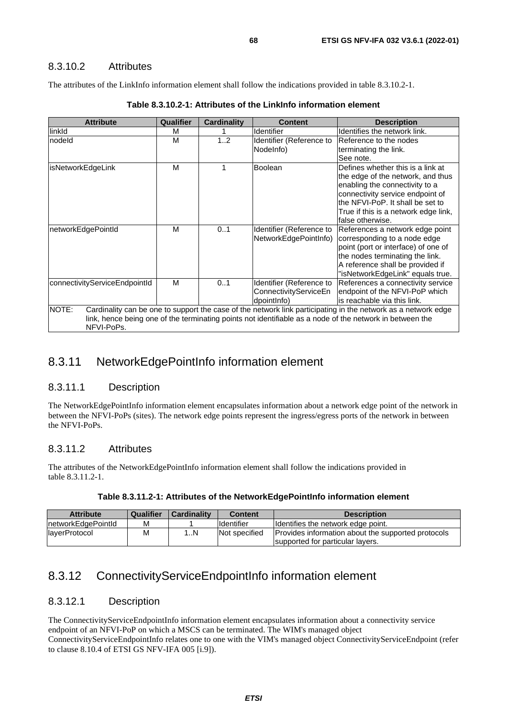## 8.3.10.2 Attributes

The attributes of the LinkInfo information element shall follow the indications provided in table 8.3.10.2-1.

| <b>Attribute</b>                                                                                                                                                                                                                                 | Qualifier | Cardinality | <b>Content</b>                                                   | <b>Description</b>                                                                                                                                                                                                                           |  |
|--------------------------------------------------------------------------------------------------------------------------------------------------------------------------------------------------------------------------------------------------|-----------|-------------|------------------------------------------------------------------|----------------------------------------------------------------------------------------------------------------------------------------------------------------------------------------------------------------------------------------------|--|
| linkld                                                                                                                                                                                                                                           | м         |             | Identifier                                                       | Identifies the network link.                                                                                                                                                                                                                 |  |
| nodeld                                                                                                                                                                                                                                           | М         | 12          | Identifier (Reference to<br>Nodelnfo)                            | IReference to the nodes<br>terminating the link.<br>See note.                                                                                                                                                                                |  |
| isNetworkEdgeLink                                                                                                                                                                                                                                | м         | 1           | <b>Boolean</b>                                                   | Defines whether this is a link at<br>the edge of the network, and thus<br>enabling the connectivity to a<br>connectivity service endpoint of<br>the NFVI-PoP. It shall be set to<br>True if this is a network edge link,<br>false otherwise. |  |
| networkEdgePointId                                                                                                                                                                                                                               | м         | 0.1         | Identifier (Reference to<br>NetworkEdgePointInfo)                | References a network edge point<br>corresponding to a node edge<br>point (port or interface) of one of<br>the nodes terminating the link.<br>A reference shall be provided if<br>"isNetworkEdgeLink" equals true.                            |  |
| connectivityServiceEndpointId                                                                                                                                                                                                                    | М         | 0.1         | Identifier (Reference to<br>ConnectivityServiceEn<br>dpointlnfo) | References a connectivity service<br>endpoint of the NFVI-PoP which<br>is reachable via this link.                                                                                                                                           |  |
| NOTE:<br>Cardinality can be one to support the case of the network link participating in the network as a network edge<br>link, hence being one of the terminating points not identifiable as a node of the network in between the<br>NFVI-PoPs. |           |             |                                                                  |                                                                                                                                                                                                                                              |  |

## 8.3.11 NetworkEdgePointInfo information element

## 8.3.11.1 Description

The NetworkEdgePointInfo information element encapsulates information about a network edge point of the network in between the NFVI-PoPs (sites). The network edge points represent the ingress/egress ports of the network in between the NFVI-PoPs.

## 8.3.11.2 Attributes

The attributes of the NetworkEdgePointInfo information element shall follow the indications provided in table 8.3.11.2-1.

| <b>Attribute</b>   | Qualifier | <b>Cardinality</b> | <b>Content</b>    | <b>Description</b>                                                                     |
|--------------------|-----------|--------------------|-------------------|----------------------------------------------------------------------------------------|
| networkEdgePointId | М         |                    | <b>Identifier</b> | Identifies the network edge point.                                                     |
| layerProtocol      | М         | . N                | Not specified     | Provides information about the supported protocols<br>supported for particular layers. |

## 8.3.12 ConnectivityServiceEndpointInfo information element

## 8.3.12.1 Description

The ConnectivityServiceEndpointInfo information element encapsulates information about a connectivity service endpoint of an NFVI-PoP on which a MSCS can be terminated. The WIM's managed object ConnectivityServiceEndpointInfo relates one to one with the VIM's managed object ConnectivityServiceEndpoint (refer to clause  $8.10.4$  of ETSI GS NFV-IFA 005 [\[i.9](#page-12-0)]).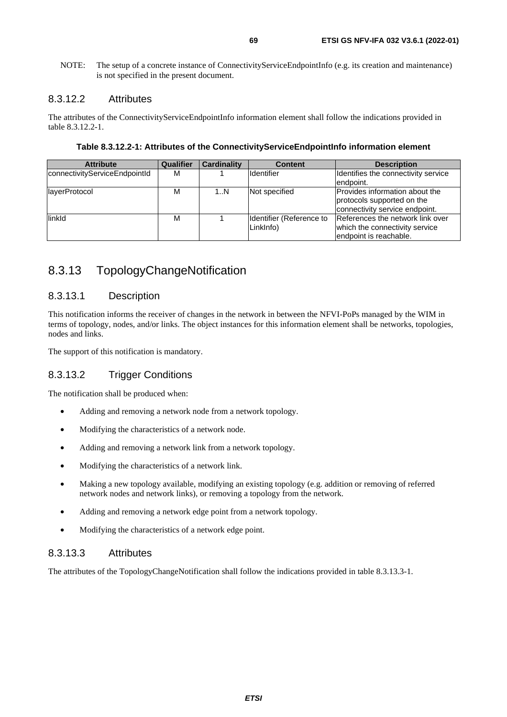NOTE: The setup of a concrete instance of ConnectivityServiceEndpointInfo (e.g. its creation and maintenance) is not specified in the present document.

### 8.3.12.2 Attributes

The attributes of the ConnectivityServiceEndpointInfo information element shall follow the indications provided in table 8.3.12.2-1.

**Table 8.3.12.2-1: Attributes of the ConnectivityServiceEndpointInfo information element** 

| <b>Attribute</b>              | Qualifier | <b>Cardinality</b> | <b>Content</b>                        | <b>Description</b>                                                                             |
|-------------------------------|-----------|--------------------|---------------------------------------|------------------------------------------------------------------------------------------------|
| connectivityServiceEndpointId | м         |                    | Identifier                            | Identifies the connectivity service<br>endpoint.                                               |
| layerProtocol                 | м         | 1N                 | Not specified                         | Provides information about the<br>protocols supported on the<br>connectivity service endpoint. |
| linkld                        | M         |                    | Identifier (Reference to<br>LinkInfo) | References the network link over<br>which the connectivity service<br>lendpoint is reachable.  |

## 8.3.13 TopologyChangeNotification

## 8.3.13.1 Description

This notification informs the receiver of changes in the network in between the NFVI-PoPs managed by the WIM in terms of topology, nodes, and/or links. The object instances for this information element shall be networks, topologies, nodes and links.

The support of this notification is mandatory.

## 8.3.13.2 Trigger Conditions

The notification shall be produced when:

- Adding and removing a network node from a network topology.
- Modifying the characteristics of a network node.
- Adding and removing a network link from a network topology.
- Modifying the characteristics of a network link.
- Making a new topology available, modifying an existing topology (e.g. addition or removing of referred network nodes and network links), or removing a topology from the network.
- Adding and removing a network edge point from a network topology.
- Modifying the characteristics of a network edge point.

### 8.3.13.3 Attributes

The attributes of the TopologyChangeNotification shall follow the indications provided in table 8.3.13.3-1.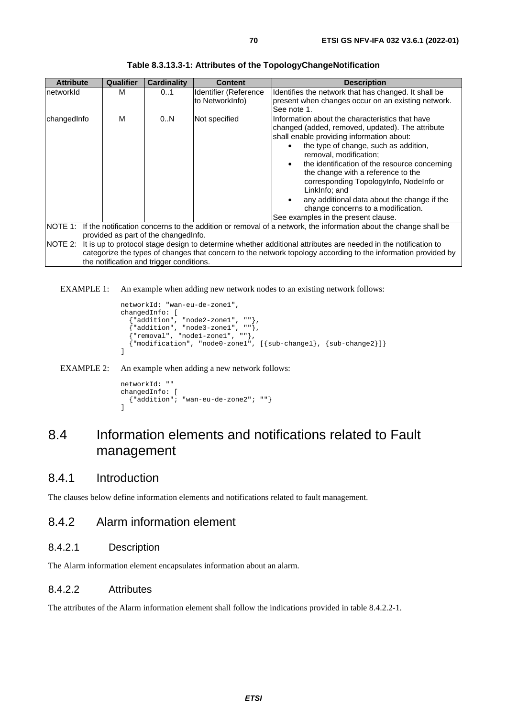| <b>Attribute</b> | Qualifier | <b>Cardinality</b>                       | <b>Content</b>                           | <b>Description</b>                                                                                                                                                                                                                                                                                                                                                                                                                                                                                 |  |
|------------------|-----------|------------------------------------------|------------------------------------------|----------------------------------------------------------------------------------------------------------------------------------------------------------------------------------------------------------------------------------------------------------------------------------------------------------------------------------------------------------------------------------------------------------------------------------------------------------------------------------------------------|--|
| InetworkId       | м         | 01                                       | Identifier (Reference<br>to NetworkInfo) | Identifies the network that has changed. It shall be<br>present when changes occur on an existing network.<br>See note 1.                                                                                                                                                                                                                                                                                                                                                                          |  |
| changedInfo      | M         | 0.N                                      | Not specified                            | Information about the characteristics that have<br>changed (added, removed, updated). The attribute<br>shall enable providing information about:<br>the type of change, such as addition,<br>removal, modification;<br>the identification of the resource concerning<br>the change with a reference to the<br>corresponding TopologyInfo, NodeInfo or<br>LinkInfo; and<br>any additional data about the change if the<br>change concerns to a modification.<br>See examples in the present clause. |  |
| NOTE 1:          |           |                                          |                                          | If the notification concerns to the addition or removal of a network, the information about the change shall be                                                                                                                                                                                                                                                                                                                                                                                    |  |
|                  |           | provided as part of the changed nfo.     |                                          |                                                                                                                                                                                                                                                                                                                                                                                                                                                                                                    |  |
| NOTE 2:          |           |                                          |                                          | It is up to protocol stage design to determine whether additional attributes are needed in the notification to                                                                                                                                                                                                                                                                                                                                                                                     |  |
|                  |           |                                          |                                          | categorize the types of changes that concern to the network topology according to the information provided by                                                                                                                                                                                                                                                                                                                                                                                      |  |
|                  |           | the notification and trigger conditions. |                                          |                                                                                                                                                                                                                                                                                                                                                                                                                                                                                                    |  |

EXAMPLE 1: An example when adding new network nodes to an existing network follows:

```
networkId: "wan-eu-de-zone1", 
changedInfo: [ 
 {"addition", "node2-zone1", ""}, 
 {"addition", "node3-zone1", ""}, 
 {"removal", "node1-zone1", ""}, 
 {"modification", "node0-zone1", [{sub-change1}, {sub-change2}]} 
\overline{1}
```


```
networkId: "" 
changedInfo: [ 
   {"addition"; "wan-eu-de-zone2"; ""} 
\overline{1}
```
# 8.4 Information elements and notifications related to Fault management

## 8.4.1 Introduction

The clauses below define information elements and notifications related to fault management.

## 8.4.2 Alarm information element

### 8.4.2.1 Description

The Alarm information element encapsulates information about an alarm.

### 8.4.2.2 Attributes

The attributes of the Alarm information element shall follow the indications provided in table 8.4.2.2-1.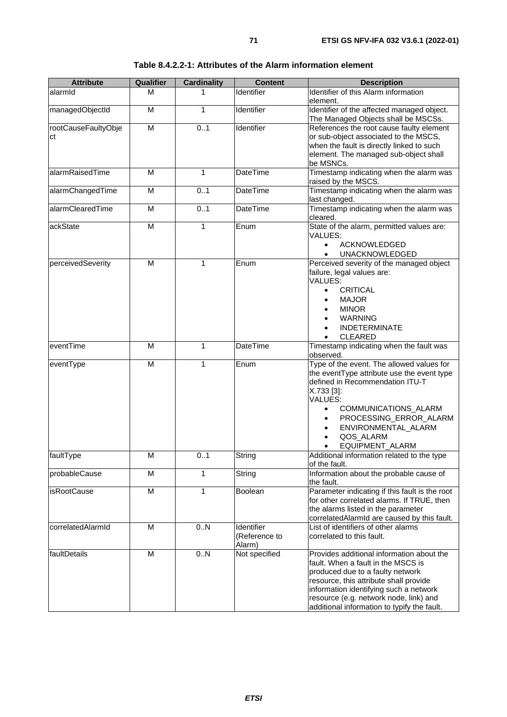| <b>Attribute</b>          | Qualifier               | <b>Cardinality</b> | <b>Content</b>                        | <b>Description</b>                                                                                                                                                                                                                                                                                         |
|---------------------------|-------------------------|--------------------|---------------------------------------|------------------------------------------------------------------------------------------------------------------------------------------------------------------------------------------------------------------------------------------------------------------------------------------------------------|
| alarmid                   | м                       | 1                  | Identifier                            | Identifier of this Alarm information<br>element.                                                                                                                                                                                                                                                           |
| managedObjectId           | M                       | $\mathbf{1}$       | Identifier                            | Identifier of the affected managed object.<br>The Managed Objects shall be MSCSs.                                                                                                                                                                                                                          |
| rootCauseFaultyObje<br>сt | M                       | 0.1                | Identifier                            | References the root cause faulty element<br>or sub-object associated to the MSCS,<br>when the fault is directly linked to such<br>element. The managed sub-object shall<br>be MSNCs.                                                                                                                       |
| alarmRaisedTime           | M                       | 1                  | <b>DateTime</b>                       | Timestamp indicating when the alarm was<br>raised by the MSCS.                                                                                                                                                                                                                                             |
| alarmChangedTime          | M                       | 0.1                | <b>DateTime</b>                       | Timestamp indicating when the alarm was<br>last changed.                                                                                                                                                                                                                                                   |
| alarmClearedTime          | $\overline{\mathsf{M}}$ | 0.1                | <b>DateTime</b>                       | Timestamp indicating when the alarm was<br>cleared.                                                                                                                                                                                                                                                        |
| ackState                  | $\overline{M}$          | $\mathbf{1}$       | Enum                                  | State of the alarm, permitted values are:<br>VALUES:<br><b>ACKNOWLEDGED</b><br>$\bullet$<br><b>UNACKNOWLEDGED</b><br>$\bullet$                                                                                                                                                                             |
| perceivedSeverity         | M                       | 1                  | Enum                                  | Perceived severity of the managed object<br>failure, legal values are:<br>VALUES:<br><b>CRITICAL</b><br>$\bullet$<br><b>MAJOR</b><br>$\bullet$<br><b>MINOR</b><br><b>WARNING</b><br><b>INDETERMINATE</b><br>$\bullet$<br><b>CLEARED</b>                                                                    |
| eventTime                 | M                       | 1                  | <b>DateTime</b>                       | Timestamp indicating when the fault was<br>observed.                                                                                                                                                                                                                                                       |
| eventType                 | $\overline{M}$          | $\mathbf{1}$       | Enum                                  | Type of the event. The allowed values for<br>the eventType attribute use the event type<br>defined in Recommendation ITU-T<br>X.733 [3]:<br><b>VALUES:</b><br>COMMUNICATIONS_ALARM<br>$\bullet$<br>PROCESSING_ERROR_ALARM<br>$\bullet$<br>ENVIRONMENTAL ALARM<br>$\bullet$<br>QOS_ALARM<br>EQUIPMENT_ALARM |
| faultType                 | M                       | 01                 | String                                | Additional information related to the type<br>of the fault.                                                                                                                                                                                                                                                |
| probableCause             | M                       | 1                  | String                                | Information about the probable cause of<br>the fault.                                                                                                                                                                                                                                                      |
| isRootCause               | $\overline{M}$          | $\mathbf{1}$       | Boolean                               | Parameter indicating if this fault is the root<br>for other correlated alarms. If TRUE, then<br>the alarms listed in the parameter<br>correlatedAlarmId are caused by this fault.                                                                                                                          |
| correlatedAlarmId         | M                       | 0.N                | Identifier<br>(Reference to<br>Alarm) | List of identifiers of other alarms<br>correlated to this fault.                                                                                                                                                                                                                                           |
| faultDetails              | M                       | 0.N                | Not specified                         | Provides additional information about the<br>fault. When a fault in the MSCS is<br>produced due to a faulty network<br>resource, this attribute shall provide<br>information identifying such a network<br>resource (e.g. network node, link) and<br>additional information to typify the fault.           |

#### **Table 8.4.2.2-1: Attributes of the Alarm information element**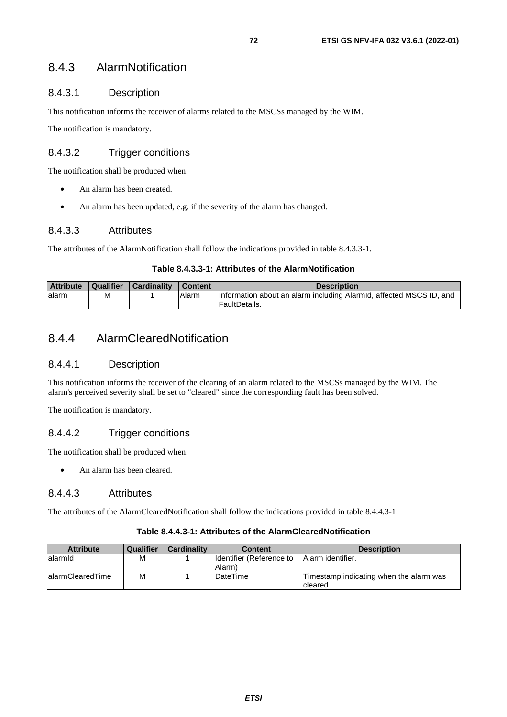## 8.4.3 AlarmNotification

## 8.4.3.1 Description

This notification informs the receiver of alarms related to the MSCSs managed by the WIM.

The notification is mandatory.

## 8.4.3.2 Trigger conditions

The notification shall be produced when:

- An alarm has been created.
- An alarm has been updated, e.g. if the severity of the alarm has changed.

## 8.4.3.3 Attributes

The attributes of the AlarmNotification shall follow the indications provided in table 8.4.3.3-1.

### **Table 8.4.3.3-1: Attributes of the AlarmNotification**

| <b>Attribute</b> | Qualifier | Cardinality | <b>Content</b> | <b>Description</b>                                                  |
|------------------|-----------|-------------|----------------|---------------------------------------------------------------------|
| lalarm           | м         |             | Alarm          | Information about an alarm including AlarmId, affected MSCS ID, and |
|                  |           |             |                | FaultDetails.                                                       |

## 8.4.4 AlarmClearedNotification

## 8.4.4.1 Description

This notification informs the receiver of the clearing of an alarm related to the MSCSs managed by the WIM. The alarm's perceived severity shall be set to "cleared" since the corresponding fault has been solved.

The notification is mandatory.

## 8.4.4.2 Trigger conditions

The notification shall be produced when:

• An alarm has been cleared.

### 8.4.4.3 Attributes

The attributes of the AlarmClearedNotification shall follow the indications provided in table 8.4.4.3-1.

#### **Table 8.4.4.3-1: Attributes of the AlarmClearedNotification**

| <b>Attribute</b>  | Qualifier | <b>Cardinality</b> | <b>Content</b>            | <b>Description</b>                      |
|-------------------|-----------|--------------------|---------------------------|-----------------------------------------|
| lalarmid          | М         |                    | IIdentifier (Reference to | <b>Alarm identifier.</b>                |
|                   |           |                    | Alarm)                    |                                         |
| lalarmClearedTime | М         |                    | <b>DateTime</b>           | Timestamp indicating when the alarm was |
|                   |           |                    |                           | Icleared.                               |

*ETSI*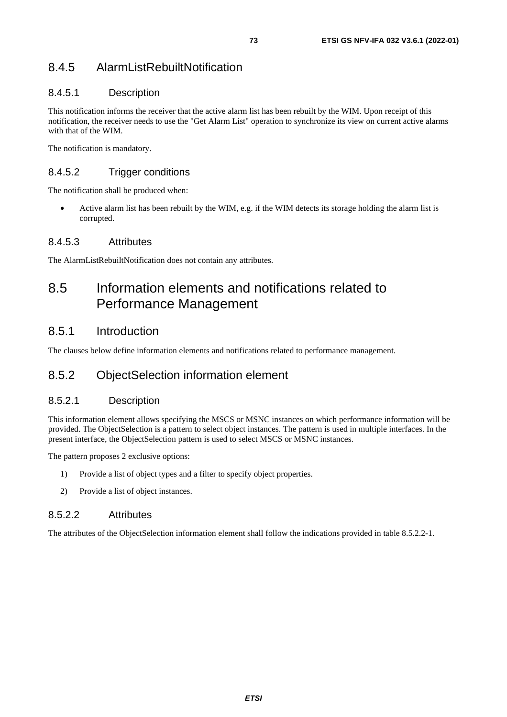## 8.4.5 AlarmListRebuiltNotification

### 8.4.5.1 Description

This notification informs the receiver that the active alarm list has been rebuilt by the WIM. Upon receipt of this notification, the receiver needs to use the "Get Alarm List" operation to synchronize its view on current active alarms with that of the WIM.

The notification is mandatory.

### 8.4.5.2 Trigger conditions

The notification shall be produced when:

• Active alarm list has been rebuilt by the WIM, e.g. if the WIM detects its storage holding the alarm list is corrupted.

#### 8.4.5.3 Attributes

The AlarmListRebuiltNotification does not contain any attributes.

## 8.5 Information elements and notifications related to Performance Management

## 8.5.1 Introduction

The clauses below define information elements and notifications related to performance management.

## 8.5.2 ObjectSelection information element

#### 8.5.2.1 Description

This information element allows specifying the MSCS or MSNC instances on which performance information will be provided. The ObjectSelection is a pattern to select object instances. The pattern is used in multiple interfaces. In the present interface, the ObjectSelection pattern is used to select MSCS or MSNC instances.

The pattern proposes 2 exclusive options:

- 1) Provide a list of object types and a filter to specify object properties.
- 2) Provide a list of object instances.

#### 8.5.2.2 Attributes

The attributes of the ObjectSelection information element shall follow the indications provided in table 8.5.2.2-1.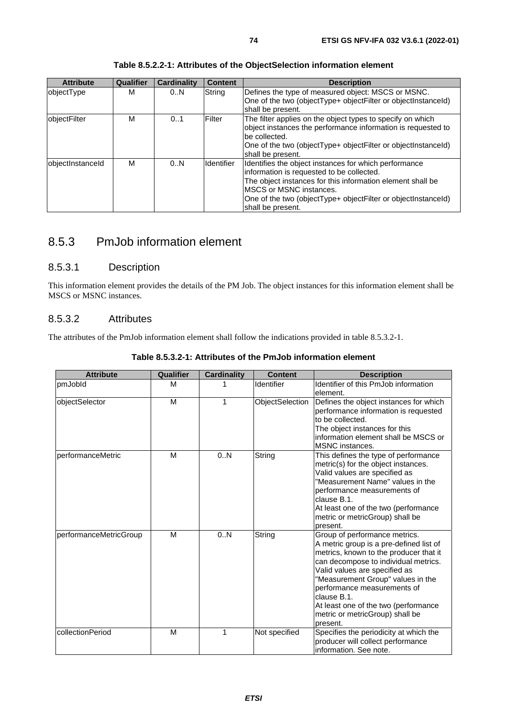| <b>Attribute</b> | <b>Qualifier</b> | <b>Cardinality</b> | <b>Content</b> | <b>Description</b>                                                                                                                                                                                                                                                                 |
|------------------|------------------|--------------------|----------------|------------------------------------------------------------------------------------------------------------------------------------------------------------------------------------------------------------------------------------------------------------------------------------|
| objectType       | м                | 0N                 | String         | Defines the type of measured object: MSCS or MSNC.<br>One of the two (objectType+ objectFilter or objectInstanceId)<br>shall be present.                                                                                                                                           |
| objectFilter     | М                | 0.1                | Filter         | The filter applies on the object types to specify on which<br>object instances the performance information is requested to<br>be collected.<br>One of the two (objectType+ objectFilter or objectInstanceId)<br>shall be present.                                                  |
| objectInstanceId | М                | 0.N                | Identifier     | Identifies the object instances for which performance<br>information is requested to be collected.<br>The object instances for this information element shall be<br>IMSCS or MSNC instances.<br>One of the two (objectType+ objectFilter or objectInstanceId)<br>shall be present. |

**Table 8.5.2.2-1: Attributes of the ObjectSelection information element** 

## 8.5.3 PmJob information element

## 8.5.3.1 Description

This information element provides the details of the PM Job. The object instances for this information element shall be MSCS or MSNC instances.

#### 8.5.3.2 Attributes

The attributes of the PmJob information element shall follow the indications provided in table 8.5.3.2-1.

| <b>Attribute</b>          | Qualifier | <b>Cardinality</b> | <b>Content</b>  | <b>Description</b>                                                                                                                                                                                                                                                                                                                                                    |
|---------------------------|-----------|--------------------|-----------------|-----------------------------------------------------------------------------------------------------------------------------------------------------------------------------------------------------------------------------------------------------------------------------------------------------------------------------------------------------------------------|
| pmJobld                   | M         |                    | Identifier      | Identifier of this PmJob information<br>element.                                                                                                                                                                                                                                                                                                                      |
| objectSelector            | M         | 1                  | ObjectSelection | Defines the object instances for which<br>performance information is requested<br>to be collected.<br>The object instances for this<br>information element shall be MSCS or<br><b>MSNC</b> instances.                                                                                                                                                                 |
| <b>IperformanceMetric</b> | M         | 0.N                | String          | This defines the type of performance<br>metric(s) for the object instances.<br>Valid values are specified as<br>"Measurement Name" values in the<br>performance measurements of<br>clause B.1.<br>At least one of the two (performance<br>metric or metricGroup) shall be<br>present.                                                                                 |
| performanceMetricGroup    | M         | 0N                 | String          | Group of performance metrics.<br>A metric group is a pre-defined list of<br>metrics, known to the producer that it<br>can decompose to individual metrics.<br>Valid values are specified as<br>"Measurement Group" values in the<br>performance measurements of<br>clause B.1.<br>At least one of the two (performance<br>metric or metricGroup) shall be<br>present. |
| collectionPeriod          | M         | $\mathbf{1}$       | Not specified   | Specifies the periodicity at which the<br>producer will collect performance<br>information. See note.                                                                                                                                                                                                                                                                 |

#### **Table 8.5.3.2-1: Attributes of the PmJob information element**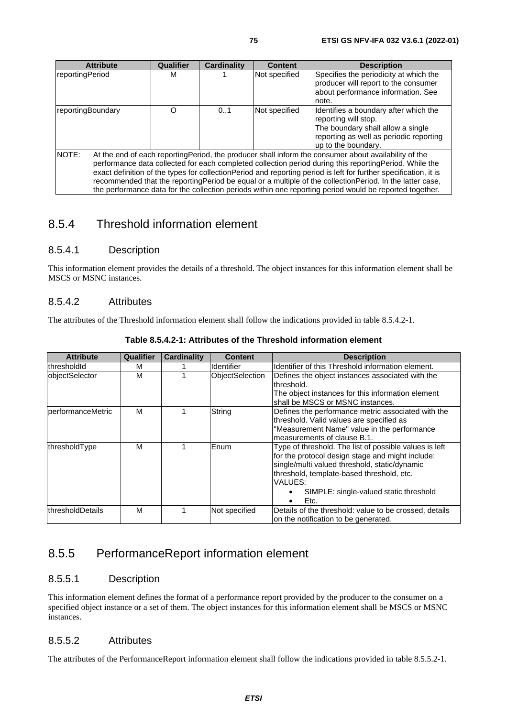| <b>Attribute</b>  | Qualifier | <b>Cardinality</b> | <b>Content</b> | <b>Description</b>                                                                                                                                                                                                                                                                                                                                                                                                                                                                                                                                            |
|-------------------|-----------|--------------------|----------------|---------------------------------------------------------------------------------------------------------------------------------------------------------------------------------------------------------------------------------------------------------------------------------------------------------------------------------------------------------------------------------------------------------------------------------------------------------------------------------------------------------------------------------------------------------------|
| reportingPeriod   | м         |                    | Not specified  | Specifies the periodicity at which the<br>producer will report to the consumer<br>about performance information. See<br>note.                                                                                                                                                                                                                                                                                                                                                                                                                                 |
| reportingBoundary | O         | 0.1                | Not specified  | Identifies a boundary after which the<br>reporting will stop.<br>The boundary shall allow a single<br>reporting as well as periodic reporting<br>up to the boundary.                                                                                                                                                                                                                                                                                                                                                                                          |
| <b>NOTE:</b>      |           |                    |                | At the end of each reporting Period, the producer shall inform the consumer about availability of the<br>performance data collected for each completed collection period during this reporting Period. While the<br>exact definition of the types for collectionPeriod and reporting period is left for further specification, it is<br>recommended that the reporting Period be equal or a multiple of the collection Period. In the latter case,<br>the performance data for the collection periods within one reporting period would be reported together. |

## 8.5.4 Threshold information element

#### 8.5.4.1 Description

This information element provides the details of a threshold. The object instances for this information element shall be MSCS or MSNC instances.

#### 8.5.4.2 Attributes

The attributes of the Threshold information element shall follow the indications provided in table 8.5.4.2-1.

| <b>Attribute</b>          | <b>Qualifier</b> | <b>Cardinality</b> | <b>Content</b>         | <b>Description</b>                                                                                                                                                                                                                                                    |
|---------------------------|------------------|--------------------|------------------------|-----------------------------------------------------------------------------------------------------------------------------------------------------------------------------------------------------------------------------------------------------------------------|
| lthresholdId              | м                |                    | <b>Identifier</b>      | Identifier of this Threshold information element.                                                                                                                                                                                                                     |
| lobjectSelector           | м                |                    | <b>ObjectSelection</b> | Defines the object instances associated with the<br>threshold.<br>The object instances for this information element                                                                                                                                                   |
|                           |                  |                    |                        | shall be MSCS or MSNC instances.                                                                                                                                                                                                                                      |
| <b>IperformanceMetric</b> | м                |                    | String                 | Defines the performance metric associated with the<br>threshold. Valid values are specified as<br>"Measurement Name" value in the performance<br>measurements of clause B.1.                                                                                          |
| thresholdType             | М                |                    | Enum                   | Type of threshold. The list of possible values is left<br>for the protocol design stage and might include:<br>single/multi valued threshold, static/dynamic<br>threshold, template-based threshold, etc.<br>VALUES:<br>SIMPLE: single-valued static threshold<br>Etc. |
| thresholdDetails          | M                |                    | Not specified          | Details of the threshold: value to be crossed, details<br>on the notification to be generated.                                                                                                                                                                        |

**Table 8.5.4.2-1: Attributes of the Threshold information element** 

## 8.5.5 PerformanceReport information element

#### 8.5.5.1 Description

This information element defines the format of a performance report provided by the producer to the consumer on a specified object instance or a set of them. The object instances for this information element shall be MSCS or MSNC instances.

#### 8.5.5.2 Attributes

The attributes of the PerformanceReport information element shall follow the indications provided in table 8.5.5.2-1.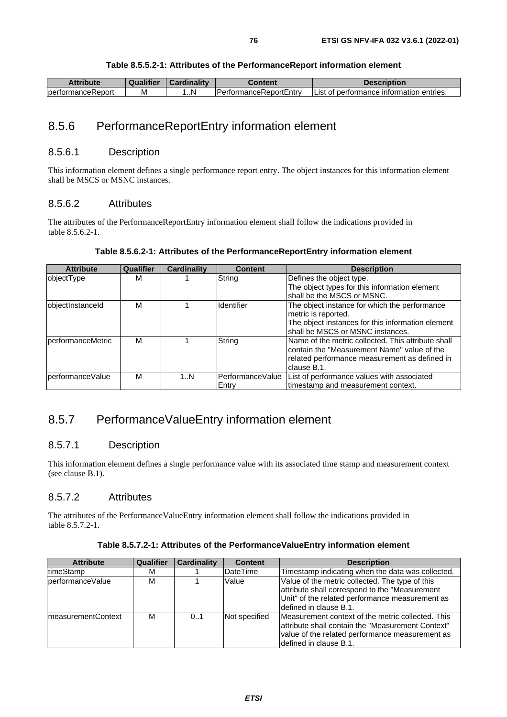| <b>Attribute</b>  | <b>Qualifier</b> | <b>Gardinality</b> | Content                        | Description                                    |
|-------------------|------------------|--------------------|--------------------------------|------------------------------------------------|
| performanceReport | M                | .N                 | <b>IPerformanceReportEntry</b> | t of performance information entries.<br>.List |

## 8.5.6 PerformanceReportEntry information element

#### 8.5.6.1 Description

This information element defines a single performance report entry. The object instances for this information element shall be MSCS or MSNC instances.

#### 8.5.6.2 Attributes

The attributes of the PerformanceReportEntry information element shall follow the indications provided in table 8.5.6.2-1.

#### **Table 8.5.6.2-1: Attributes of the PerformanceReportEntry information element**

| <b>Attribute</b>  | <b>Qualifier</b> | <b>Cardinality</b> | <b>Content</b>    | <b>Description</b>                                 |
|-------------------|------------------|--------------------|-------------------|----------------------------------------------------|
| objectType        | м                |                    | String            | Defines the object type.                           |
|                   |                  |                    |                   | The object types for this information element      |
|                   |                  |                    |                   | shall be the MSCS or MSNC.                         |
| objectInstanceId  | м                |                    | Identifier        | The object instance for which the performance      |
|                   |                  |                    |                   | metric is reported.                                |
|                   |                  |                    |                   | The object instances for this information element  |
|                   |                  |                    |                   | lshall be MSCS or MSNC instances.                  |
| performanceMetric | м                |                    | String            | Name of the metric collected. This attribute shall |
|                   |                  |                    |                   | Icontain the "Measurement Name" value of the       |
|                   |                  |                    |                   | related performance measurement as defined in      |
|                   |                  |                    |                   | Iclause B.1.                                       |
| performanceValue  | М                | 1N                 | lPerformanceValue | List of performance values with associated         |
|                   |                  |                    | <b>IEntrv</b>     | timestamp and measurement context.                 |

## 8.5.7 PerformanceValueEntry information element

#### 8.5.7.1 Description

This information element defines a single performance value with its associated time stamp and measurement context (see clause B.1).

#### 8.5.7.2 Attributes

The attributes of the PerformanceValueEntry information element shall follow the indications provided in table 8.5.7.2-1.

| <b>Attribute</b>           | <b>Qualifier</b> | <b>Cardinality</b> | <b>Content</b>  | <b>Description</b>                                                                                                                                                                   |
|----------------------------|------------------|--------------------|-----------------|--------------------------------------------------------------------------------------------------------------------------------------------------------------------------------------|
| <b>ItimeStamp</b>          | м                |                    | <b>DateTime</b> | Timestamp indicating when the data was collected.                                                                                                                                    |
| lperformanceValue          | М                |                    | Value           | Value of the metric collected. The type of this<br>attribute shall correspond to the "Measurement"<br>Unit" of the related performance measurement as<br>Idefined in clause B.1.     |
| <b>ImeasurementContext</b> | м                | 0.1                | Not specified   | Measurement context of the metric collected. This<br>lattribute shall contain the "Measurement Context"<br>value of the related performance measurement as<br>defined in clause B.1. |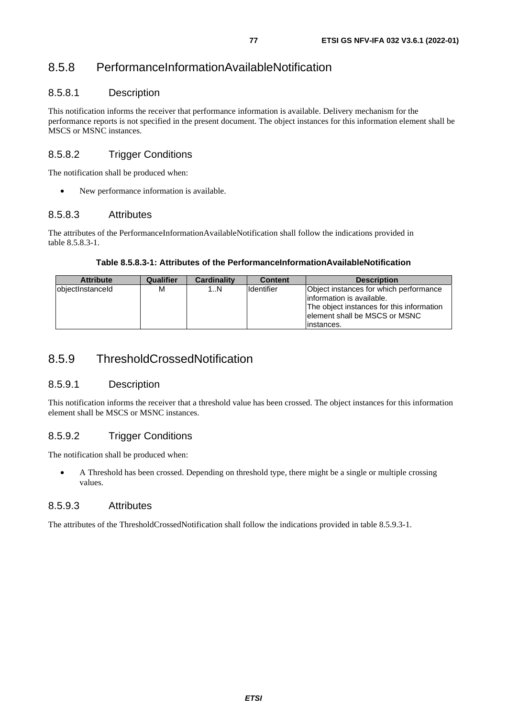## 8.5.8 PerformanceInformationAvailableNotification

### 8.5.8.1 Description

This notification informs the receiver that performance information is available. Delivery mechanism for the performance reports is not specified in the present document. The object instances for this information element shall be MSCS or MSNC instances.

### 8.5.8.2 Trigger Conditions

The notification shall be produced when:

• New performance information is available.

#### 8.5.8.3 Attributes

The attributes of the PerformanceInformationAvailableNotification shall follow the indications provided in table 8.5.8.3-1.

#### **Table 8.5.8.3-1: Attributes of the PerformanceInformationAvailableNotification**

| <b>Attribute</b> | Qualifier | Cardinality | <b>Content</b>    | <b>Description</b>                                                                                                                                                |
|------------------|-----------|-------------|-------------------|-------------------------------------------------------------------------------------------------------------------------------------------------------------------|
| objectInstanceId | М         | 1N          | <b>Identifier</b> | Object instances for which performance<br>linformation is available.<br>The object instances for this information<br>element shall be MSCS or MSNC<br>linstances. |

## 8.5.9 ThresholdCrossedNotification

#### 8.5.9.1 Description

This notification informs the receiver that a threshold value has been crossed. The object instances for this information element shall be MSCS or MSNC instances.

### 8.5.9.2 Trigger Conditions

The notification shall be produced when:

• A Threshold has been crossed. Depending on threshold type, there might be a single or multiple crossing values.

#### 8.5.9.3 Attributes

The attributes of the ThresholdCrossedNotification shall follow the indications provided in table 8.5.9.3-1.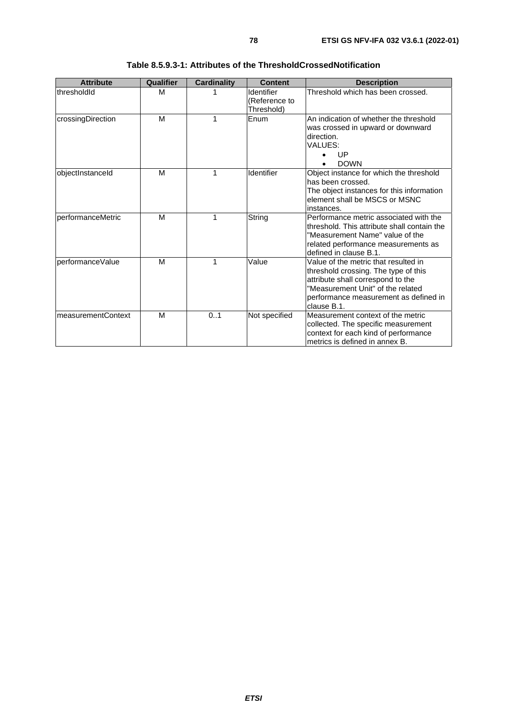| <b>Attribute</b>   | Qualifier | <b>Cardinality</b> | <b>Content</b>                            | <b>Description</b>                                                                                                                                                                                             |
|--------------------|-----------|--------------------|-------------------------------------------|----------------------------------------------------------------------------------------------------------------------------------------------------------------------------------------------------------------|
| thresholdId        | м         |                    | Identifier<br>(Reference to<br>Threshold) | Threshold which has been crossed.                                                                                                                                                                              |
| crossingDirection  | м         | 1                  | Enum                                      | An indication of whether the threshold<br>was crossed in upward or downward<br>direction.<br>VALUES:<br>UP<br><b>DOWN</b>                                                                                      |
| objectInstanceId   | M         | 1                  | Identifier                                | Object instance for which the threshold<br>has been crossed.<br>The object instances for this information<br>element shall be MSCS or MSNC<br>instances.                                                       |
| performanceMetric  | M         | 1                  | String                                    | Performance metric associated with the<br>threshold. This attribute shall contain the<br>"Measurement Name" value of the<br>related performance measurements as<br>defined in clause B.1.                      |
| performanceValue   | M         | 1                  | Value                                     | Value of the metric that resulted in<br>threshold crossing. The type of this<br>attribute shall correspond to the<br>"Measurement Unit" of the related<br>performance measurement as defined in<br>clause B.1. |
| measurementContext | M         | 0.1                | Not specified                             | Measurement context of the metric<br>collected. The specific measurement<br>context for each kind of performance<br>metrics is defined in annex B.                                                             |

| Table 8.5.9.3-1: Attributes of the ThresholdCrossedNotification |  |  |
|-----------------------------------------------------------------|--|--|
|-----------------------------------------------------------------|--|--|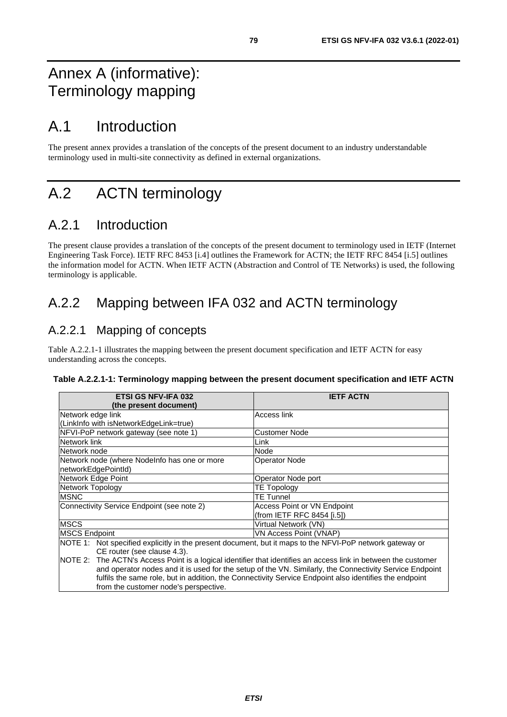## Annex A (informative): Terminology mapping

## A.1 Introduction

The present annex provides a translation of the concepts of the present document to an industry understandable terminology used in multi-site connectivity as defined in external organizations.

# A.2 ACTN terminology

## A.2.1 Introduction

The present clause provides a translation of the concepts of the present document to terminology used in IETF (Internet Engineering Task Force). IETF RFC 8453 [[i.4](#page-11-0)] outlines the Framework for ACTN; the IETF RFC 8454 [[i.5\]](#page-11-0) outlines the information model for ACTN. When IETF ACTN (Abstraction and Control of TE Networks) is used, the following terminology is applicable.

## A.2.2 Mapping between IFA 032 and ACTN terminology

## A.2.2.1 Mapping of concepts

from the customer node's perspective.

Table A.2.2.1-1 illustrates the mapping between the present document specification and IETF ACTN for easy understanding across the concepts.

|  |  |  | Table A.2.2.1-1: Terminology mapping between the present document specification and IETF ACTN |
|--|--|--|-----------------------------------------------------------------------------------------------|
|--|--|--|-----------------------------------------------------------------------------------------------|

| <b>ETSI GS NFV-IFA 032</b>                                                                                     | <b>IETF ACTN</b>                   |  |
|----------------------------------------------------------------------------------------------------------------|------------------------------------|--|
| (the present document)                                                                                         |                                    |  |
| Network edge link                                                                                              | Access link                        |  |
| (LinkInfo with isNetworkEdgeLink=true)                                                                         |                                    |  |
| NFVI-PoP network gateway (see note 1)                                                                          | Customer Node                      |  |
| Network link                                                                                                   | Link                               |  |
| Network node                                                                                                   | Node                               |  |
| Network node (where Nodelnfo has one or more                                                                   | <b>Operator Node</b>               |  |
| networkEdgePointId)                                                                                            |                                    |  |
| Network Edge Point                                                                                             | Operator Node port                 |  |
| Network Topology                                                                                               | <b>TE Topology</b>                 |  |
| <b>MSNC</b>                                                                                                    | <b>TE Tunnel</b>                   |  |
| Connectivity Service Endpoint (see note 2)                                                                     | <b>Access Point or VN Endpoint</b> |  |
|                                                                                                                | (from IETF RFC 8454 [i.5])         |  |
| <b>MSCS</b>                                                                                                    | Virtual Network (VN)               |  |
| <b>MSCS Endpoint</b>                                                                                           | VN Access Point (VNAP)             |  |
| NOTE 1: Not specified explicitly in the present document, but it maps to the NFVI-PoP network gateway or       |                                    |  |
| CE router (see clause 4.3).                                                                                    |                                    |  |
| NOTE 2: The ACTN's Access Point is a logical identifier that identifies an access link in between the customer |                                    |  |

and operator nodes and it is used for the setup of the VN. Similarly, the Connectivity Service Endpoint fulfils the same role, but in addition, the Connectivity Service Endpoint also identifies the endpoint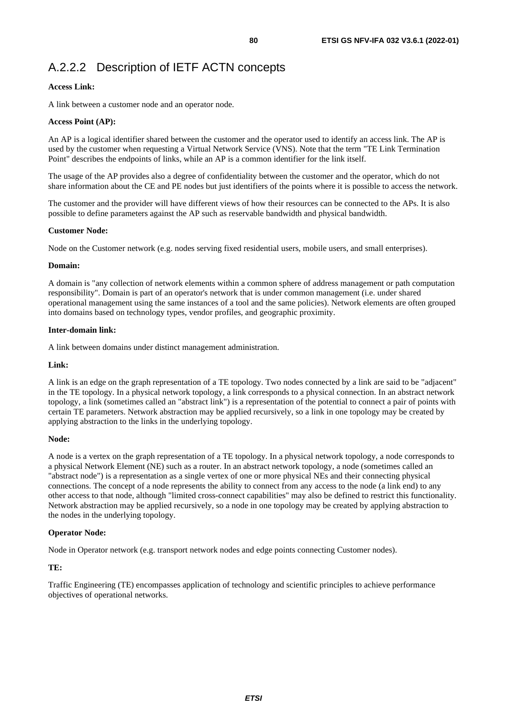#### **Access Link:**

A link between a customer node and an operator node.

#### **Access Point (AP):**

An AP is a logical identifier shared between the customer and the operator used to identify an access link. The AP is used by the customer when requesting a Virtual Network Service (VNS). Note that the term "TE Link Termination Point" describes the endpoints of links, while an AP is a common identifier for the link itself.

The usage of the AP provides also a degree of confidentiality between the customer and the operator, which do not share information about the CE and PE nodes but just identifiers of the points where it is possible to access the network.

The customer and the provider will have different views of how their resources can be connected to the APs. It is also possible to define parameters against the AP such as reservable bandwidth and physical bandwidth.

#### **Customer Node:**

Node on the Customer network (e.g. nodes serving fixed residential users, mobile users, and small enterprises).

#### **Domain:**

A domain is "any collection of network elements within a common sphere of address management or path computation responsibility". Domain is part of an operator's network that is under common management (i.e. under shared operational management using the same instances of a tool and the same policies). Network elements are often grouped into domains based on technology types, vendor profiles, and geographic proximity.

#### **Inter-domain link:**

A link between domains under distinct management administration.

#### **Link:**

A link is an edge on the graph representation of a TE topology. Two nodes connected by a link are said to be "adjacent" in the TE topology. In a physical network topology, a link corresponds to a physical connection. In an abstract network topology, a link (sometimes called an "abstract link") is a representation of the potential to connect a pair of points with certain TE parameters. Network abstraction may be applied recursively, so a link in one topology may be created by applying abstraction to the links in the underlying topology.

#### **Node:**

A node is a vertex on the graph representation of a TE topology. In a physical network topology, a node corresponds to a physical Network Element (NE) such as a router. In an abstract network topology, a node (sometimes called an "abstract node") is a representation as a single vertex of one or more physical NEs and their connecting physical connections. The concept of a node represents the ability to connect from any access to the node (a link end) to any other access to that node, although "limited cross-connect capabilities" may also be defined to restrict this functionality. Network abstraction may be applied recursively, so a node in one topology may be created by applying abstraction to the nodes in the underlying topology.

#### **Operator Node:**

Node in Operator network (e.g. transport network nodes and edge points connecting Customer nodes).

#### **TE:**

Traffic Engineering (TE) encompasses application of technology and scientific principles to achieve performance objectives of operational networks.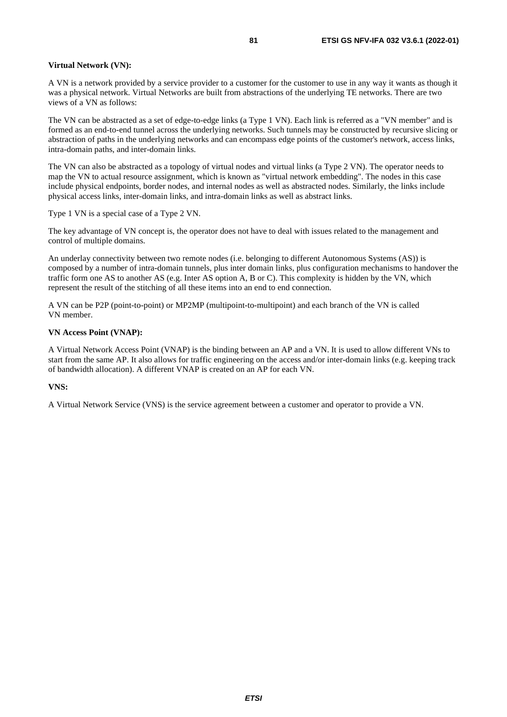#### **Virtual Network (VN):**

A VN is a network provided by a service provider to a customer for the customer to use in any way it wants as though it was a physical network. Virtual Networks are built from abstractions of the underlying TE networks. There are two views of a VN as follows:

The VN can be abstracted as a set of edge-to-edge links (a Type 1 VN). Each link is referred as a "VN member" and is formed as an end-to-end tunnel across the underlying networks. Such tunnels may be constructed by recursive slicing or abstraction of paths in the underlying networks and can encompass edge points of the customer's network, access links, intra-domain paths, and inter-domain links.

The VN can also be abstracted as a topology of virtual nodes and virtual links (a Type 2 VN). The operator needs to map the VN to actual resource assignment, which is known as "virtual network embedding". The nodes in this case include physical endpoints, border nodes, and internal nodes as well as abstracted nodes. Similarly, the links include physical access links, inter-domain links, and intra-domain links as well as abstract links.

Type 1 VN is a special case of a Type 2 VN.

The key advantage of VN concept is, the operator does not have to deal with issues related to the management and control of multiple domains.

An underlay connectivity between two remote nodes (i.e. belonging to different Autonomous Systems (AS)) is composed by a number of intra-domain tunnels, plus inter domain links, plus configuration mechanisms to handover the traffic form one AS to another AS (e.g. Inter AS option A, B or C). This complexity is hidden by the VN, which represent the result of the stitching of all these items into an end to end connection.

A VN can be P2P (point-to-point) or MP2MP (multipoint-to-multipoint) and each branch of the VN is called VN member.

#### **VN Access Point (VNAP):**

A Virtual Network Access Point (VNAP) is the binding between an AP and a VN. It is used to allow different VNs to start from the same AP. It also allows for traffic engineering on the access and/or inter-domain links (e.g. keeping track of bandwidth allocation). A different VNAP is created on an AP for each VN.

#### **VNS:**

A Virtual Network Service (VNS) is the service agreement between a customer and operator to provide a VN.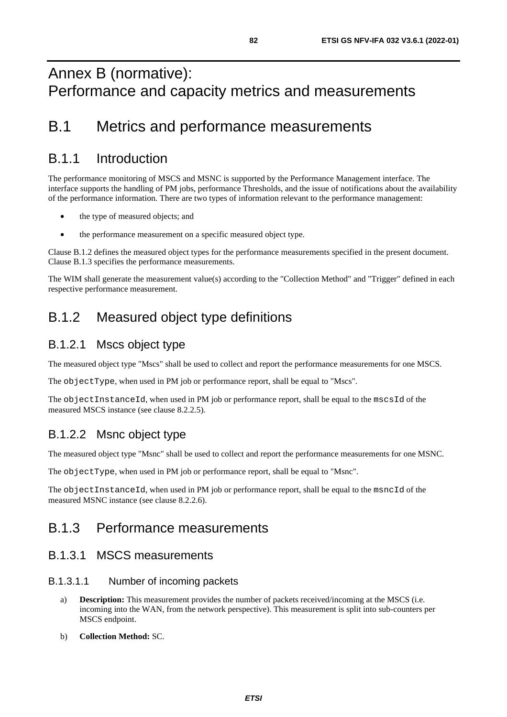## Annex B (normative): Performance and capacity metrics and measurements

## B.1 Metrics and performance measurements

## B.1.1 Introduction

The performance monitoring of MSCS and MSNC is supported by the Performance Management interface. The interface supports the handling of PM jobs, performance Thresholds, and the issue of notifications about the availability of the performance information. There are two types of information relevant to the performance management:

- the type of measured objects; and
- the performance measurement on a specific measured object type.

Clause B.1.2 defines the measured object types for the performance measurements specified in the present document. Clause B.1.3 specifies the performance measurements.

The WIM shall generate the measurement value(s) according to the "Collection Method" and "Trigger" defined in each respective performance measurement.

## B.1.2 Measured object type definitions

## B.1.2.1 Mscs object type

The measured object type "Mscs" shall be used to collect and report the performance measurements for one MSCS.

The objectType, when used in PM job or performance report, shall be equal to "Mscs".

The objectInstanceId, when used in PM job or performance report, shall be equal to the mscsId of the measured MSCS instance (see clause 8.2.2.5).

## B.1.2.2 Msnc object type

The measured object type "Msnc" shall be used to collect and report the performance measurements for one MSNC.

The objectType, when used in PM job or performance report, shall be equal to "Msnc".

The objectInstanceId, when used in PM job or performance report, shall be equal to the msncId of the measured MSNC instance (see clause 8.2.2.6).

## B.1.3 Performance measurements

### B.1.3.1 MSCS measurements

#### B.1.3.1.1 Number of incoming packets

- a) **Description:** This measurement provides the number of packets received/incoming at the MSCS (i.e. incoming into the WAN, from the network perspective). This measurement is split into sub-counters per MSCS endpoint.
- b) **Collection Method:** SC.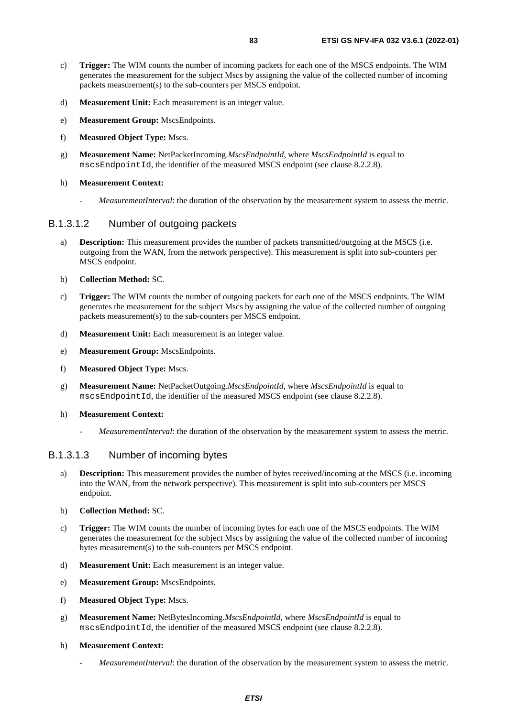- c) **Trigger:** The WIM counts the number of incoming packets for each one of the MSCS endpoints. The WIM generates the measurement for the subject Mscs by assigning the value of the collected number of incoming packets measurement(s) to the sub-counters per MSCS endpoint.
- d) **Measurement Unit:** Each measurement is an integer value.
- e) **Measurement Group:** MscsEndpoints.
- f) **Measured Object Type:** Mscs.
- g) **Measurement Name:** NetPacketIncoming.*MscsEndpointId*, where *MscsEndpointId* is equal to mscsEndpointId, the identifier of the measured MSCS endpoint (see clause 8.2.2.8).
- h) **Measurement Context:**
	- *MeasurementInterval*: the duration of the observation by the measurement system to assess the metric.

#### B.1.3.1.2 Number of outgoing packets

- a) **Description:** This measurement provides the number of packets transmitted/outgoing at the MSCS (i.e. outgoing from the WAN, from the network perspective). This measurement is split into sub-counters per MSCS endpoint.
- b) **Collection Method:** SC.
- c) **Trigger:** The WIM counts the number of outgoing packets for each one of the MSCS endpoints. The WIM generates the measurement for the subject Mscs by assigning the value of the collected number of outgoing packets measurement(s) to the sub-counters per MSCS endpoint.
- d) **Measurement Unit:** Each measurement is an integer value.
- e) **Measurement Group:** MscsEndpoints.
- f) **Measured Object Type:** Mscs.
- g) **Measurement Name:** NetPacketOutgoing.*MscsEndpointId*, where *MscsEndpointId* is equal to mscsEndpointId, the identifier of the measured MSCS endpoint (see clause 8.2.2.8).
- h) **Measurement Context:**
	- *MeasurementInterval*: the duration of the observation by the measurement system to assess the metric.

#### B.1.3.1.3 Number of incoming bytes

- a) **Description:** This measurement provides the number of bytes received/incoming at the MSCS (i.e. incoming into the WAN, from the network perspective). This measurement is split into sub-counters per MSCS endpoint.
- b) **Collection Method:** SC.
- c) **Trigger:** The WIM counts the number of incoming bytes for each one of the MSCS endpoints. The WIM generates the measurement for the subject Mscs by assigning the value of the collected number of incoming bytes measurement(s) to the sub-counters per MSCS endpoint.
- d) **Measurement Unit:** Each measurement is an integer value.
- e) **Measurement Group:** MscsEndpoints.
- f) **Measured Object Type:** Mscs.
- g) **Measurement Name:** NetBytesIncoming.*MscsEndpointId*, where *MscsEndpointId* is equal to mscsEndpointId, the identifier of the measured MSCS endpoint (see clause 8.2.2.8).
- h) **Measurement Context:**
	- *MeasurementInterval*: the duration of the observation by the measurement system to assess the metric.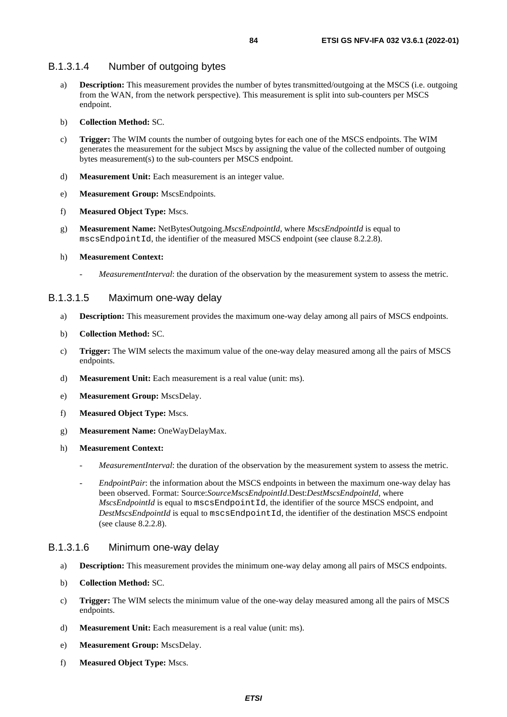#### B.1.3.1.4 Number of outgoing bytes

- a) **Description:** This measurement provides the number of bytes transmitted/outgoing at the MSCS (i.e. outgoing from the WAN, from the network perspective). This measurement is split into sub-counters per MSCS endpoint.
- b) **Collection Method:** SC.
- c) **Trigger:** The WIM counts the number of outgoing bytes for each one of the MSCS endpoints. The WIM generates the measurement for the subject Mscs by assigning the value of the collected number of outgoing bytes measurement(s) to the sub-counters per MSCS endpoint.
- d) **Measurement Unit:** Each measurement is an integer value.
- e) **Measurement Group:** MscsEndpoints.
- f) **Measured Object Type:** Mscs.
- g) **Measurement Name:** NetBytesOutgoing.*MscsEndpointId*, where *MscsEndpointId* is equal to mscsEndpointId, the identifier of the measured MSCS endpoint (see clause 8.2.2.8).
- h) **Measurement Context:**
	- *MeasurementInterval*: the duration of the observation by the measurement system to assess the metric.

#### B.1.3.1.5 Maximum one-way delay

- a) **Description:** This measurement provides the maximum one-way delay among all pairs of MSCS endpoints.
- b) **Collection Method:** SC.
- c) **Trigger:** The WIM selects the maximum value of the one-way delay measured among all the pairs of MSCS endpoints.
- d) **Measurement Unit:** Each measurement is a real value (unit: ms).
- e) **Measurement Group:** MscsDelay.
- f) **Measured Object Type:** Mscs.
- g) **Measurement Name:** OneWayDelayMax.
- h) **Measurement Context:**
	- *MeasurementInterval*: the duration of the observation by the measurement system to assess the metric.
	- *EndpointPair*: the information about the MSCS endpoints in between the maximum one-way delay has been observed. Format: Source:*SourceMscsEndpointId*.Dest:*DestMscsEndpointId*, where *MscsEndpointId* is equal to mscsEndpointId, the identifier of the source MSCS endpoint, and *DestMscsEndpointId* is equal to mscsEndpointId, the identifier of the destination MSCS endpoint (see clause 8.2.2.8).

#### B.1.3.1.6 Minimum one-way delay

- a) **Description:** This measurement provides the minimum one-way delay among all pairs of MSCS endpoints.
- b) **Collection Method:** SC.
- c) **Trigger:** The WIM selects the minimum value of the one-way delay measured among all the pairs of MSCS endpoints.
- d) **Measurement Unit:** Each measurement is a real value (unit: ms).
- e) **Measurement Group:** MscsDelay.
- f) **Measured Object Type:** Mscs.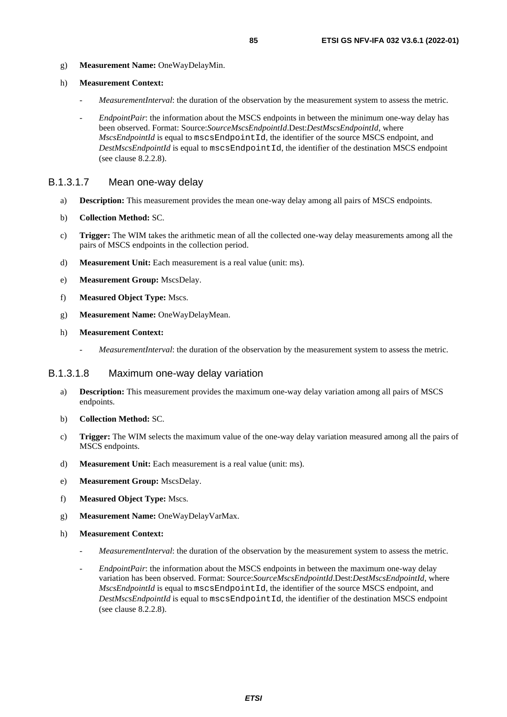g) **Measurement Name:** OneWayDelayMin.

#### h) **Measurement Context:**

- *MeasurementInterval*: the duration of the observation by the measurement system to assess the metric.
- *EndpointPair*: the information about the MSCS endpoints in between the minimum one-way delay has been observed. Format: Source:*SourceMscsEndpointId*.Dest:*DestMscsEndpointId*, where *MscsEndpointId* is equal to mscsEndpointId, the identifier of the source MSCS endpoint, and *DestMscsEndpointId* is equal to mscsEndpointId, the identifier of the destination MSCS endpoint (see clause 8.2.2.8).

#### B.1.3.1.7 Mean one-way delay

- a) **Description:** This measurement provides the mean one-way delay among all pairs of MSCS endpoints.
- b) **Collection Method:** SC.
- c) **Trigger:** The WIM takes the arithmetic mean of all the collected one-way delay measurements among all the pairs of MSCS endpoints in the collection period.
- d) **Measurement Unit:** Each measurement is a real value (unit: ms).
- e) **Measurement Group:** MscsDelay.
- f) **Measured Object Type:** Mscs.
- g) **Measurement Name:** OneWayDelayMean.
- h) **Measurement Context:**
	- *MeasurementInterval*: the duration of the observation by the measurement system to assess the metric.

#### B.1.3.1.8 Maximum one-way delay variation

- a) **Description:** This measurement provides the maximum one-way delay variation among all pairs of MSCS endpoints.
- b) **Collection Method:** SC.
- c) **Trigger:** The WIM selects the maximum value of the one-way delay variation measured among all the pairs of MSCS endpoints.
- d) **Measurement Unit:** Each measurement is a real value (unit: ms).
- e) **Measurement Group:** MscsDelay.
- f) **Measured Object Type:** Mscs.
- g) **Measurement Name:** OneWayDelayVarMax.
- h) **Measurement Context:**
	- *MeasurementInterval*: the duration of the observation by the measurement system to assess the metric.
	- *EndpointPair*: the information about the MSCS endpoints in between the maximum one-way delay variation has been observed. Format: Source:*SourceMscsEndpointId*.Dest:*DestMscsEndpointId*, where *MscsEndpointId* is equal to mscsEndpointId, the identifier of the source MSCS endpoint, and *DestMscsEndpointId* is equal to mscsEndpointId, the identifier of the destination MSCS endpoint (see clause 8.2.2.8).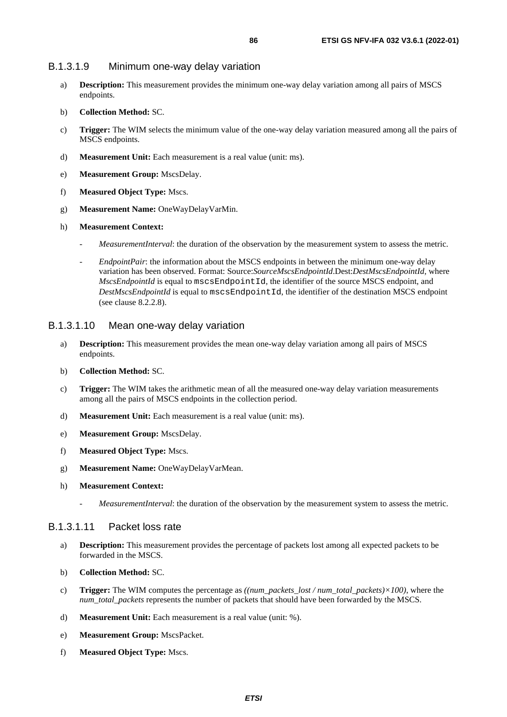#### B.1.3.1.9 Minimum one-way delay variation

- a) **Description:** This measurement provides the minimum one-way delay variation among all pairs of MSCS endpoints.
- b) **Collection Method:** SC.
- c) **Trigger:** The WIM selects the minimum value of the one-way delay variation measured among all the pairs of MSCS endpoints.
- d) **Measurement Unit:** Each measurement is a real value (unit: ms).
- e) **Measurement Group:** MscsDelay.
- f) **Measured Object Type:** Mscs.
- g) **Measurement Name:** OneWayDelayVarMin.
- h) **Measurement Context:**
	- *MeasurementInterval*: the duration of the observation by the measurement system to assess the metric.
	- *EndpointPair*: the information about the MSCS endpoints in between the minimum one-way delay variation has been observed. Format: Source:*SourceMscsEndpointId*.Dest:*DestMscsEndpointId*, where *MscsEndpointId* is equal to mscsEndpointId, the identifier of the source MSCS endpoint, and *DestMscsEndpointId* is equal to mscsEndpointId, the identifier of the destination MSCS endpoint (see clause 8.2.2.8).

#### B.1.3.1.10 Mean one-way delay variation

- a) **Description:** This measurement provides the mean one-way delay variation among all pairs of MSCS endpoints.
- b) **Collection Method:** SC.
- c) **Trigger:** The WIM takes the arithmetic mean of all the measured one-way delay variation measurements among all the pairs of MSCS endpoints in the collection period.
- d) **Measurement Unit:** Each measurement is a real value (unit: ms).
- e) **Measurement Group:** MscsDelay.
- f) **Measured Object Type:** Mscs.
- g) **Measurement Name:** OneWayDelayVarMean.
- h) **Measurement Context:**
	- *MeasurementInterval*: the duration of the observation by the measurement system to assess the metric.

#### B.1.3.1.11 Packet loss rate

- a) **Description:** This measurement provides the percentage of packets lost among all expected packets to be forwarded in the MSCS.
- b) **Collection Method:** SC.
- c) **Trigger:** The WIM computes the percentage as *((num\_packets\_lost / num\_total\_packets)×100)*, where the *num\_total\_packets* represents the number of packets that should have been forwarded by the MSCS.
- d) **Measurement Unit:** Each measurement is a real value (unit: %).
- e) **Measurement Group:** MscsPacket.
- f) **Measured Object Type:** Mscs.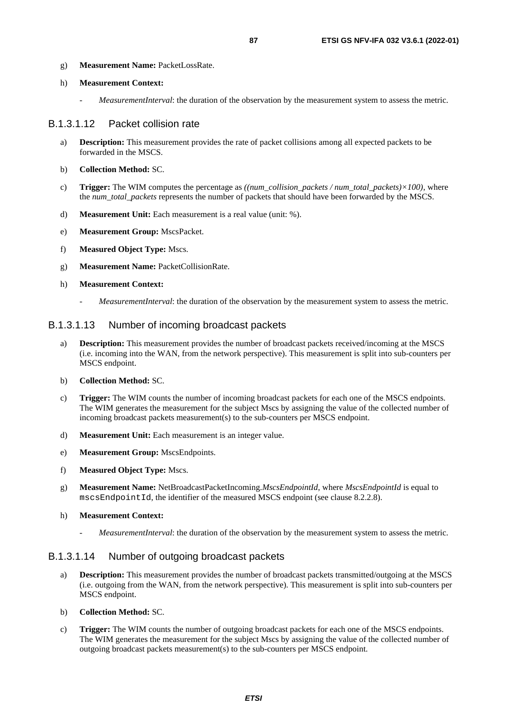- g) **Measurement Name:** PacketLossRate.
- h) **Measurement Context:**
	- *MeasurementInterval*: the duration of the observation by the measurement system to assess the metric.

#### B.1.3.1.12 Packet collision rate

- a) **Description:** This measurement provides the rate of packet collisions among all expected packets to be forwarded in the MSCS.
- b) **Collection Method:** SC.
- c) **Trigger:** The WIM computes the percentage as *((num\_collision\_packets / num\_total\_packets)×100)*, where the *num\_total\_packets* represents the number of packets that should have been forwarded by the MSCS.
- d) **Measurement Unit:** Each measurement is a real value (unit: %).
- e) **Measurement Group:** MscsPacket.
- f) **Measured Object Type:** Mscs.
- g) **Measurement Name:** PacketCollisionRate.
- h) **Measurement Context:**
	- *MeasurementInterval*: the duration of the observation by the measurement system to assess the metric.

#### B.1.3.1.13 Number of incoming broadcast packets

- a) **Description:** This measurement provides the number of broadcast packets received/incoming at the MSCS (i.e. incoming into the WAN, from the network perspective). This measurement is split into sub-counters per MSCS endpoint.
- b) **Collection Method:** SC.
- c) **Trigger:** The WIM counts the number of incoming broadcast packets for each one of the MSCS endpoints. The WIM generates the measurement for the subject Mscs by assigning the value of the collected number of incoming broadcast packets measurement(s) to the sub-counters per MSCS endpoint.
- d) **Measurement Unit:** Each measurement is an integer value.
- e) **Measurement Group:** MscsEndpoints.
- f) **Measured Object Type:** Mscs.
- g) **Measurement Name:** NetBroadcastPacketIncoming.*MscsEndpointId*, where *MscsEndpointId* is equal to mscsEndpointId, the identifier of the measured MSCS endpoint (see clause 8.2.2.8).
- h) **Measurement Context:**
	- *MeasurementInterval*: the duration of the observation by the measurement system to assess the metric.

#### B.1.3.1.14 Number of outgoing broadcast packets

- a) **Description:** This measurement provides the number of broadcast packets transmitted/outgoing at the MSCS (i.e. outgoing from the WAN, from the network perspective). This measurement is split into sub-counters per MSCS endpoint.
- b) **Collection Method:** SC.
- c) **Trigger:** The WIM counts the number of outgoing broadcast packets for each one of the MSCS endpoints. The WIM generates the measurement for the subject Mscs by assigning the value of the collected number of outgoing broadcast packets measurement(s) to the sub-counters per MSCS endpoint.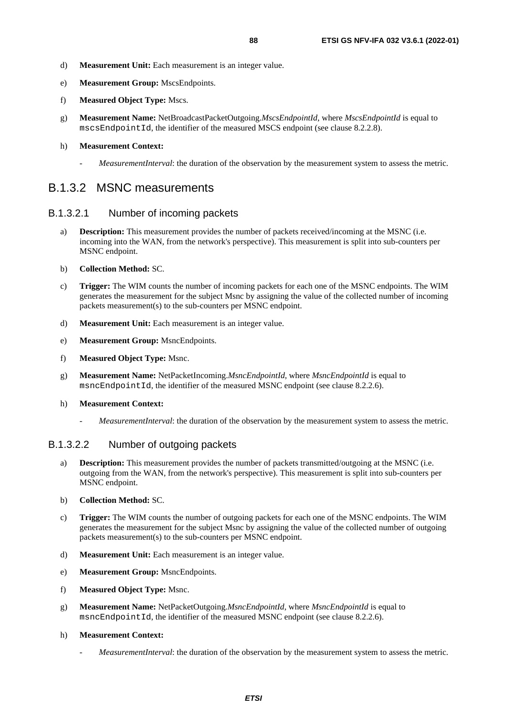- d) **Measurement Unit:** Each measurement is an integer value.
- e) **Measurement Group:** MscsEndpoints.
- f) **Measured Object Type:** Mscs.
- g) **Measurement Name:** NetBroadcastPacketOutgoing.*MscsEndpointId*, where *MscsEndpointId* is equal to mscsEndpointId, the identifier of the measured MSCS endpoint (see clause 8.2.2.8).

#### h) **Measurement Context:**

*MeasurementInterval*: the duration of the observation by the measurement system to assess the metric.

### B.1.3.2 MSNC measurements

#### B.1.3.2.1 Number of incoming packets

- a) **Description:** This measurement provides the number of packets received/incoming at the MSNC (i.e. incoming into the WAN, from the network's perspective). This measurement is split into sub-counters per MSNC endpoint.
- b) **Collection Method:** SC.
- c) **Trigger:** The WIM counts the number of incoming packets for each one of the MSNC endpoints. The WIM generates the measurement for the subject Msnc by assigning the value of the collected number of incoming packets measurement(s) to the sub-counters per MSNC endpoint.
- d) **Measurement Unit:** Each measurement is an integer value.
- e) **Measurement Group:** MsncEndpoints.
- f) **Measured Object Type:** Msnc.
- g) **Measurement Name:** NetPacketIncoming.*MsncEndpointId*, where *MsncEndpointId* is equal to msncEndpointId, the identifier of the measured MSNC endpoint (see clause 8.2.2.6).
- h) **Measurement Context:**
	- *MeasurementInterval*: the duration of the observation by the measurement system to assess the metric.

#### B.1.3.2.2 Number of outgoing packets

- a) **Description:** This measurement provides the number of packets transmitted/outgoing at the MSNC (i.e. outgoing from the WAN, from the network's perspective). This measurement is split into sub-counters per MSNC endpoint.
- b) **Collection Method:** SC.
- c) **Trigger:** The WIM counts the number of outgoing packets for each one of the MSNC endpoints. The WIM generates the measurement for the subject Msnc by assigning the value of the collected number of outgoing packets measurement(s) to the sub-counters per MSNC endpoint.
- d) **Measurement Unit:** Each measurement is an integer value.
- e) **Measurement Group:** MsncEndpoints.
- f) **Measured Object Type:** Msnc.
- g) **Measurement Name:** NetPacketOutgoing.*MsncEndpointId*, where *MsncEndpointId* is equal to msncEndpointId, the identifier of the measured MSNC endpoint (see clause 8.2.2.6).
- h) **Measurement Context:**
	- *MeasurementInterval*: the duration of the observation by the measurement system to assess the metric.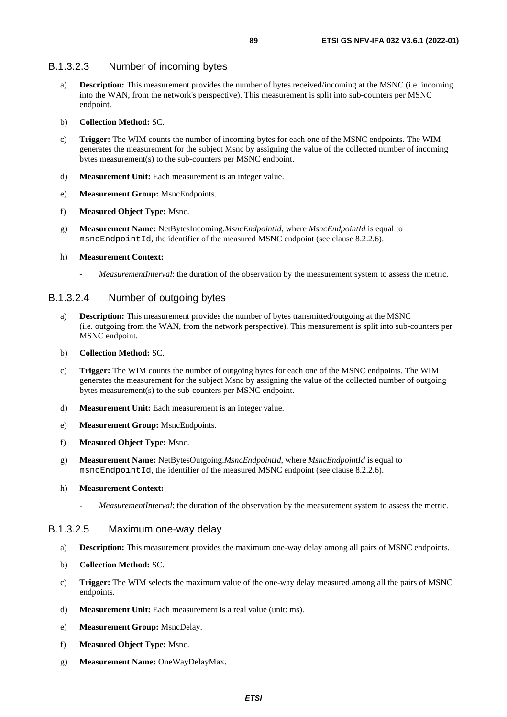#### B.1.3.2.3 Number of incoming bytes

- a) **Description:** This measurement provides the number of bytes received/incoming at the MSNC (i.e. incoming into the WAN, from the network's perspective). This measurement is split into sub-counters per MSNC endpoint.
- b) **Collection Method:** SC.
- c) **Trigger:** The WIM counts the number of incoming bytes for each one of the MSNC endpoints. The WIM generates the measurement for the subject Msnc by assigning the value of the collected number of incoming bytes measurement(s) to the sub-counters per MSNC endpoint.
- d) **Measurement Unit:** Each measurement is an integer value.
- e) **Measurement Group:** MsncEndpoints.
- f) **Measured Object Type:** Msnc.
- g) **Measurement Name:** NetBytesIncoming.*MsncEndpointId*, where *MsncEndpointId* is equal to msncEndpointId, the identifier of the measured MSNC endpoint (see clause 8.2.2.6).
- h) **Measurement Context:**
	- *MeasurementInterval*: the duration of the observation by the measurement system to assess the metric.

#### B.1.3.2.4 Number of outgoing bytes

- a) **Description:** This measurement provides the number of bytes transmitted/outgoing at the MSNC (i.e. outgoing from the WAN, from the network perspective). This measurement is split into sub-counters per MSNC endpoint.
- b) **Collection Method:** SC.
- c) **Trigger:** The WIM counts the number of outgoing bytes for each one of the MSNC endpoints. The WIM generates the measurement for the subject Msnc by assigning the value of the collected number of outgoing bytes measurement(s) to the sub-counters per MSNC endpoint.
- d) **Measurement Unit:** Each measurement is an integer value.
- e) **Measurement Group:** MsncEndpoints.
- f) **Measured Object Type:** Msnc.
- g) **Measurement Name:** NetBytesOutgoing.*MsncEndpointId*, where *MsncEndpointId* is equal to msncEndpointId, the identifier of the measured MSNC endpoint (see clause 8.2.2.6).

#### h) **Measurement Context:**

*MeasurementInterval*: the duration of the observation by the measurement system to assess the metric.

#### B.1.3.2.5 Maximum one-way delay

- a) **Description:** This measurement provides the maximum one-way delay among all pairs of MSNC endpoints.
- b) **Collection Method:** SC.
- c) **Trigger:** The WIM selects the maximum value of the one-way delay measured among all the pairs of MSNC endpoints.
- d) **Measurement Unit:** Each measurement is a real value (unit: ms).
- e) **Measurement Group:** MsncDelay.
- f) **Measured Object Type:** Msnc.
- g) **Measurement Name:** OneWayDelayMax.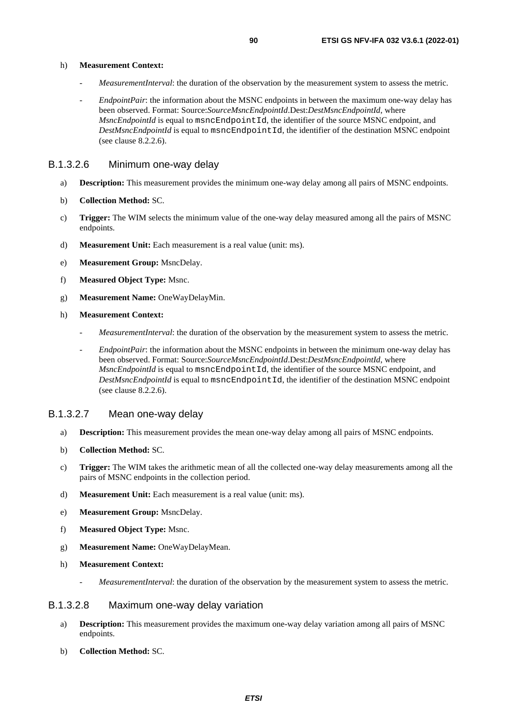#### h) **Measurement Context:**

- *MeasurementInterval*: the duration of the observation by the measurement system to assess the metric.
- *EndpointPair*: the information about the MSNC endpoints in between the maximum one-way delay has been observed. Format: Source:*SourceMsncEndpointId*.Dest:*DestMsncEndpointId*, where *MsncEndpointId* is equal to msncEndpointId, the identifier of the source MSNC endpoint, and *DestMsncEndpointId* is equal to msncEndpointId, the identifier of the destination MSNC endpoint (see clause 8.2.2.6).

#### B.1.3.2.6 Minimum one-way delay

- a) **Description:** This measurement provides the minimum one-way delay among all pairs of MSNC endpoints.
- b) **Collection Method:** SC.
- c) **Trigger:** The WIM selects the minimum value of the one-way delay measured among all the pairs of MSNC endpoints.
- d) **Measurement Unit:** Each measurement is a real value (unit: ms).
- e) **Measurement Group:** MsncDelay.
- f) **Measured Object Type:** Msnc.
- g) **Measurement Name:** OneWayDelayMin.
- h) **Measurement Context:**
	- *MeasurementInterval*: the duration of the observation by the measurement system to assess the metric.
	- *EndpointPair*: the information about the MSNC endpoints in between the minimum one-way delay has been observed. Format: Source:*SourceMsncEndpointId*.Dest:*DestMsncEndpointId*, where *MsncEndpointId* is equal to msncEndpointId, the identifier of the source MSNC endpoint, and *DestMsncEndpointId* is equal to msncEndpointId, the identifier of the destination MSNC endpoint (see clause 8.2.2.6).

#### B.1.3.2.7 Mean one-way delay

- a) **Description:** This measurement provides the mean one-way delay among all pairs of MSNC endpoints.
- b) **Collection Method:** SC.
- c) **Trigger:** The WIM takes the arithmetic mean of all the collected one-way delay measurements among all the pairs of MSNC endpoints in the collection period.
- d) **Measurement Unit:** Each measurement is a real value (unit: ms).
- e) **Measurement Group:** MsncDelay.
- f) **Measured Object Type:** Msnc.
- g) **Measurement Name:** OneWayDelayMean.
- h) **Measurement Context:**
	- *MeasurementInterval*: the duration of the observation by the measurement system to assess the metric.

#### B.1.3.2.8 Maximum one-way delay variation

- a) **Description:** This measurement provides the maximum one-way delay variation among all pairs of MSNC endpoints.
- b) **Collection Method:** SC.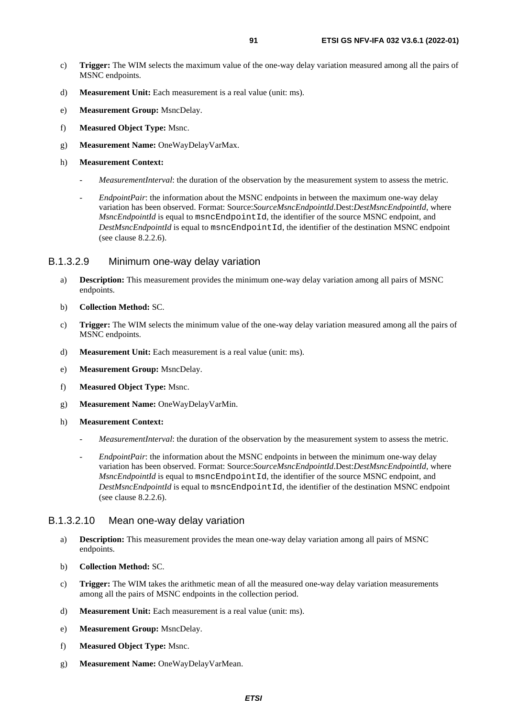- c) **Trigger:** The WIM selects the maximum value of the one-way delay variation measured among all the pairs of MSNC endpoints.
- d) **Measurement Unit:** Each measurement is a real value (unit: ms).
- e) **Measurement Group:** MsncDelay.
- f) **Measured Object Type:** Msnc.
- g) **Measurement Name:** OneWayDelayVarMax.
- h) **Measurement Context:**
	- *MeasurementInterval*: the duration of the observation by the measurement system to assess the metric.
	- *EndpointPair*: the information about the MSNC endpoints in between the maximum one-way delay variation has been observed. Format: Source:*SourceMsncEndpointId*.Dest:*DestMsncEndpointId*, where *MsncEndpointId* is equal to msncEndpointId, the identifier of the source MSNC endpoint, and *DestMsncEndpointId* is equal to msncEndpointId, the identifier of the destination MSNC endpoint (see clause 8.2.2.6).

#### B.1.3.2.9 Minimum one-way delay variation

- a) **Description:** This measurement provides the minimum one-way delay variation among all pairs of MSNC endpoints.
- b) **Collection Method:** SC.
- c) **Trigger:** The WIM selects the minimum value of the one-way delay variation measured among all the pairs of MSNC endpoints.
- d) **Measurement Unit:** Each measurement is a real value (unit: ms).
- e) **Measurement Group:** MsncDelay.
- f) **Measured Object Type:** Msnc.
- g) **Measurement Name:** OneWayDelayVarMin.
- h) **Measurement Context:**
	- *MeasurementInterval*: the duration of the observation by the measurement system to assess the metric.
	- *EndpointPair*: the information about the MSNC endpoints in between the minimum one-way delay variation has been observed. Format: Source:*SourceMsncEndpointId*.Dest:*DestMsncEndpointId*, where *MsncEndpointId* is equal to msncEndpointId, the identifier of the source MSNC endpoint, and *DestMsncEndpointId* is equal to msncEndpointId, the identifier of the destination MSNC endpoint (see clause 8.2.2.6).

#### B.1.3.2.10 Mean one-way delay variation

- a) **Description:** This measurement provides the mean one-way delay variation among all pairs of MSNC endpoints.
- b) **Collection Method:** SC.
- c) **Trigger:** The WIM takes the arithmetic mean of all the measured one-way delay variation measurements among all the pairs of MSNC endpoints in the collection period.
- d) **Measurement Unit:** Each measurement is a real value (unit: ms).
- e) **Measurement Group:** MsncDelay.
- f) **Measured Object Type:** Msnc.
- g) **Measurement Name:** OneWayDelayVarMean.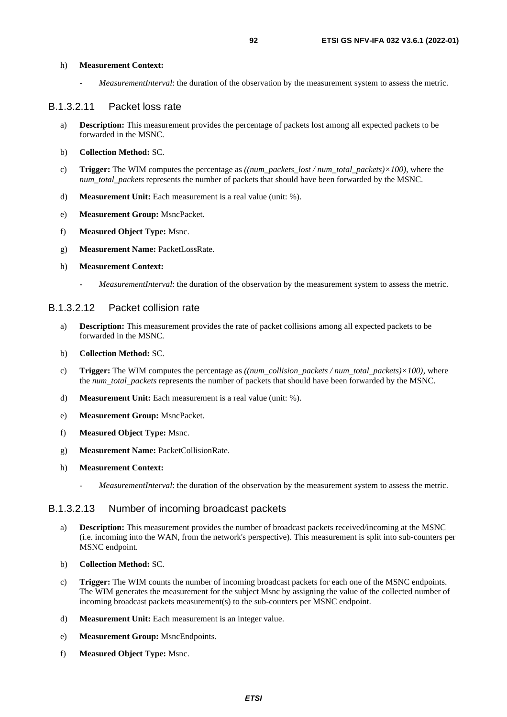h) **Measurement Context:**

*MeasurementInterval*: the duration of the observation by the measurement system to assess the metric.

#### B.1.3.2.11 Packet loss rate

- a) **Description:** This measurement provides the percentage of packets lost among all expected packets to be forwarded in the MSNC.
- b) **Collection Method:** SC.
- c) **Trigger:** The WIM computes the percentage as *((num\_packets\_lost / num\_total\_packets)×100)*, where the *num\_total\_packets* represents the number of packets that should have been forwarded by the MSNC.
- d) **Measurement Unit:** Each measurement is a real value (unit: %).
- e) **Measurement Group:** MsncPacket.
- f) **Measured Object Type:** Msnc.
- g) **Measurement Name:** PacketLossRate.
- h) **Measurement Context:**
	- *MeasurementInterval*: the duration of the observation by the measurement system to assess the metric.

#### B.1.3.2.12 Packet collision rate

- a) **Description:** This measurement provides the rate of packet collisions among all expected packets to be forwarded in the MSNC.
- b) **Collection Method:** SC.
- c) **Trigger:** The WIM computes the percentage as *((num\_collision\_packets / num\_total\_packets)×100)*, where the *num\_total\_packets* represents the number of packets that should have been forwarded by the MSNC.
- d) **Measurement Unit:** Each measurement is a real value (unit: %).
- e) **Measurement Group:** MsncPacket.
- f) **Measured Object Type:** Msnc.
- g) **Measurement Name:** PacketCollisionRate.
- h) **Measurement Context:**
	- *MeasurementInterval*: the duration of the observation by the measurement system to assess the metric.

#### B.1.3.2.13 Number of incoming broadcast packets

- a) **Description:** This measurement provides the number of broadcast packets received/incoming at the MSNC (i.e. incoming into the WAN, from the network's perspective). This measurement is split into sub-counters per MSNC endpoint.
- b) **Collection Method:** SC.
- c) **Trigger:** The WIM counts the number of incoming broadcast packets for each one of the MSNC endpoints. The WIM generates the measurement for the subject Msnc by assigning the value of the collected number of incoming broadcast packets measurement(s) to the sub-counters per MSNC endpoint.
- d) **Measurement Unit:** Each measurement is an integer value.
- e) **Measurement Group:** MsncEndpoints.
- f) **Measured Object Type:** Msnc.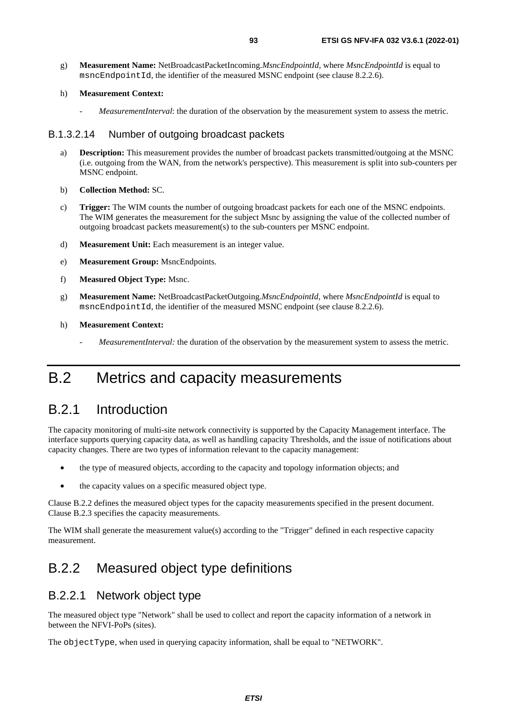g) **Measurement Name:** NetBroadcastPacketIncoming.*MsncEndpointId*, where *MsncEndpointId* is equal to msncEndpointId, the identifier of the measured MSNC endpoint (see clause 8.2.2.6).

#### h) **Measurement Context:**

*MeasurementInterval*: the duration of the observation by the measurement system to assess the metric.

#### B.1.3.2.14 Number of outgoing broadcast packets

- a) **Description:** This measurement provides the number of broadcast packets transmitted/outgoing at the MSNC (i.e. outgoing from the WAN, from the network's perspective). This measurement is split into sub-counters per MSNC endpoint.
- b) **Collection Method:** SC.
- c) **Trigger:** The WIM counts the number of outgoing broadcast packets for each one of the MSNC endpoints. The WIM generates the measurement for the subject Msnc by assigning the value of the collected number of outgoing broadcast packets measurement(s) to the sub-counters per MSNC endpoint.
- d) **Measurement Unit:** Each measurement is an integer value.
- e) **Measurement Group:** MsncEndpoints.
- f) **Measured Object Type:** Msnc.
- g) **Measurement Name:** NetBroadcastPacketOutgoing.*MsncEndpointId*, where *MsncEndpointId* is equal to msncEndpointId, the identifier of the measured MSNC endpoint (see clause 8.2.2.6).
- h) **Measurement Context:**
	- *MeasurementInterval:* the duration of the observation by the measurement system to assess the metric.

## B.2 Metrics and capacity measurements

## B.2.1 Introduction

The capacity monitoring of multi-site network connectivity is supported by the Capacity Management interface. The interface supports querying capacity data, as well as handling capacity Thresholds, and the issue of notifications about capacity changes. There are two types of information relevant to the capacity management:

- the type of measured objects, according to the capacity and topology information objects; and
- the capacity values on a specific measured object type.

Clause B.2.2 defines the measured object types for the capacity measurements specified in the present document. Clause B.2.3 specifies the capacity measurements.

The WIM shall generate the measurement value(s) according to the "Trigger" defined in each respective capacity measurement.

## B.2.2 Measured object type definitions

## B.2.2.1 Network object type

The measured object type "Network" shall be used to collect and report the capacity information of a network in between the NFVI-PoPs (sites).

The objectType, when used in querying capacity information, shall be equal to "NETWORK".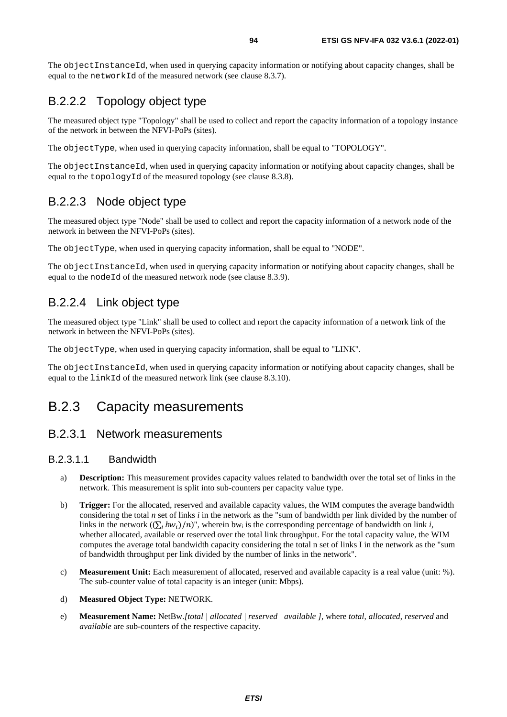The objectInstanceId, when used in querying capacity information or notifying about capacity changes, shall be equal to the networkId of the measured network (see clause 8.3.7).

## B.2.2.2 Topology object type

The measured object type "Topology" shall be used to collect and report the capacity information of a topology instance of the network in between the NFVI-PoPs (sites).

The objectType, when used in querying capacity information, shall be equal to "TOPOLOGY".

The objectInstanceId, when used in querying capacity information or notifying about capacity changes, shall be equal to the topologyId of the measured topology (see clause 8.3.8).

## B.2.2.3 Node object type

The measured object type "Node" shall be used to collect and report the capacity information of a network node of the network in between the NFVI-PoPs (sites).

The objectType, when used in querying capacity information, shall be equal to "NODE".

The objectInstanceId, when used in querying capacity information or notifying about capacity changes, shall be equal to the node Id of the measured network node (see clause 8.3.9).

### B.2.2.4 Link object type

The measured object type "Link" shall be used to collect and report the capacity information of a network link of the network in between the NFVI-PoPs (sites).

The objectType, when used in querying capacity information, shall be equal to "LINK".

The objectInstanceId, when used in querying capacity information or notifying about capacity changes, shall be equal to the linkId of the measured network link (see clause 8.3.10).

## B.2.3 Capacity measurements

### B.2.3.1 Network measurements

#### B.2.3.1.1 Bandwidth

- a) **Description:** This measurement provides capacity values related to bandwidth over the total set of links in the network. This measurement is split into sub-counters per capacity value type.
- b) **Trigger:** For the allocated, reserved and available capacity values, the WIM computes the average bandwidth considering the total *n* set of links *i* in the network as the "sum of bandwidth per link divided by the number of links in the network  $((\sum_i bw_i)/n)$ ", wherein bw<sub>i</sub> is the corresponding percentage of bandwidth on link *i*, whether allocated, available or recepted over the total link throughput. For the total canocity value, the W whether allocated, available or reserved over the total link throughput. For the total capacity value, the WIM computes the average total bandwidth capacity considering the total n set of links I in the network as the "sum of bandwidth throughput per link divided by the number of links in the network".
- c) **Measurement Unit:** Each measurement of allocated, reserved and available capacity is a real value (unit: %). The sub-counter value of total capacity is an integer (unit: Mbps).

#### d) **Measured Object Type:** NETWORK.

e) **Measurement Name:** NetBw.*[total | allocated | reserved | available ]*, where *total*, *allocated*, *reserved* and *available* are sub-counters of the respective capacity.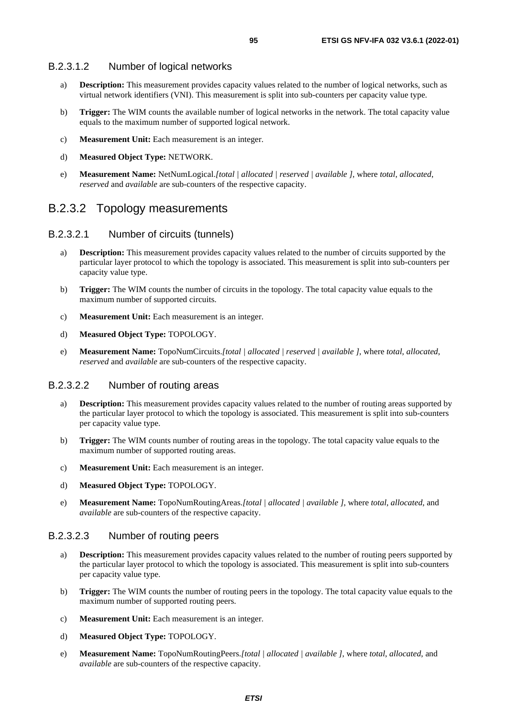#### B.2.3.1.2 Number of logical networks

- a) **Description:** This measurement provides capacity values related to the number of logical networks, such as virtual network identifiers (VNI). This measurement is split into sub-counters per capacity value type.
- b) **Trigger:** The WIM counts the available number of logical networks in the network. The total capacity value equals to the maximum number of supported logical network.
- c) **Measurement Unit:** Each measurement is an integer.
- d) **Measured Object Type:** NETWORK.
- e) **Measurement Name:** NetNumLogical.*[total | allocated | reserved | available ]*, where *total*, *allocated*, *reserved* and *available* are sub-counters of the respective capacity.

### B.2.3.2 Topology measurements

#### B.2.3.2.1 Number of circuits (tunnels)

- a) **Description:** This measurement provides capacity values related to the number of circuits supported by the particular layer protocol to which the topology is associated. This measurement is split into sub-counters per capacity value type.
- b) **Trigger:** The WIM counts the number of circuits in the topology. The total capacity value equals to the maximum number of supported circuits.
- c) **Measurement Unit:** Each measurement is an integer.
- d) **Measured Object Type:** TOPOLOGY.
- e) **Measurement Name:** TopoNumCircuits.*[total | allocated | reserved | available ]*, where *total*, *allocated*, *reserved* and *available* are sub-counters of the respective capacity.

#### B.2.3.2.2 Number of routing areas

- a) **Description:** This measurement provides capacity values related to the number of routing areas supported by the particular layer protocol to which the topology is associated. This measurement is split into sub-counters per capacity value type.
- b) **Trigger:** The WIM counts number of routing areas in the topology. The total capacity value equals to the maximum number of supported routing areas.
- c) **Measurement Unit:** Each measurement is an integer.
- d) **Measured Object Type:** TOPOLOGY.
- e) **Measurement Name:** TopoNumRoutingAreas.*[total | allocated | available ]*, where *total*, *allocated*, and *available* are sub-counters of the respective capacity.

#### B.2.3.2.3 Number of routing peers

- a) **Description:** This measurement provides capacity values related to the number of routing peers supported by the particular layer protocol to which the topology is associated. This measurement is split into sub-counters per capacity value type.
- b) **Trigger:** The WIM counts the number of routing peers in the topology. The total capacity value equals to the maximum number of supported routing peers.
- c) **Measurement Unit:** Each measurement is an integer.
- d) **Measured Object Type:** TOPOLOGY.
- e) **Measurement Name:** TopoNumRoutingPeers.*[total | allocated | available ]*, where *total*, *allocated*, and *available* are sub-counters of the respective capacity.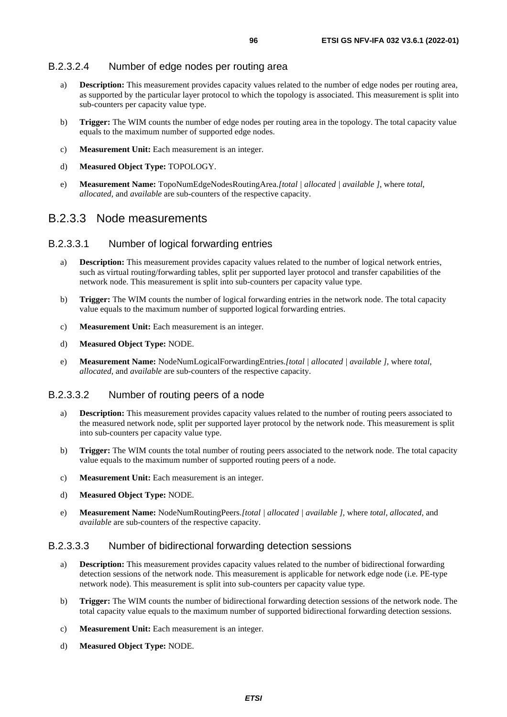#### B.2.3.2.4 Number of edge nodes per routing area

- a) **Description:** This measurement provides capacity values related to the number of edge nodes per routing area, as supported by the particular layer protocol to which the topology is associated. This measurement is split into sub-counters per capacity value type.
- b) **Trigger:** The WIM counts the number of edge nodes per routing area in the topology. The total capacity value equals to the maximum number of supported edge nodes.
- c) **Measurement Unit:** Each measurement is an integer.
- d) **Measured Object Type:** TOPOLOGY.
- e) **Measurement Name:** TopoNumEdgeNodesRoutingArea.*[total | allocated | available ]*, where *total*, *allocated*, and *available* are sub-counters of the respective capacity.

### B.2.3.3 Node measurements

#### B.2.3.3.1 Number of logical forwarding entries

- a) **Description:** This measurement provides capacity values related to the number of logical network entries, such as virtual routing/forwarding tables, split per supported layer protocol and transfer capabilities of the network node. This measurement is split into sub-counters per capacity value type.
- b) **Trigger:** The WIM counts the number of logical forwarding entries in the network node. The total capacity value equals to the maximum number of supported logical forwarding entries.
- c) **Measurement Unit:** Each measurement is an integer.
- d) **Measured Object Type:** NODE.
- e) **Measurement Name:** NodeNumLogicalForwardingEntries.*[total | allocated | available ]*, where *total*, *allocated*, and *available* are sub-counters of the respective capacity.

#### B.2.3.3.2 Number of routing peers of a node

- a) **Description:** This measurement provides capacity values related to the number of routing peers associated to the measured network node, split per supported layer protocol by the network node. This measurement is split into sub-counters per capacity value type.
- b) **Trigger:** The WIM counts the total number of routing peers associated to the network node. The total capacity value equals to the maximum number of supported routing peers of a node.
- c) **Measurement Unit:** Each measurement is an integer.
- d) **Measured Object Type:** NODE.
- e) **Measurement Name:** NodeNumRoutingPeers.*[total | allocated | available ]*, where *total*, *allocated*, and *available* are sub-counters of the respective capacity.

#### B.2.3.3.3 Number of bidirectional forwarding detection sessions

- a) **Description:** This measurement provides capacity values related to the number of bidirectional forwarding detection sessions of the network node. This measurement is applicable for network edge node (i.e. PE-type network node). This measurement is split into sub-counters per capacity value type.
- b) **Trigger:** The WIM counts the number of bidirectional forwarding detection sessions of the network node. The total capacity value equals to the maximum number of supported bidirectional forwarding detection sessions.
- c) **Measurement Unit:** Each measurement is an integer.
- d) **Measured Object Type:** NODE.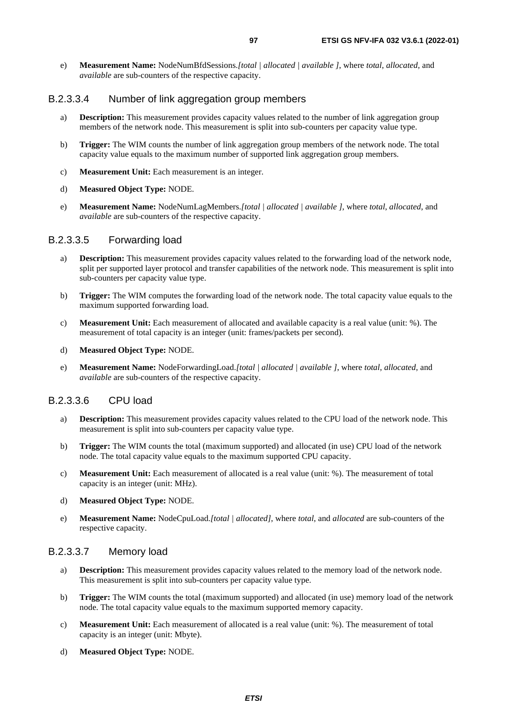e) **Measurement Name:** NodeNumBfdSessions.*[total | allocated | available ]*, where *total*, *allocated*, and *available* are sub-counters of the respective capacity.

#### B.2.3.3.4 Number of link aggregation group members

- a) **Description:** This measurement provides capacity values related to the number of link aggregation group members of the network node. This measurement is split into sub-counters per capacity value type.
- b) **Trigger:** The WIM counts the number of link aggregation group members of the network node. The total capacity value equals to the maximum number of supported link aggregation group members.
- c) **Measurement Unit:** Each measurement is an integer.
- d) **Measured Object Type:** NODE.
- e) **Measurement Name:** NodeNumLagMembers.*[total | allocated | available ]*, where *total*, *allocated*, and *available* are sub-counters of the respective capacity.

#### B.2.3.3.5 Forwarding load

- a) **Description:** This measurement provides capacity values related to the forwarding load of the network node, split per supported layer protocol and transfer capabilities of the network node. This measurement is split into sub-counters per capacity value type.
- b) **Trigger:** The WIM computes the forwarding load of the network node. The total capacity value equals to the maximum supported forwarding load.
- c) **Measurement Unit:** Each measurement of allocated and available capacity is a real value (unit: %). The measurement of total capacity is an integer (unit: frames/packets per second).
- d) **Measured Object Type:** NODE.
- e) **Measurement Name:** NodeForwardingLoad.*[total | allocated | available ]*, where *total*, *allocated*, and *available* are sub-counters of the respective capacity.

#### B.2.3.3.6 CPU load

- a) **Description:** This measurement provides capacity values related to the CPU load of the network node. This measurement is split into sub-counters per capacity value type.
- b) **Trigger:** The WIM counts the total (maximum supported) and allocated (in use) CPU load of the network node. The total capacity value equals to the maximum supported CPU capacity.
- c) **Measurement Unit:** Each measurement of allocated is a real value (unit: %). The measurement of total capacity is an integer (unit: MHz).
- d) **Measured Object Type:** NODE.
- e) **Measurement Name:** NodeCpuLoad.*[total | allocated]*, where *total*, and *allocated* are sub-counters of the respective capacity.

#### B.2.3.3.7 Memory load

- a) **Description:** This measurement provides capacity values related to the memory load of the network node. This measurement is split into sub-counters per capacity value type.
- b) **Trigger:** The WIM counts the total (maximum supported) and allocated (in use) memory load of the network node. The total capacity value equals to the maximum supported memory capacity.
- c) **Measurement Unit:** Each measurement of allocated is a real value (unit: %). The measurement of total capacity is an integer (unit: Mbyte).
- d) **Measured Object Type:** NODE.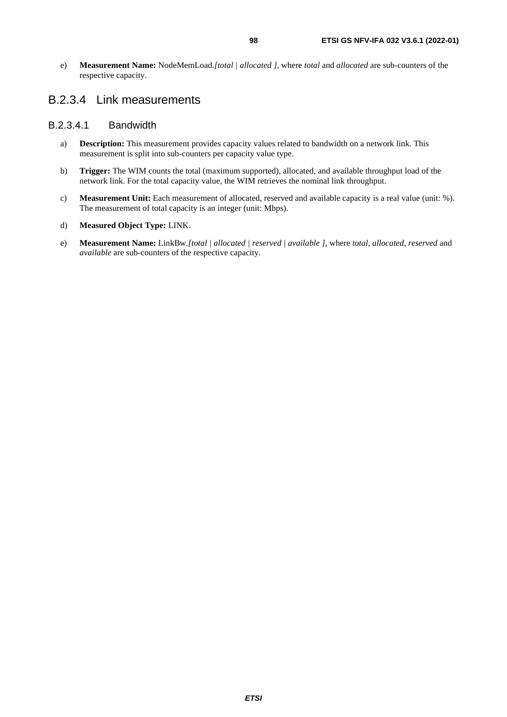e) **Measurement Name:** NodeMemLoad.*[total | allocated ]*, where *total* and *allocated* are sub-counters of the respective capacity.

## B.2.3.4 Link measurements

#### B.2.3.4.1 Bandwidth

- a) **Description:** This measurement provides capacity values related to bandwidth on a network link. This measurement is split into sub-counters per capacity value type.
- b) **Trigger:** The WIM counts the total (maximum supported), allocated, and available throughput load of the network link. For the total capacity value, the WIM retrieves the nominal link throughput.
- c) **Measurement Unit:** Each measurement of allocated, reserved and available capacity is a real value (unit: %). The measurement of total capacity is an integer (unit: Mbps).
- d) **Measured Object Type:** LINK.
- e) **Measurement Name:** LinkBw.*[total | allocated | reserved | available ]*, where *total*, *allocated*, *reserved* and *available* are sub-counters of the respective capacity.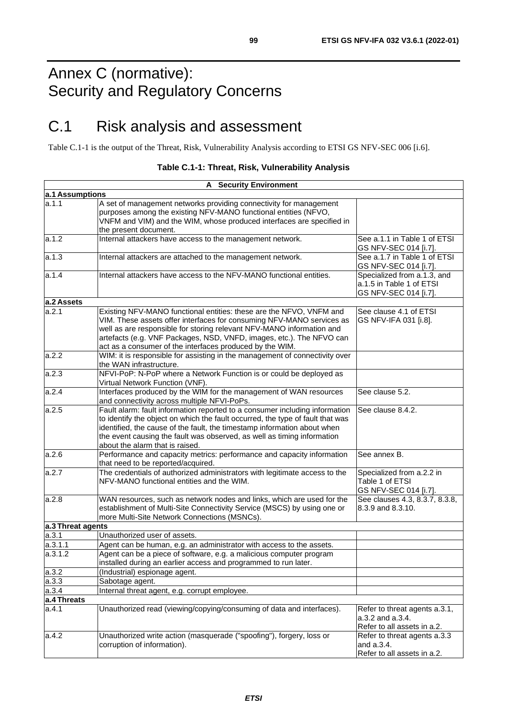# Annex C (normative): Security and Regulatory Concerns

# C.1 Risk analysis and assessment

Table C.1-1 is the output of the Threat, Risk, Vulnerability Analysis according to ETSI GS NFV-SEC 006 [\[i.6\]](#page-12-0).

|                    | <b>A</b> Security Environment                                                                                                                                                                                                                                                                                                                             |                                                                                  |  |  |
|--------------------|-----------------------------------------------------------------------------------------------------------------------------------------------------------------------------------------------------------------------------------------------------------------------------------------------------------------------------------------------------------|----------------------------------------------------------------------------------|--|--|
| a.1 Assumptions    |                                                                                                                                                                                                                                                                                                                                                           |                                                                                  |  |  |
| la.1.1             | A set of management networks providing connectivity for management<br>purposes among the existing NFV-MANO functional entities (NFVO,<br>VNFM and VIM) and the WIM, whose produced interfaces are specified in<br>the present document.                                                                                                                   |                                                                                  |  |  |
| a.1.2              | Internal attackers have access to the management network.                                                                                                                                                                                                                                                                                                 | See a.1.1 in Table 1 of ETSI<br>GS NFV-SEC 014 [i.7].                            |  |  |
| a.1.3              | Internal attackers are attached to the management network.                                                                                                                                                                                                                                                                                                | See a.1.7 in Table 1 of ETSI<br>GS NFV-SEC 014 [i.7].                            |  |  |
| a.1.4              | Internal attackers have access to the NFV-MANO functional entities.<br>Specialized from a.1.3, and<br>a.1.5 in Table 1 of ETSI<br>GS NFV-SEC 014 [i.7].                                                                                                                                                                                                   |                                                                                  |  |  |
| a.2 Assets         |                                                                                                                                                                                                                                                                                                                                                           |                                                                                  |  |  |
| a.2.1              | Existing NFV-MANO functional entities: these are the NFVO, VNFM and<br>VIM. These assets offer interfaces for consuming NFV-MANO services as<br>well as are responsible for storing relevant NFV-MANO information and<br>artefacts (e.g. VNF Packages, NSD, VNFD, images, etc.). The NFVO can<br>act as a consumer of the interfaces produced by the WIM. | See clause 4.1 of ETSI<br>GS NFV-IFA 031 [i.8].                                  |  |  |
| a.2.2              | WIM: it is responsible for assisting in the management of connectivity over<br>the WAN infrastructure.                                                                                                                                                                                                                                                    |                                                                                  |  |  |
| a.2.3              | NFVI-PoP: N-PoP where a Network Function is or could be deployed as<br>Virtual Network Function (VNF).                                                                                                                                                                                                                                                    |                                                                                  |  |  |
| a.2.4              | Interfaces produced by the WIM for the management of WAN resources<br>and connectivity across multiple NFVI-PoPs.                                                                                                                                                                                                                                         | See clause 5.2.                                                                  |  |  |
| a.2.5              | Fault alarm: fault information reported to a consumer including information<br>to identify the object on which the fault occurred, the type of fault that was<br>identified, the cause of the fault, the timestamp information about when<br>the event causing the fault was observed, as well as timing information<br>about the alarm that is raised.   | See clause 8.4.2.                                                                |  |  |
| a.2.6              | Performance and capacity metrics: performance and capacity information<br>that need to be reported/acquired.                                                                                                                                                                                                                                              | See annex B.                                                                     |  |  |
| a.2.7              | The credentials of authorized administrators with legitimate access to the<br>Specialized from a.2.2 in<br>Table 1 of ETSI<br>NFV-MANO functional entities and the WIM.<br>GS NFV-SEC 014 [i.7].                                                                                                                                                          |                                                                                  |  |  |
| a.2.8              | WAN resources, such as network nodes and links, which are used for the<br>establishment of Multi-Site Connectivity Service (MSCS) by using one or<br>more Multi-Site Network Connections (MSNCs).                                                                                                                                                         | See clauses 4.3, 8.3.7, 8.3.8,<br>8.3.9 and 8.3.10.                              |  |  |
| a.3 Threat agents  |                                                                                                                                                                                                                                                                                                                                                           |                                                                                  |  |  |
| a.3.1              | Unauthorized user of assets.                                                                                                                                                                                                                                                                                                                              |                                                                                  |  |  |
| a.3.1.1<br>a.3.1.2 | Agent can be human, e.g. an administrator with access to the assets.<br>Agent can be a piece of software, e.g. a malicious computer program<br>installed during an earlier access and programmed to run later.                                                                                                                                            |                                                                                  |  |  |
| a.3.2              | (Industrial) espionage agent.                                                                                                                                                                                                                                                                                                                             |                                                                                  |  |  |
| a.3.3              | Sabotage agent.                                                                                                                                                                                                                                                                                                                                           |                                                                                  |  |  |
| a.3.4              | Internal threat agent, e.g. corrupt employee.                                                                                                                                                                                                                                                                                                             |                                                                                  |  |  |
| a.4 Threats        |                                                                                                                                                                                                                                                                                                                                                           |                                                                                  |  |  |
| a.4.1              | Unauthorized read (viewing/copying/consuming of data and interfaces).                                                                                                                                                                                                                                                                                     | Refer to threat agents a.3.1,<br>a.3.2 and a.3.4.<br>Refer to all assets in a.2. |  |  |
| a.4.2              | Unauthorized write action (masquerade ("spoofing"), forgery, loss or<br>corruption of information).                                                                                                                                                                                                                                                       | Refer to threat agents a.3.3<br>and a.3.4.<br>Refer to all assets in a.2.        |  |  |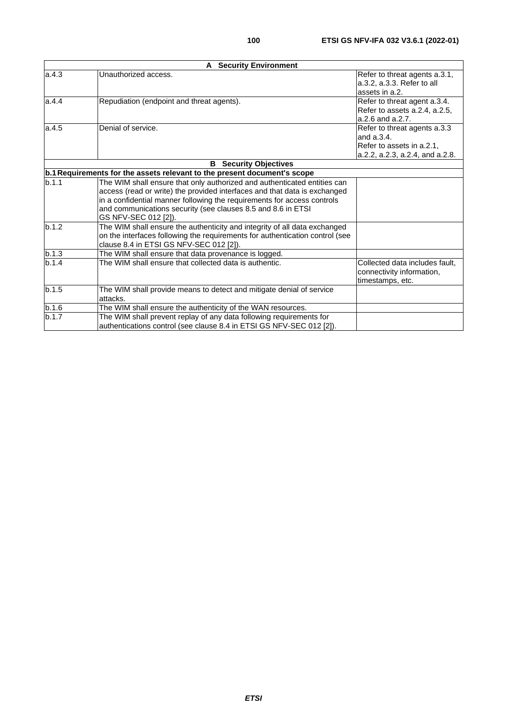|       | <b>A</b> Security Environment                                                                                                                                                                                                                                                                                            |                                                                                                            |
|-------|--------------------------------------------------------------------------------------------------------------------------------------------------------------------------------------------------------------------------------------------------------------------------------------------------------------------------|------------------------------------------------------------------------------------------------------------|
| a.4.3 | Unauthorized access.                                                                                                                                                                                                                                                                                                     | Refer to threat agents a.3.1,<br>a.3.2, a.3.3. Refer to all<br>assets in a.2.                              |
| a.4.4 | Repudiation (endpoint and threat agents).                                                                                                                                                                                                                                                                                | Refer to threat agent a.3.4.<br>Refer to assets a.2.4, a.2.5,<br>$a.2.6$ and $a.2.7$ .                     |
| a.4.5 | Denial of service.                                                                                                                                                                                                                                                                                                       | Refer to threat agents a.3.3<br>and a.3.4.<br>Refer to assets in a.2.1,<br>a.2.2, a.2.3, a.2.4, and a.2.8. |
|       | <b>B</b> Security Objectives                                                                                                                                                                                                                                                                                             |                                                                                                            |
|       | b.1 Requirements for the assets relevant to the present document's scope                                                                                                                                                                                                                                                 |                                                                                                            |
| b.1.1 | The WIM shall ensure that only authorized and authenticated entities can<br>access (read or write) the provided interfaces and that data is exchanged<br>in a confidential manner following the requirements for access controls<br>and communications security (see clauses 8.5 and 8.6 in ETSI<br>GS NFV-SEC 012 [2]). |                                                                                                            |
| b.1.2 | The WIM shall ensure the authenticity and integrity of all data exchanged<br>on the interfaces following the requirements for authentication control (see<br>clause 8.4 in ETSI GS NFV-SEC 012 [2]).                                                                                                                     |                                                                                                            |
| b.1.3 | The WIM shall ensure that data provenance is logged.                                                                                                                                                                                                                                                                     |                                                                                                            |
| b.1.4 | The WIM shall ensure that collected data is authentic.                                                                                                                                                                                                                                                                   | Collected data includes fault.<br>connectivity information,<br>timestamps, etc.                            |
| b.1.5 | The WIM shall provide means to detect and mitigate denial of service<br>attacks.                                                                                                                                                                                                                                         |                                                                                                            |
| b.1.6 | The WIM shall ensure the authenticity of the WAN resources.                                                                                                                                                                                                                                                              |                                                                                                            |
| b.1.7 | The WIM shall prevent replay of any data following requirements for<br>authentications control (see clause 8.4 in ETSI GS NFV-SEC 012 [2]).                                                                                                                                                                              |                                                                                                            |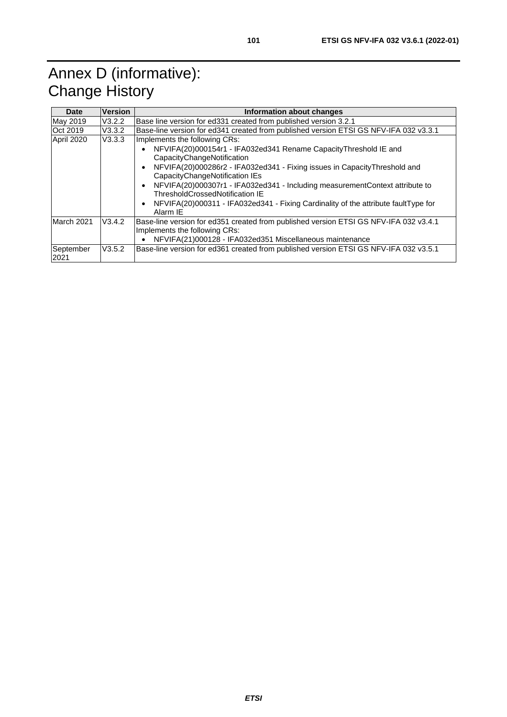# Annex D (informative): Change History

| Date              | <b>Version</b>   | Information about changes                                                                                                                                                                                                                                                                                                                                                                                                                                |
|-------------------|------------------|----------------------------------------------------------------------------------------------------------------------------------------------------------------------------------------------------------------------------------------------------------------------------------------------------------------------------------------------------------------------------------------------------------------------------------------------------------|
| May 2019          | V3.2.2           | Base line version for ed 331 created from published version 3.2.1                                                                                                                                                                                                                                                                                                                                                                                        |
| Oct 2019          | V3.3.2           | Base-line version for ed341 created from published version ETSI GS NFV-IFA 032 v3.3.1                                                                                                                                                                                                                                                                                                                                                                    |
| April 2020        | V3.3.3           | Implements the following CRs:<br>NFVIFA(20)000154r1 - IFA032ed341 Rename Capacity Threshold IE and<br>CapacityChangeNotification<br>NFVIFA(20)000286r2 - IFA032ed341 - Fixing issues in CapacityThreshold and<br>CapacityChangeNotification IEs<br>NFVIFA(20)000307r1 - IFA032ed341 - Including measurementContext attribute to<br>ThresholdCrossedNotification IE<br>NFVIFA(20)000311 - IFA032ed341 - Fixing Cardinality of the attribute faultType for |
| March 2021        | V3.4.2<br>V3.5.2 | Alarm IE<br>Base-line version for ed351 created from published version ETSI GS NFV-IFA 032 v3.4.1<br>Implements the following CRs:<br>NFVIFA(21)000128 - IFA032ed351 Miscellaneous maintenance<br>Base-line version for ed361 created from published version ETSI GS NFV-IFA 032 v3.5.1                                                                                                                                                                  |
| September<br>2021 |                  |                                                                                                                                                                                                                                                                                                                                                                                                                                                          |